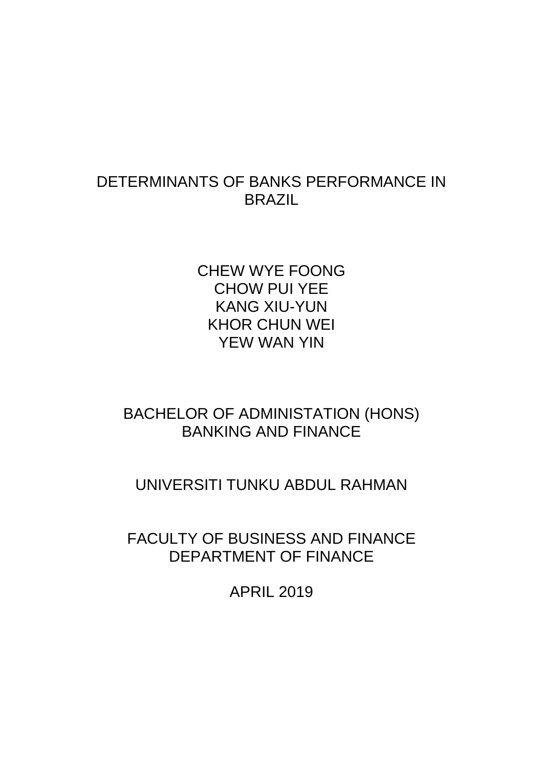# DETERMINANTS OF BANKS PERFORMANCE IN BRAZIL

CHEW WYE FOONG CHOW PUI YEE KANG XIU-YUN KHOR CHUN WEI YEW WAN YIN

# BACHELOR OF ADMINISTATION (HONS) BANKING AND FINANCE

# UNIVERSITI TUNKU ABDUL RAHMAN

FACULTY OF BUSINESS AND FINANCE DEPARTMENT OF FINANCE

APRIL 2019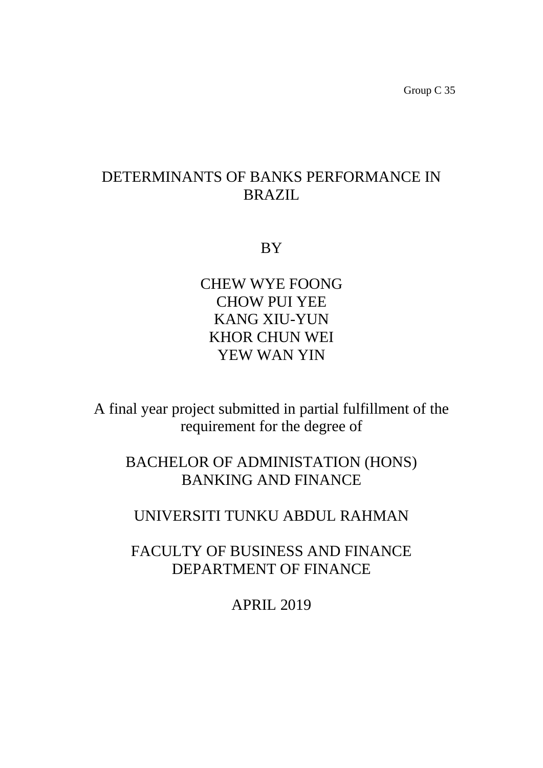Group C 35

# DETERMINANTS OF BANKS PERFORMANCE IN BRAZIL

BY

CHEW WYE FOONG CHOW PUI YEE KANG XIU-YUN KHOR CHUN WEI YEW WAN YIN

A final year project submitted in partial fulfillment of the requirement for the degree of

BACHELOR OF ADMINISTATION (HONS) BANKING AND FINANCE

UNIVERSITI TUNKU ABDUL RAHMAN

FACULTY OF BUSINESS AND FINANCE DEPARTMENT OF FINANCE

APRIL 2019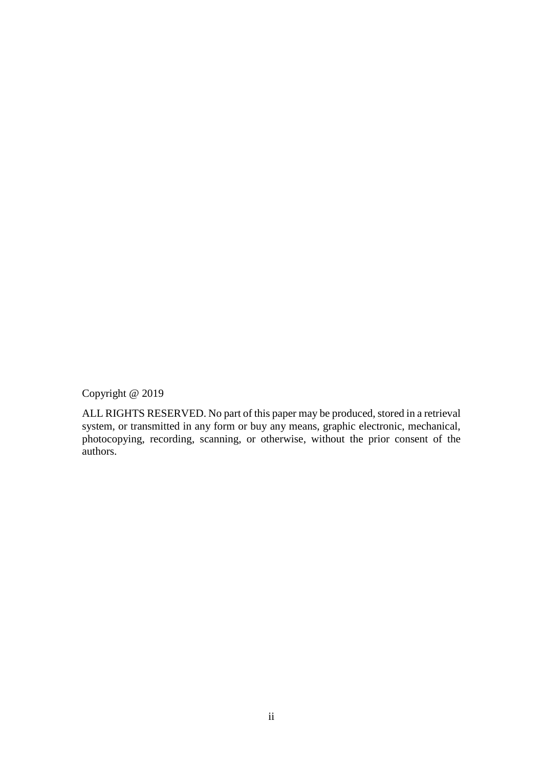Copyright @ 2019

ALL RIGHTS RESERVED. No part of this paper may be produced, stored in a retrieval system, or transmitted in any form or buy any means, graphic electronic, mechanical, photocopying, recording, scanning, or otherwise, without the prior consent of the authors.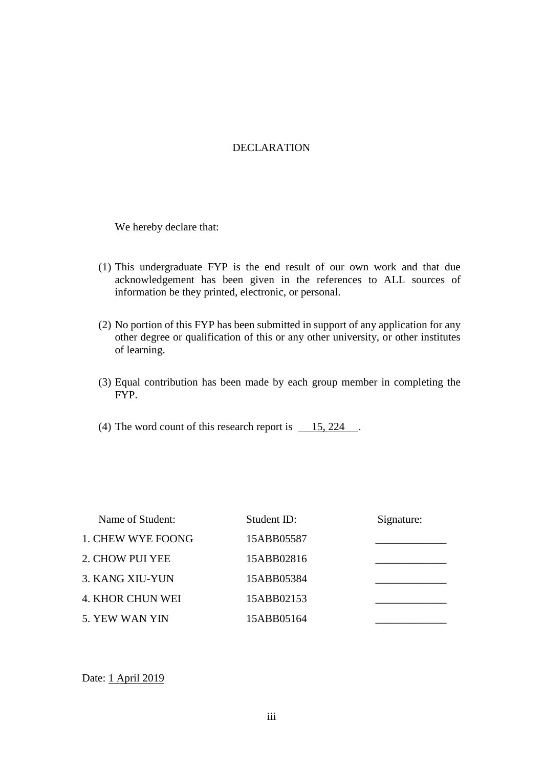### DECLARATION

We hereby declare that:

- (1) This undergraduate FYP is the end result of our own work and that due acknowledgement has been given in the references to ALL sources of information be they printed, electronic, or personal.
- (2) No portion of this FYP has been submitted in support of any application for any other degree or qualification of this or any other university, or other institutes of learning.
- (3) Equal contribution has been made by each group member in completing the FYP.
- (4) The word count of this research report is  $\qquad 15, 224$ .

| Name of Student:        | Student ID: | Signature: |
|-------------------------|-------------|------------|
| 1. CHEW WYE FOONG       | 15ABB05587  |            |
| 2. CHOW PUI YEE         | 15ABB02816  |            |
| 3. KANG XIU-YUN         | 15ABB05384  |            |
| <b>4. KHOR CHUN WEI</b> | 15ABB02153  |            |
| 5. YEW WAN YIN          | 15ABB05164  |            |

Date: 1 April 2019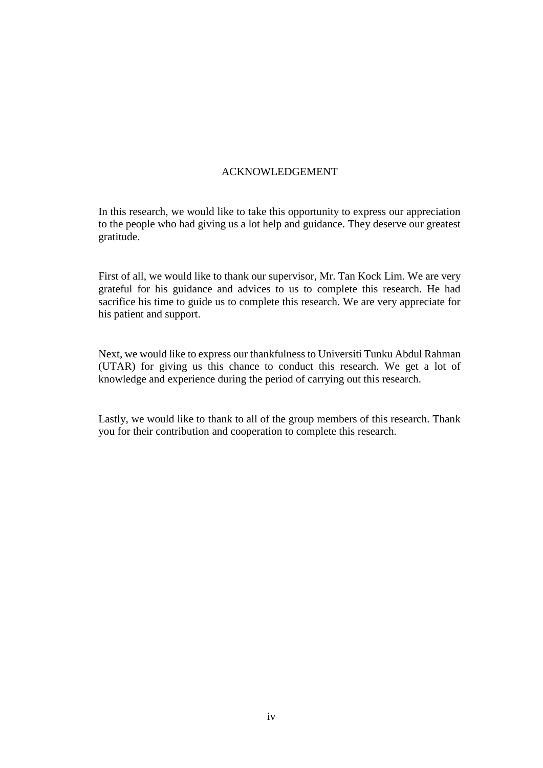#### ACKNOWLEDGEMENT

In this research, we would like to take this opportunity to express our appreciation to the people who had giving us a lot help and guidance. They deserve our greatest gratitude.

First of all, we would like to thank our supervisor, Mr. Tan Kock Lim. We are very grateful for his guidance and advices to us to complete this research. He had sacrifice his time to guide us to complete this research. We are very appreciate for his patient and support.

Next, we would like to express our thankfulness to Universiti Tunku Abdul Rahman (UTAR) for giving us this chance to conduct this research. We get a lot of knowledge and experience during the period of carrying out this research.

Lastly, we would like to thank to all of the group members of this research. Thank you for their contribution and cooperation to complete this research.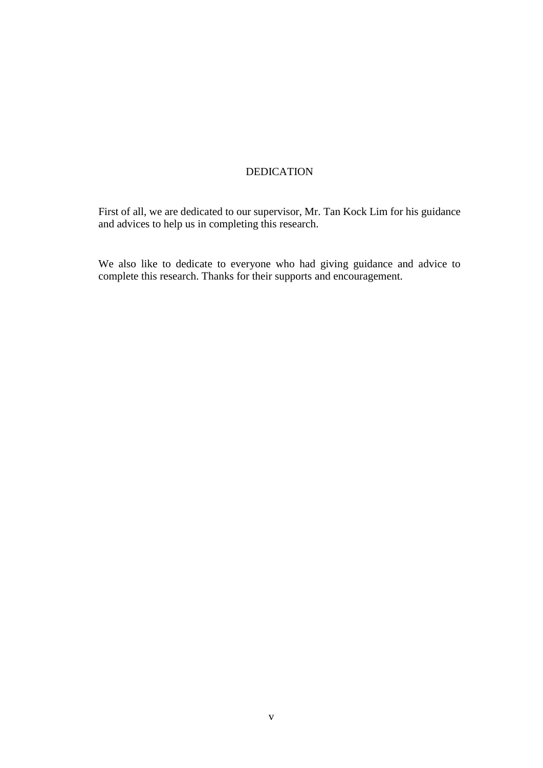### DEDICATION

First of all, we are dedicated to our supervisor, Mr. Tan Kock Lim for his guidance and advices to help us in completing this research.

We also like to dedicate to everyone who had giving guidance and advice to complete this research. Thanks for their supports and encouragement.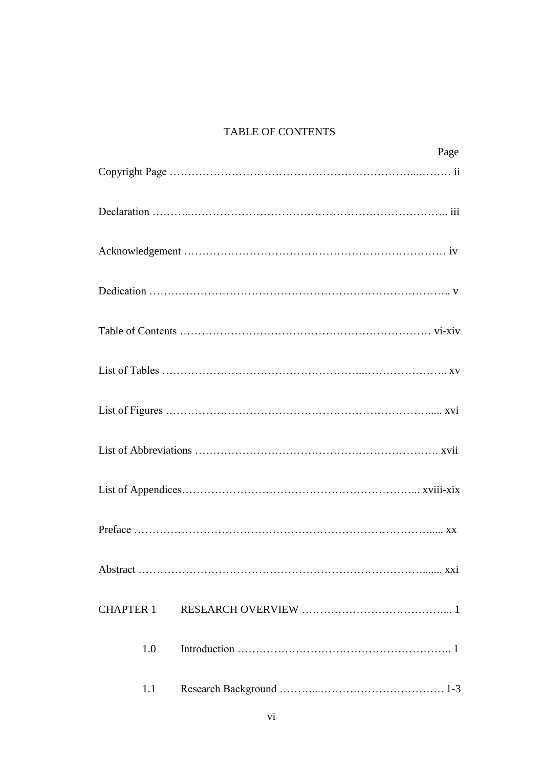### TABLE OF CONTENTS

| Page             |
|------------------|
|                  |
|                  |
|                  |
|                  |
|                  |
|                  |
|                  |
|                  |
|                  |
|                  |
|                  |
| <b>CHAPTER 1</b> |
| 1.0              |
| 1.1              |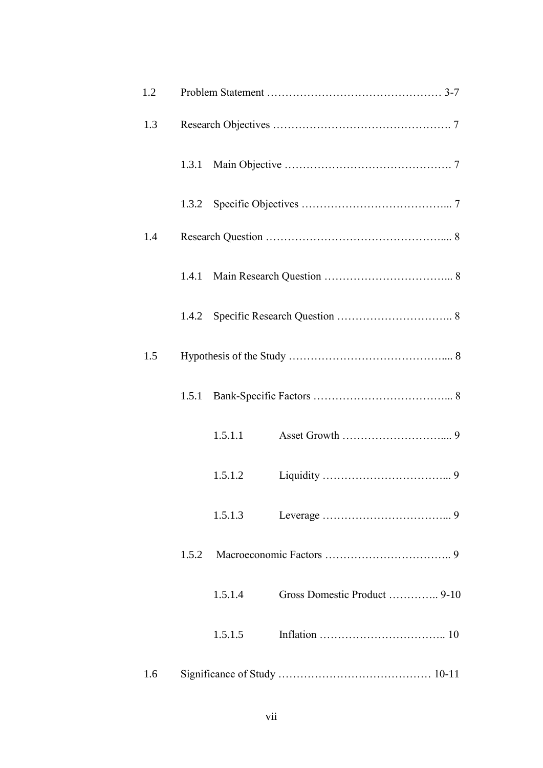| 1.2 |                                         |
|-----|-----------------------------------------|
| 1.3 |                                         |
|     |                                         |
|     | 1.3.2                                   |
| 1.4 |                                         |
|     |                                         |
|     | 1.4.2                                   |
| 1.5 |                                         |
|     | 1.5.1                                   |
|     | 1.5.1.1                                 |
|     | 1.5.1.2                                 |
|     | 1.5.1.3                                 |
|     | 1.5.2                                   |
|     | Gross Domestic Product  9-10<br>1.5.1.4 |
|     | 1.5.1.5                                 |
| 1.6 |                                         |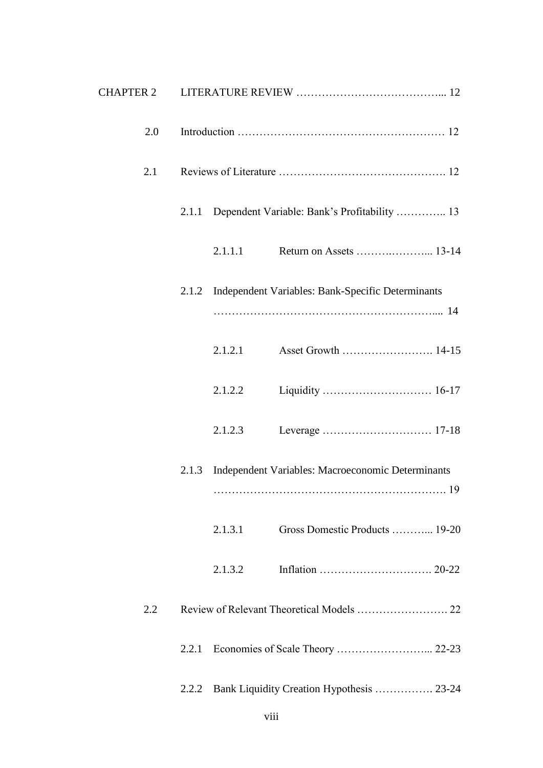| 2.0 |       |         |                                                         |
|-----|-------|---------|---------------------------------------------------------|
| 2.1 |       |         |                                                         |
|     |       |         | 2.1.1 Dependent Variable: Bank's Profitability  13      |
|     |       | 2.1.1.1 |                                                         |
|     |       |         | 2.1.2 Independent Variables: Bank-Specific Determinants |
|     |       | 2.1.2.1 |                                                         |
|     |       | 2.1.2.2 |                                                         |
|     |       | 2.1.2.3 |                                                         |
|     | 2.1.3 |         | Independent Variables: Macroeconomic Determinants       |
|     |       | 2.1.3.1 | Gross Domestic Products  19-20                          |
|     |       | 2.1.3.2 |                                                         |
| 2.2 |       |         |                                                         |
|     | 2.2.1 |         |                                                         |
|     | 2.2.2 |         | Bank Liquidity Creation Hypothesis  23-24               |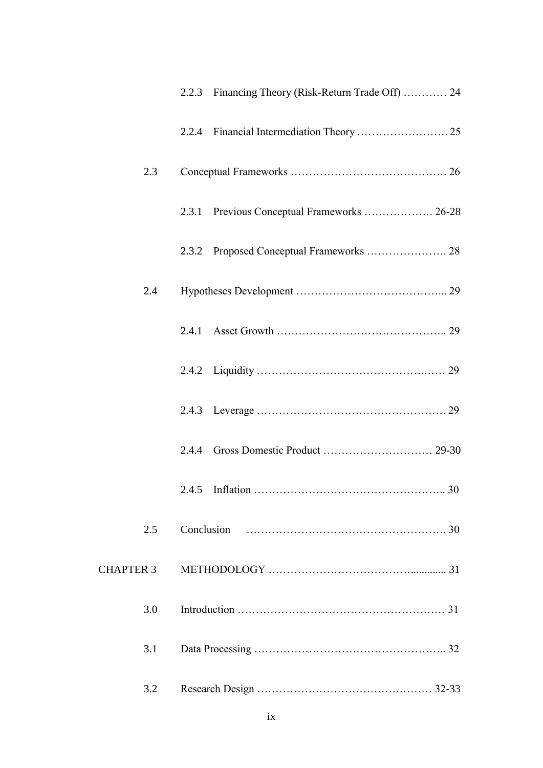|           | 2.2.3 Financing Theory (Risk-Return Trade Off)  24 |
|-----------|----------------------------------------------------|
|           |                                                    |
| 2.3       |                                                    |
|           | 2.3.1 Previous Conceptual Frameworks  26-28        |
|           |                                                    |
| 2.4       |                                                    |
|           |                                                    |
|           |                                                    |
|           |                                                    |
|           | 2.4.4                                              |
|           |                                                    |
| 2.5       | Conclusion                                         |
| CHAPTER 3 |                                                    |
| 3.0       |                                                    |
| 3.1       |                                                    |
| 3.2       |                                                    |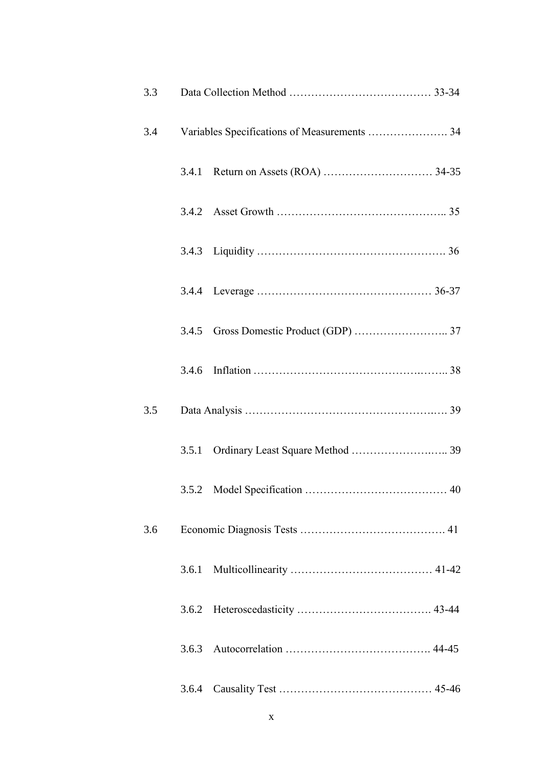| 3.3 |       |                                              |
|-----|-------|----------------------------------------------|
| 3.4 |       | Variables Specifications of Measurements  34 |
|     |       |                                              |
|     |       |                                              |
|     |       |                                              |
|     |       |                                              |
|     |       |                                              |
|     |       |                                              |
| 3.5 |       |                                              |
|     |       |                                              |
|     |       |                                              |
| 3.6 |       |                                              |
|     | 3.6.1 |                                              |
|     | 3.6.2 |                                              |
|     | 3.6.3 |                                              |
|     | 3.6.4 |                                              |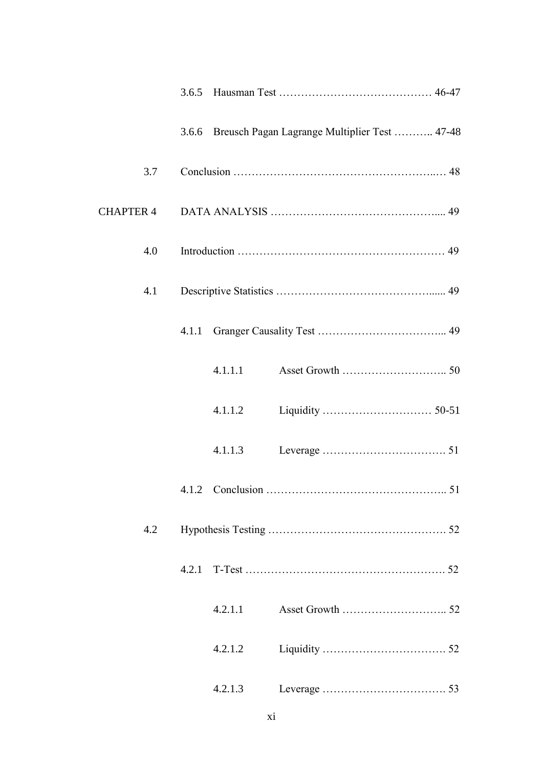|     |       |         | 3.6.6 Breusch Pagan Lagrange Multiplier Test  47-48 |
|-----|-------|---------|-----------------------------------------------------|
| 3.7 |       |         |                                                     |
|     |       |         |                                                     |
| 4.0 |       |         |                                                     |
| 4.1 |       |         |                                                     |
|     |       |         |                                                     |
|     |       | 4.1.1.1 |                                                     |
|     |       | 4.1.1.2 |                                                     |
|     |       | 4.1.1.3 |                                                     |
|     |       |         |                                                     |
| 4.2 |       |         |                                                     |
|     | 4.2.1 |         |                                                     |
|     |       | 4.2.1.1 |                                                     |
|     |       | 4.2.1.2 |                                                     |
|     |       | 4.2.1.3 |                                                     |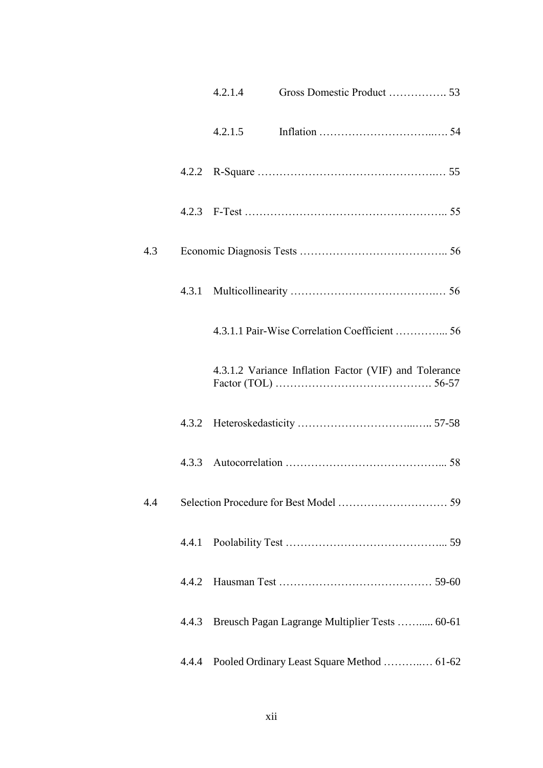|     |       | 4.2.1.4 | Gross Domestic Product  53                            |
|-----|-------|---------|-------------------------------------------------------|
|     |       | 4.2.1.5 |                                                       |
|     |       |         |                                                       |
|     |       |         |                                                       |
| 4.3 |       |         |                                                       |
|     |       |         |                                                       |
|     |       |         |                                                       |
|     |       |         | 4.3.1.2 Variance Inflation Factor (VIF) and Tolerance |
|     | 4.3.2 |         |                                                       |
|     |       |         |                                                       |
| 4.4 |       |         |                                                       |
|     | 4.4.1 |         |                                                       |
|     | 4.4.2 |         |                                                       |
|     | 4.4.3 |         | Breusch Pagan Lagrange Multiplier Tests  60-61        |
|     | 4.4.4 |         | Pooled Ordinary Least Square Method  61-62            |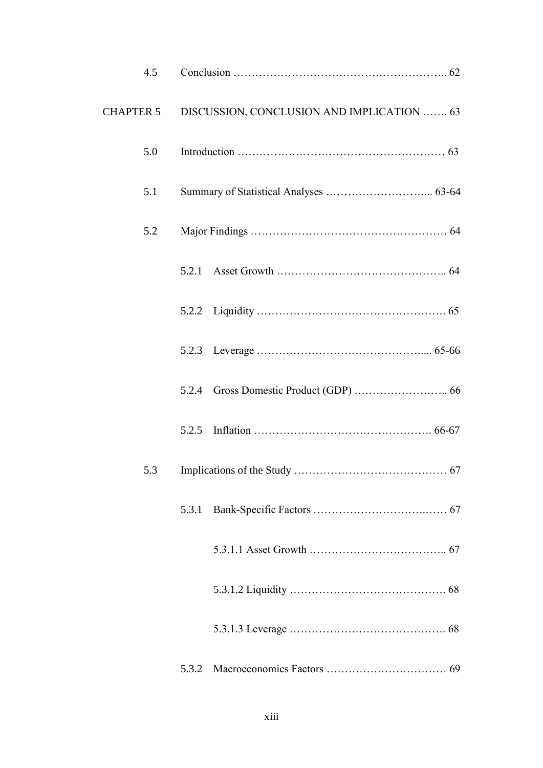| 4.5              |       |                                            |
|------------------|-------|--------------------------------------------|
| <b>CHAPTER 5</b> |       | DISCUSSION, CONCLUSION AND IMPLICATION  63 |
| 5.0              |       |                                            |
| 5.1              |       |                                            |
| 5.2              |       |                                            |
|                  | 5.2.1 |                                            |
|                  |       |                                            |
|                  |       |                                            |
|                  |       |                                            |
|                  | 5.2.5 |                                            |
| 5.3              |       |                                            |
|                  | 5.3.1 |                                            |
|                  |       |                                            |
|                  |       |                                            |
|                  |       |                                            |
|                  | 5.3.2 |                                            |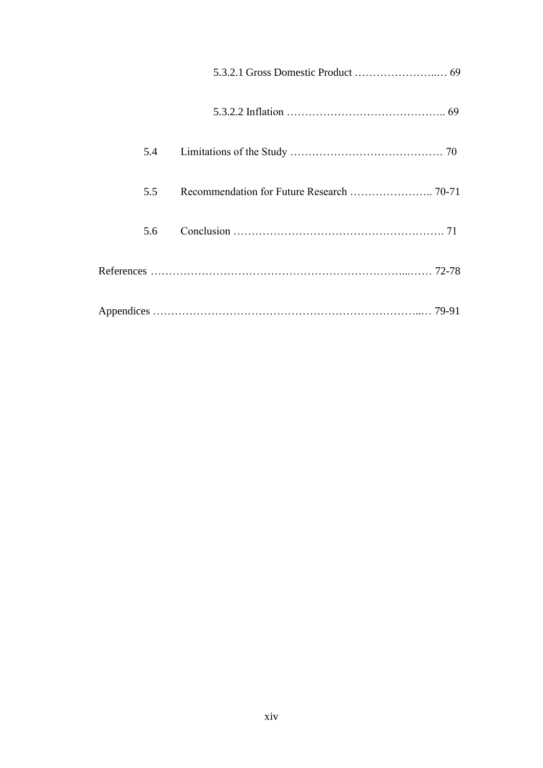| 5.4 |  |
|-----|--|
| 5.5 |  |
| 5.6 |  |
|     |  |
|     |  |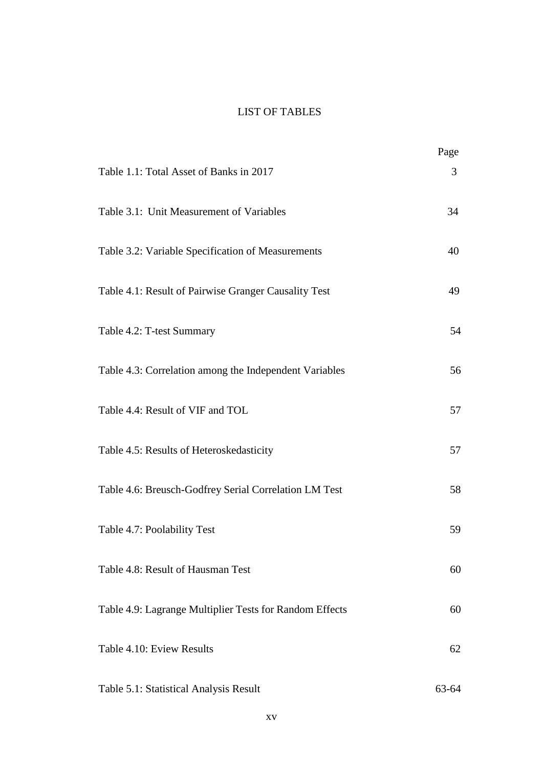### LIST OF TABLES

|                                                         | Page  |
|---------------------------------------------------------|-------|
| Table 1.1: Total Asset of Banks in 2017                 | 3     |
| Table 3.1: Unit Measurement of Variables                | 34    |
| Table 3.2: Variable Specification of Measurements       | 40    |
| Table 4.1: Result of Pairwise Granger Causality Test    | 49    |
| Table 4.2: T-test Summary                               | 54    |
| Table 4.3: Correlation among the Independent Variables  | 56    |
| Table 4.4: Result of VIF and TOL                        | 57    |
| Table 4.5: Results of Heteroskedasticity                | 57    |
| Table 4.6: Breusch-Godfrey Serial Correlation LM Test   | 58    |
| Table 4.7: Poolability Test                             | 59    |
| Table 4.8: Result of Hausman Test                       | 60    |
| Table 4.9: Lagrange Multiplier Tests for Random Effects | 60    |
| Table 4.10: Eview Results                               | 62    |
| Table 5.1: Statistical Analysis Result                  | 63-64 |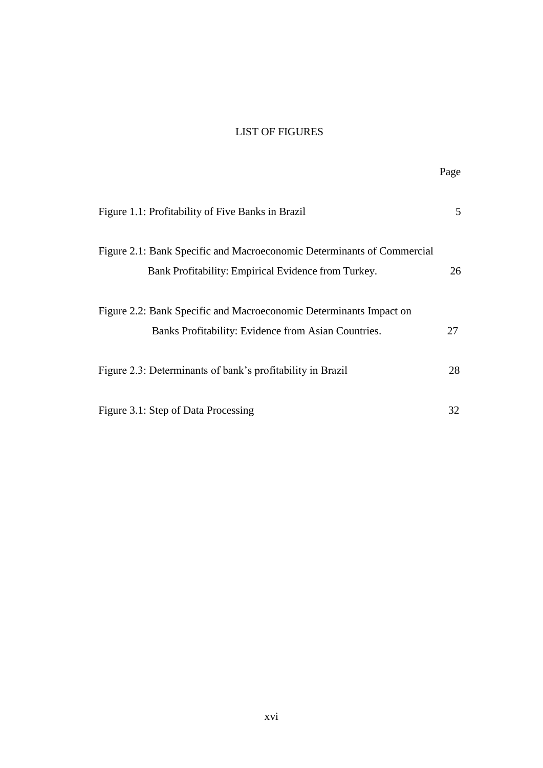### LIST OF FIGURES

|                                                                                                                               | Page |
|-------------------------------------------------------------------------------------------------------------------------------|------|
| Figure 1.1: Profitability of Five Banks in Brazil                                                                             | 5    |
| Figure 2.1: Bank Specific and Macroeconomic Determinants of Commercial<br>Bank Profitability: Empirical Evidence from Turkey. | 26   |
| Figure 2.2: Bank Specific and Macroeconomic Determinants Impact on<br>Banks Profitability: Evidence from Asian Countries.     | 27   |
| Figure 2.3: Determinants of bank's profitability in Brazil                                                                    | 28   |
| Figure 3.1: Step of Data Processing                                                                                           | 32   |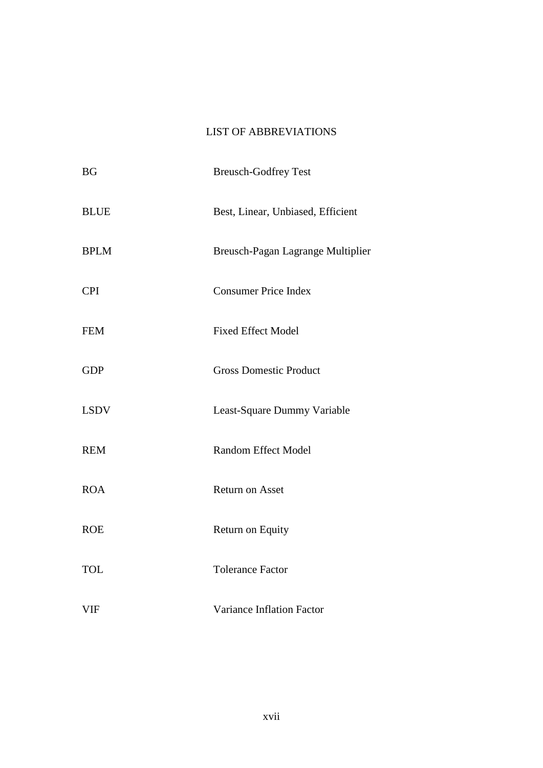### LIST OF ABBREVIATIONS

| <b>BG</b>   | <b>Breusch-Godfrey Test</b>       |
|-------------|-----------------------------------|
| <b>BLUE</b> | Best, Linear, Unbiased, Efficient |
| <b>BPLM</b> | Breusch-Pagan Lagrange Multiplier |
| <b>CPI</b>  | <b>Consumer Price Index</b>       |
| <b>FEM</b>  | <b>Fixed Effect Model</b>         |
| <b>GDP</b>  | <b>Gross Domestic Product</b>     |
| <b>LSDV</b> | Least-Square Dummy Variable       |
| <b>REM</b>  | <b>Random Effect Model</b>        |
| <b>ROA</b>  | <b>Return on Asset</b>            |
| <b>ROE</b>  | Return on Equity                  |
| <b>TOL</b>  | <b>Tolerance Factor</b>           |
| <b>VIF</b>  | Variance Inflation Factor         |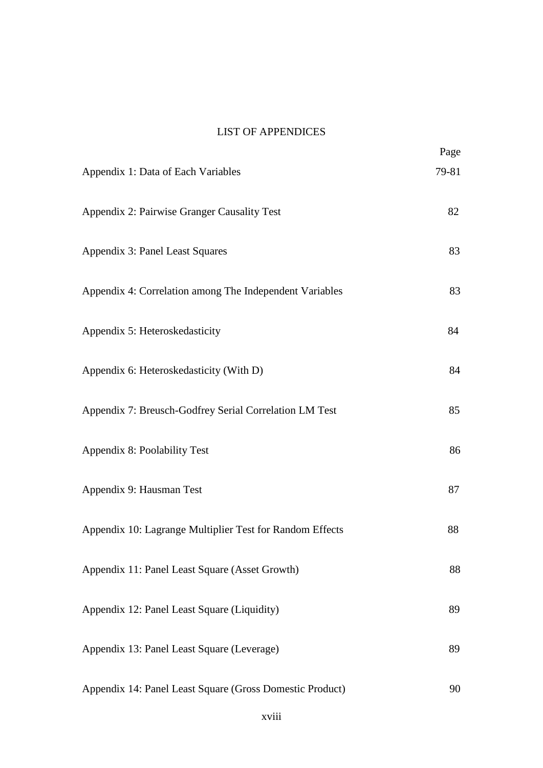### LIST OF APPENDICES

|                                                          | Page  |
|----------------------------------------------------------|-------|
| Appendix 1: Data of Each Variables                       | 79-81 |
| Appendix 2: Pairwise Granger Causality Test              | 82    |
| Appendix 3: Panel Least Squares                          | 83    |
| Appendix 4: Correlation among The Independent Variables  | 83    |
| Appendix 5: Heteroskedasticity                           | 84    |
| Appendix 6: Heteroskedasticity (With D)                  | 84    |
| Appendix 7: Breusch-Godfrey Serial Correlation LM Test   | 85    |
| Appendix 8: Poolability Test                             | 86    |
| Appendix 9: Hausman Test                                 | 87    |
| Appendix 10: Lagrange Multiplier Test for Random Effects | 88    |
| Appendix 11: Panel Least Square (Asset Growth)           | 88    |
| Appendix 12: Panel Least Square (Liquidity)              | 89    |
| Appendix 13: Panel Least Square (Leverage)               | 89    |
| Appendix 14: Panel Least Square (Gross Domestic Product) | 90    |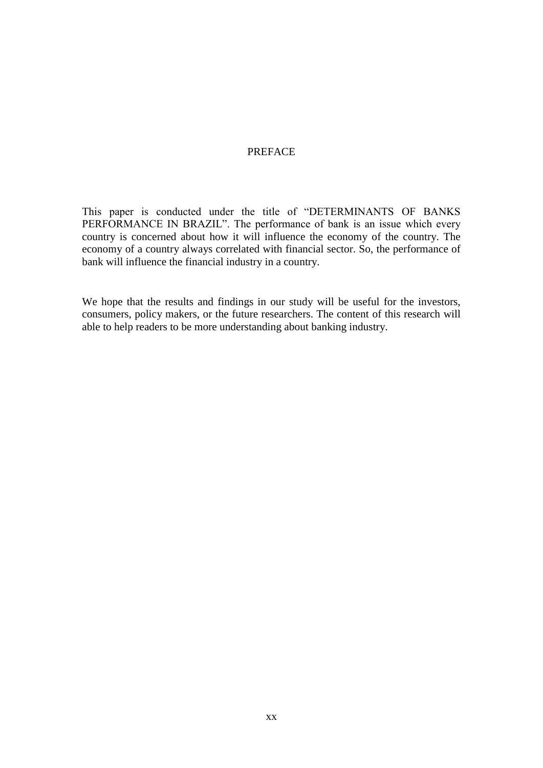#### PREFACE

This paper is conducted under the title of "DETERMINANTS OF BANKS PERFORMANCE IN BRAZIL". The performance of bank is an issue which every country is concerned about how it will influence the economy of the country. The economy of a country always correlated with financial sector. So, the performance of bank will influence the financial industry in a country.

We hope that the results and findings in our study will be useful for the investors, consumers, policy makers, or the future researchers. The content of this research will able to help readers to be more understanding about banking industry.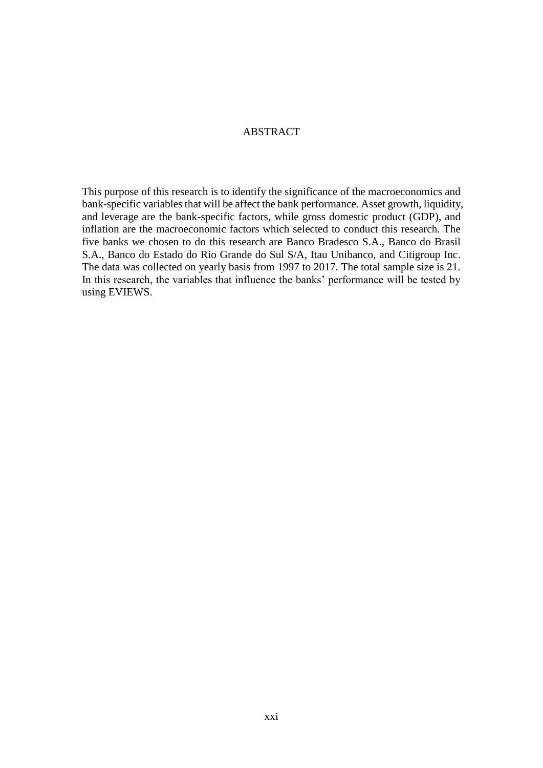#### ABSTRACT

This purpose of this research is to identify the significance of the macroeconomics and bank-specific variables that will be affect the bank performance. Asset growth, liquidity, and leverage are the bank-specific factors, while gross domestic product (GDP), and inflation are the macroeconomic factors which selected to conduct this research. The five banks we chosen to do this research are Banco Bradesco S.A., Banco do Brasil S.A., Banco do Estado do Rio Grande do Sul S/A, Itau Unibanco, and Citigroup Inc. The data was collected on yearly basis from 1997 to 2017. The total sample size is 21. In this research, the variables that influence the banks' performance will be tested by using EVIEWS.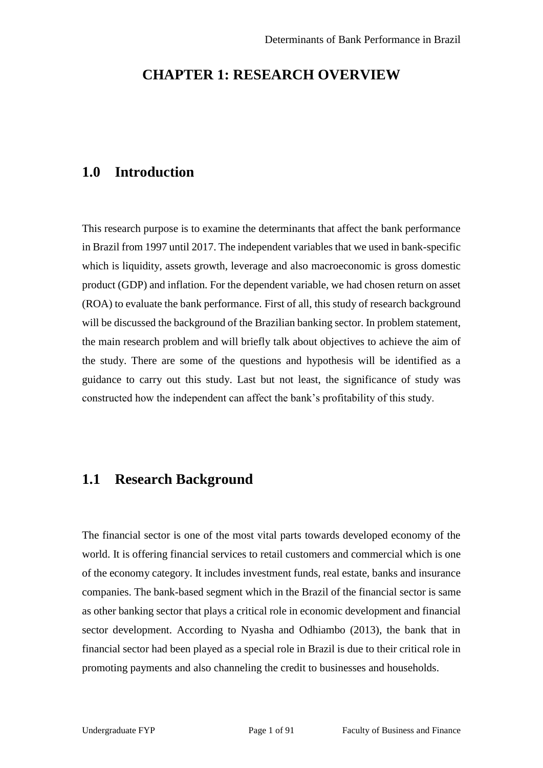## **CHAPTER 1: RESEARCH OVERVIEW**

### **1.0 Introduction**

This research purpose is to examine the determinants that affect the bank performance in Brazil from 1997 until 2017. The independent variables that we used in bank-specific which is liquidity, assets growth, leverage and also macroeconomic is gross domestic product (GDP) and inflation. For the dependent variable, we had chosen return on asset (ROA) to evaluate the bank performance. First of all, this study of research background will be discussed the background of the Brazilian banking sector. In problem statement, the main research problem and will briefly talk about objectives to achieve the aim of the study. There are some of the questions and hypothesis will be identified as a guidance to carry out this study. Last but not least, the significance of study was constructed how the independent can affect the bank's profitability of this study.

## **1.1 Research Background**

The financial sector is one of the most vital parts towards developed economy of the world. It is offering financial services to retail customers and commercial which is one of the economy category. It includes investment funds, real estate, banks and insurance companies. The bank-based segment which in the Brazil of the financial sector is same as other banking sector that plays a critical role in economic development and financial sector development. According to Nyasha and Odhiambo (2013), the bank that in financial sector had been played as a special role in Brazil is due to their critical role in promoting payments and also channeling the credit to businesses and households.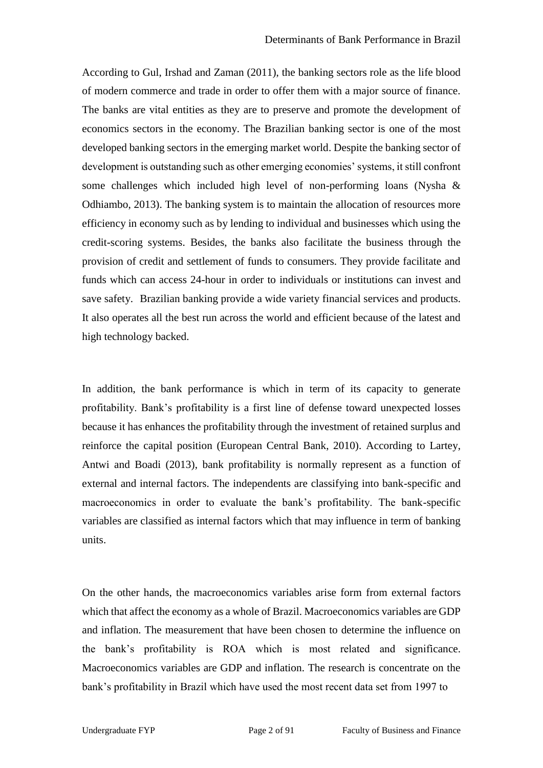According to Gul, Irshad and Zaman (2011), the banking sectors role as the life blood of modern commerce and trade in order to offer them with a major source of finance. The banks are vital entities as they are to preserve and promote the development of economics sectors in the economy. The Brazilian banking sector is one of the most developed banking sectors in the emerging market world. Despite the banking sector of development is outstanding such as other emerging economies' systems, it still confront some challenges which included high level of non-performing loans (Nysha & Odhiambo, 2013). The banking system is to maintain the allocation of resources more efficiency in economy such as by lending to individual and businesses which using the credit-scoring systems. Besides, the banks also facilitate the business through the provision of credit and settlement of funds to consumers. They provide facilitate and funds which can access 24-hour in order to individuals or institutions can invest and save safety. Brazilian banking provide a wide variety financial services and products. It also operates all the best run across the world and efficient because of the latest and high technology backed.

In addition, the bank performance is which in term of its capacity to generate profitability. Bank's profitability is a first line of defense toward unexpected losses because it has enhances the profitability through the investment of retained surplus and reinforce the capital position (European Central Bank, 2010). According to Lartey, Antwi and Boadi (2013), bank profitability is normally represent as a function of external and internal factors. The independents are classifying into bank-specific and macroeconomics in order to evaluate the bank's profitability. The bank-specific variables are classified as internal factors which that may influence in term of banking units.

On the other hands, the macroeconomics variables arise form from external factors which that affect the economy as a whole of Brazil. Macroeconomics variables are GDP and inflation. The measurement that have been chosen to determine the influence on the bank's profitability is ROA which is most related and significance. Macroeconomics variables are GDP and inflation. The research is concentrate on the bank's profitability in Brazil which have used the most recent data set from 1997 to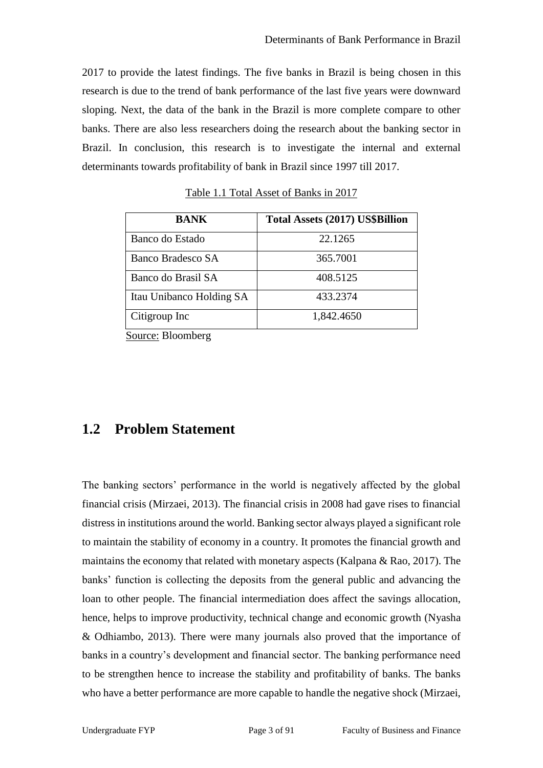2017 to provide the latest findings. The five banks in Brazil is being chosen in this research is due to the trend of bank performance of the last five years were downward sloping. Next, the data of the bank in the Brazil is more complete compare to other banks. There are also less researchers doing the research about the banking sector in Brazil. In conclusion, this research is to investigate the internal and external determinants towards profitability of bank in Brazil since 1997 till 2017.

| <b>BANK</b>              | <b>Total Assets (2017) US\$Billion</b> |
|--------------------------|----------------------------------------|
| Banco do Estado          | 22.1265                                |
| Banco Bradesco SA        | 365.7001                               |
| Banco do Brasil SA       | 408.5125                               |
| Itau Unibanco Holding SA | 433.2374                               |
| Citigroup Inc            | 1,842.4650                             |

Table 1.1 Total Asset of Banks in 2017

Source: Bloomberg

## **1.2 Problem Statement**

The banking sectors' performance in the world is negatively affected by the global financial crisis (Mirzaei, 2013). The financial crisis in 2008 had gave rises to financial distress in institutions around the world. Banking sector always played a significant role to maintain the stability of economy in a country. It promotes the financial growth and maintains the economy that related with monetary aspects (Kalpana  $\&$  Rao, 2017). The banks' function is collecting the deposits from the general public and advancing the loan to other people. The financial intermediation does affect the savings allocation, hence, helps to improve productivity, technical change and economic growth (Nyasha & Odhiambo, 2013). There were many journals also proved that the importance of banks in a country's development and financial sector. The banking performance need to be strengthen hence to increase the stability and profitability of banks. The banks who have a better performance are more capable to handle the negative shock (Mirzaei,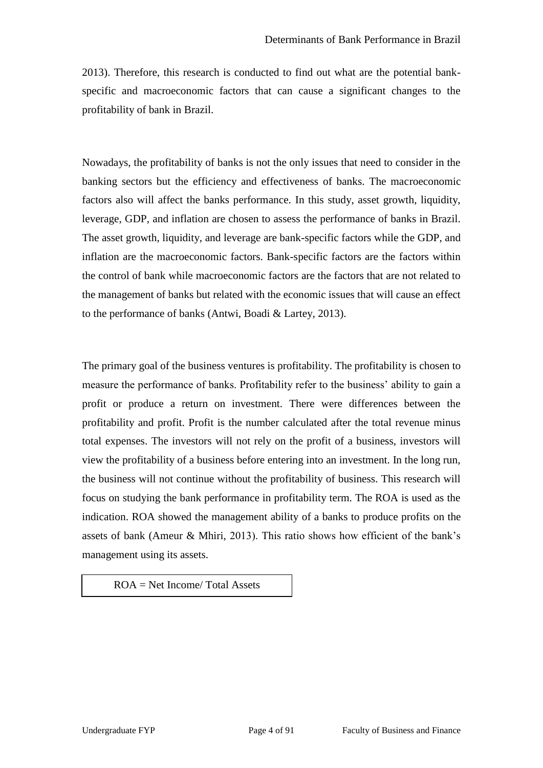2013). Therefore, this research is conducted to find out what are the potential bankspecific and macroeconomic factors that can cause a significant changes to the profitability of bank in Brazil.

Nowadays, the profitability of banks is not the only issues that need to consider in the banking sectors but the efficiency and effectiveness of banks. The macroeconomic factors also will affect the banks performance. In this study, asset growth, liquidity, leverage, GDP, and inflation are chosen to assess the performance of banks in Brazil. The asset growth, liquidity, and leverage are bank-specific factors while the GDP, and inflation are the macroeconomic factors. Bank-specific factors are the factors within the control of bank while macroeconomic factors are the factors that are not related to the management of banks but related with the economic issues that will cause an effect to the performance of banks (Antwi, Boadi & Lartey, 2013).

The primary goal of the business ventures is profitability. The profitability is chosen to measure the performance of banks. Profitability refer to the business' ability to gain a profit or produce a return on investment. There were differences between the profitability and profit. Profit is the number calculated after the total revenue minus total expenses. The investors will not rely on the profit of a business, investors will view the profitability of a business before entering into an investment. In the long run, the business will not continue without the profitability of business. This research will focus on studying the bank performance in profitability term. The ROA is used as the indication. ROA showed the management ability of a banks to produce profits on the assets of bank (Ameur & Mhiri, 2013). This ratio shows how efficient of the bank's management using its assets.

ROA = Net Income/ Total Assets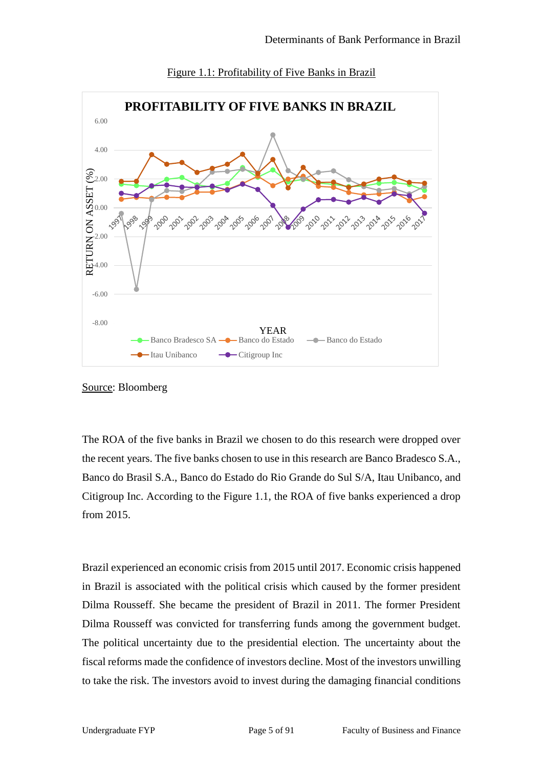

Figure 1.1: Profitability of Five Banks in Brazil

The ROA of the five banks in Brazil we chosen to do this research were dropped over the recent years. The five banks chosen to use in this research are Banco Bradesco S.A., Banco do Brasil S.A., Banco do Estado do Rio Grande do Sul S/A, Itau Unibanco, and Citigroup Inc. According to the Figure 1.1, the ROA of five banks experienced a drop from 2015.

Brazil experienced an economic crisis from 2015 until 2017. Economic crisis happened in Brazil is associated with the political crisis which caused by the former president Dilma Rousseff. She became the president of Brazil in 2011. The former President Dilma Rousseff was convicted for transferring funds among the government budget. The political uncertainty due to the presidential election. The uncertainty about the fiscal reforms made the confidence of investors decline. Most of the investors unwilling to take the risk. The investors avoid to invest during the damaging financial conditions

Source: Bloomberg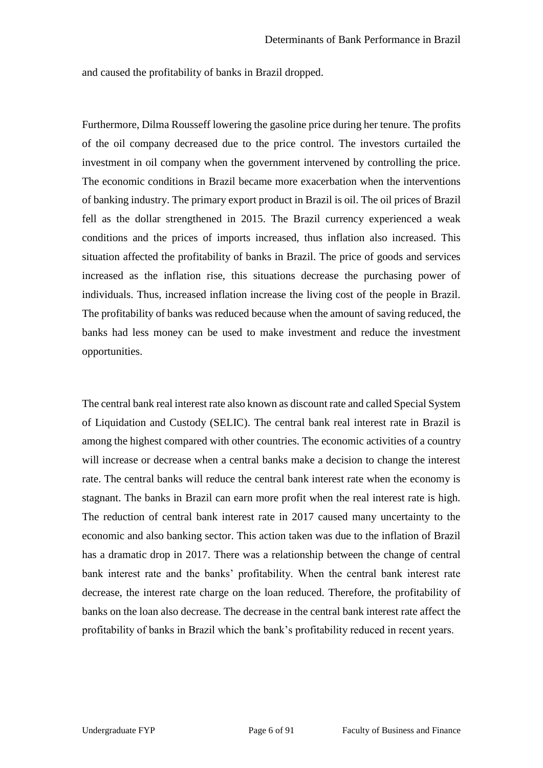and caused the profitability of banks in Brazil dropped.

Furthermore, Dilma Rousseff lowering the gasoline price during her tenure. The profits of the oil company decreased due to the price control. The investors curtailed the investment in oil company when the government intervened by controlling the price. The economic conditions in Brazil became more exacerbation when the interventions of banking industry. The primary export product in Brazil is oil. The oil prices of Brazil fell as the dollar strengthened in 2015. The Brazil currency experienced a weak conditions and the prices of imports increased, thus inflation also increased. This situation affected the profitability of banks in Brazil. The price of goods and services increased as the inflation rise, this situations decrease the purchasing power of individuals. Thus, increased inflation increase the living cost of the people in Brazil. The profitability of banks was reduced because when the amount of saving reduced, the banks had less money can be used to make investment and reduce the investment opportunities.

The central bank real interest rate also known as discount rate and called Special System of Liquidation and Custody (SELIC). The central bank real interest rate in Brazil is among the highest compared with other countries. The economic activities of a country will increase or decrease when a central banks make a decision to change the interest rate. The central banks will reduce the central bank interest rate when the economy is stagnant. The banks in Brazil can earn more profit when the real interest rate is high. The reduction of central bank interest rate in 2017 caused many uncertainty to the economic and also banking sector. This action taken was due to the inflation of Brazil has a dramatic drop in 2017. There was a relationship between the change of central bank interest rate and the banks' profitability. When the central bank interest rate decrease, the interest rate charge on the loan reduced. Therefore, the profitability of banks on the loan also decrease. The decrease in the central bank interest rate affect the profitability of banks in Brazil which the bank's profitability reduced in recent years.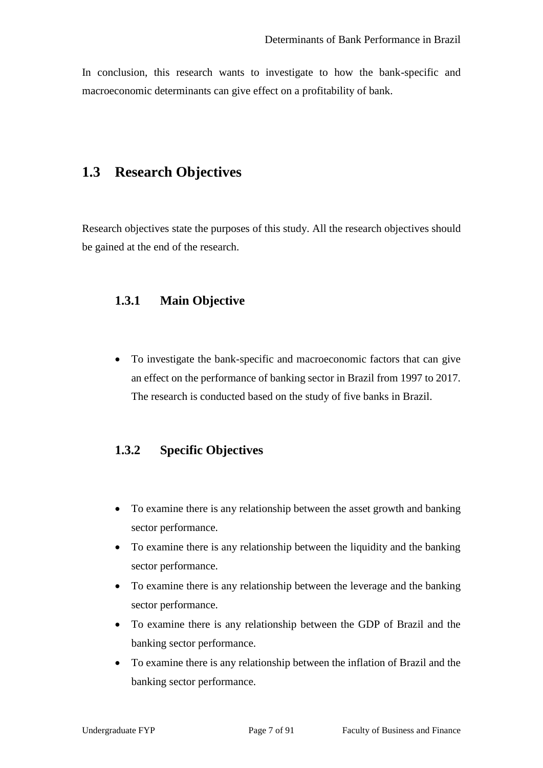In conclusion, this research wants to investigate to how the bank-specific and macroeconomic determinants can give effect on a profitability of bank.

## **1.3 Research Objectives**

Research objectives state the purposes of this study. All the research objectives should be gained at the end of the research.

### **1.3.1 Main Objective**

• To investigate the bank-specific and macroeconomic factors that can give an effect on the performance of banking sector in Brazil from 1997 to 2017. The research is conducted based on the study of five banks in Brazil.

### **1.3.2 Specific Objectives**

- To examine there is any relationship between the asset growth and banking sector performance.
- To examine there is any relationship between the liquidity and the banking sector performance.
- To examine there is any relationship between the leverage and the banking sector performance.
- To examine there is any relationship between the GDP of Brazil and the banking sector performance.
- To examine there is any relationship between the inflation of Brazil and the banking sector performance.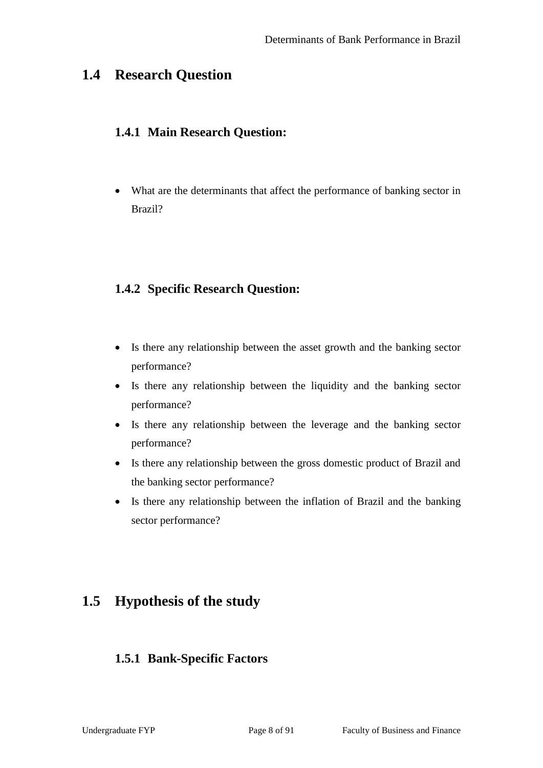# **1.4 Research Question**

### **1.4.1 Main Research Question:**

• What are the determinants that affect the performance of banking sector in Brazil?

## **1.4.2 Specific Research Question:**

- Is there any relationship between the asset growth and the banking sector performance?
- Is there any relationship between the liquidity and the banking sector performance?
- Is there any relationship between the leverage and the banking sector performance?
- Is there any relationship between the gross domestic product of Brazil and the banking sector performance?
- Is there any relationship between the inflation of Brazil and the banking sector performance?

# **1.5 Hypothesis of the study**

### **1.5.1 Bank-Specific Factors**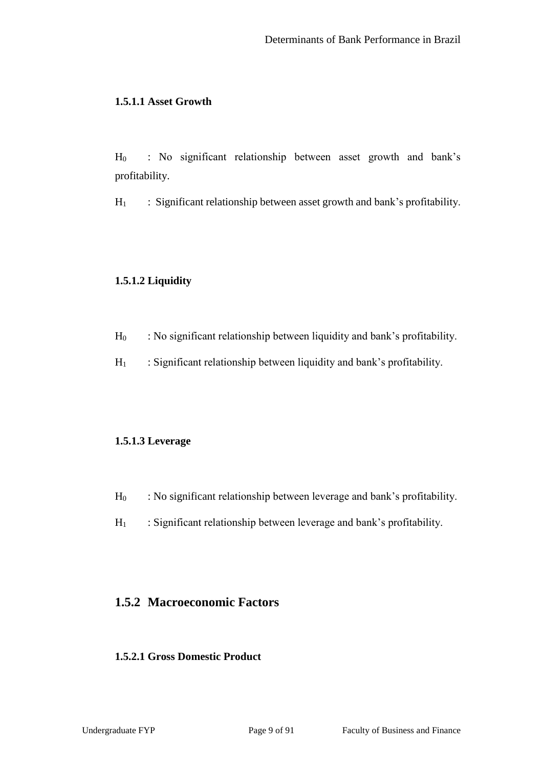#### **1.5.1.1 Asset Growth**

H<sup>0</sup> : No significant relationship between asset growth and bank's profitability.

 $H_1$  : Significant relationship between asset growth and bank's profitability.

### **1.5.1.2 Liquidity**

- $H_0$  : No significant relationship between liquidity and bank's profitability.
- $H_1$  : Significant relationship between liquidity and bank's profitability.

#### **1.5.1.3 Leverage**

- $H_0$  : No significant relationship between leverage and bank's profitability.
- $H_1$  : Significant relationship between leverage and bank's profitability.

### **1.5.2 Macroeconomic Factors**

### **1.5.2.1 Gross Domestic Product**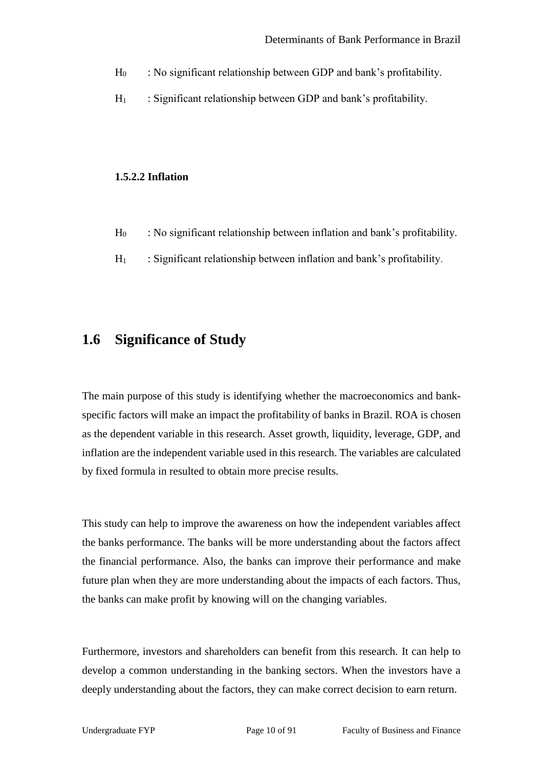- $H_0$  : No significant relationship between GDP and bank's profitability.
- $H_1$  : Significant relationship between GDP and bank's profitability.

#### **1.5.2.2 Inflation**

- H<sup>0</sup> : No significant relationship between inflation and bank's profitability.
- $H_1$  : Significant relationship between inflation and bank's profitability.

## **1.6 Significance of Study**

The main purpose of this study is identifying whether the macroeconomics and bankspecific factors will make an impact the profitability of banks in Brazil. ROA is chosen as the dependent variable in this research. Asset growth, liquidity, leverage, GDP, and inflation are the independent variable used in this research. The variables are calculated by fixed formula in resulted to obtain more precise results.

This study can help to improve the awareness on how the independent variables affect the banks performance. The banks will be more understanding about the factors affect the financial performance. Also, the banks can improve their performance and make future plan when they are more understanding about the impacts of each factors. Thus, the banks can make profit by knowing will on the changing variables.

Furthermore, investors and shareholders can benefit from this research. It can help to develop a common understanding in the banking sectors. When the investors have a deeply understanding about the factors, they can make correct decision to earn return.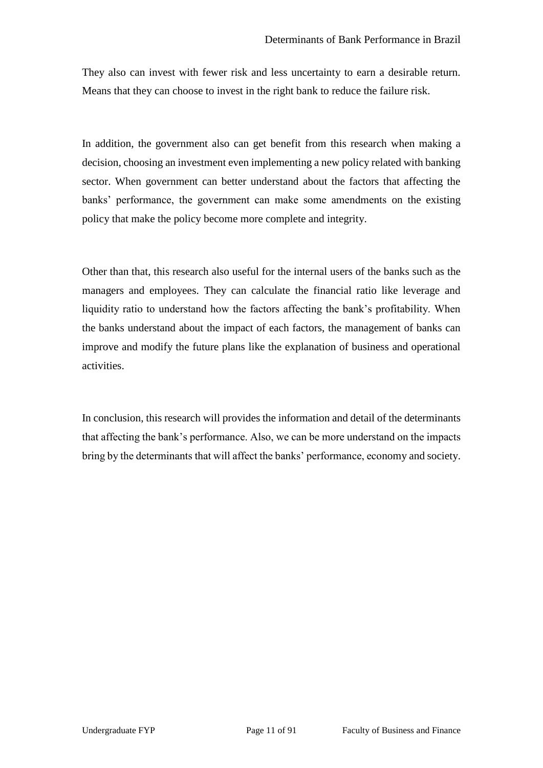They also can invest with fewer risk and less uncertainty to earn a desirable return. Means that they can choose to invest in the right bank to reduce the failure risk.

In addition, the government also can get benefit from this research when making a decision, choosing an investment even implementing a new policy related with banking sector. When government can better understand about the factors that affecting the banks' performance, the government can make some amendments on the existing policy that make the policy become more complete and integrity.

Other than that, this research also useful for the internal users of the banks such as the managers and employees. They can calculate the financial ratio like leverage and liquidity ratio to understand how the factors affecting the bank's profitability. When the banks understand about the impact of each factors, the management of banks can improve and modify the future plans like the explanation of business and operational activities.

In conclusion, this research will provides the information and detail of the determinants that affecting the bank's performance. Also, we can be more understand on the impacts bring by the determinants that will affect the banks' performance, economy and society.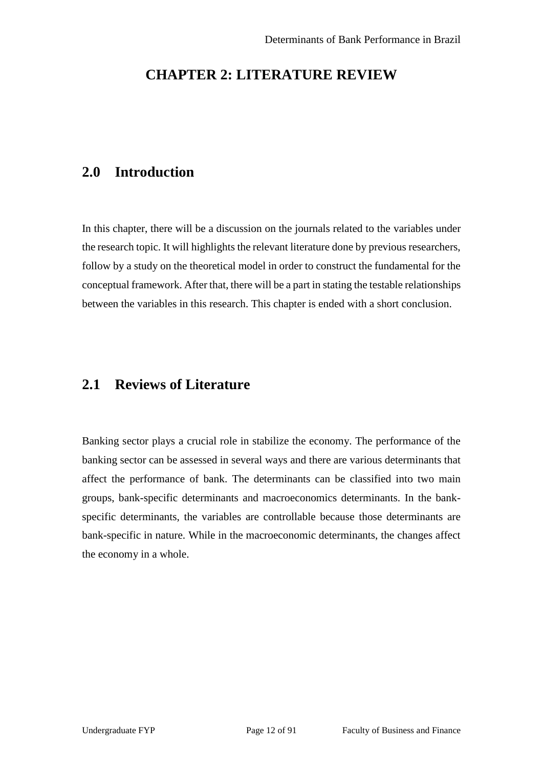# **CHAPTER 2: LITERATURE REVIEW**

# **2.0 Introduction**

In this chapter, there will be a discussion on the journals related to the variables under the research topic. It will highlights the relevant literature done by previous researchers, follow by a study on the theoretical model in order to construct the fundamental for the conceptual framework. After that, there will be a part in stating the testable relationships between the variables in this research. This chapter is ended with a short conclusion.

# **2.1 Reviews of Literature**

Banking sector plays a crucial role in stabilize the economy. The performance of the banking sector can be assessed in several ways and there are various determinants that affect the performance of bank. The determinants can be classified into two main groups, bank-specific determinants and macroeconomics determinants. In the bankspecific determinants, the variables are controllable because those determinants are bank-specific in nature. While in the macroeconomic determinants, the changes affect the economy in a whole.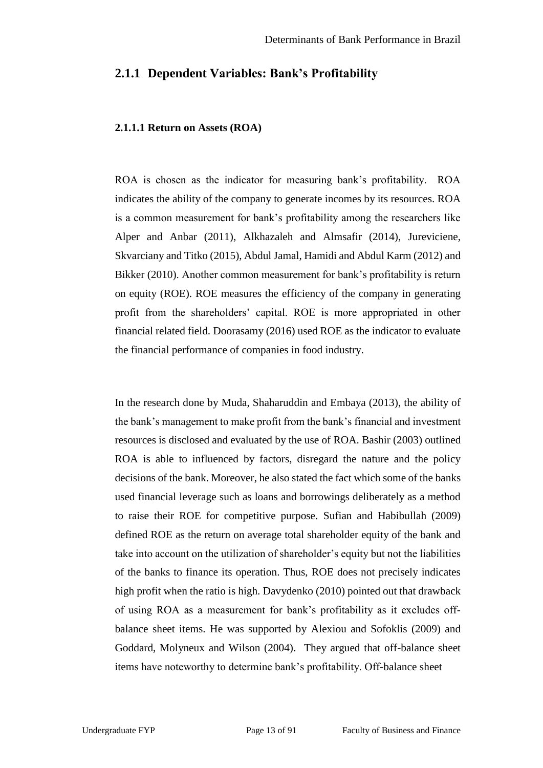### **2.1.1 Dependent Variables: Bank's Profitability**

#### **2.1.1.1 Return on Assets (ROA)**

ROA is chosen as the indicator for measuring bank's profitability. ROA indicates the ability of the company to generate incomes by its resources. ROA is a common measurement for bank's profitability among the researchers like Alper and Anbar (2011), Alkhazaleh and Almsafir (2014), Jureviciene, Skvarciany and Titko (2015), Abdul Jamal, Hamidi and Abdul Karm (2012) and Bikker (2010). Another common measurement for bank's profitability is return on equity (ROE). ROE measures the efficiency of the company in generating profit from the shareholders' capital. ROE is more appropriated in other financial related field. Doorasamy (2016) used ROE as the indicator to evaluate the financial performance of companies in food industry.

In the research done by Muda, Shaharuddin and Embaya (2013), the ability of the bank's management to make profit from the bank's financial and investment resources is disclosed and evaluated by the use of ROA. Bashir (2003) outlined ROA is able to influenced by factors, disregard the nature and the policy decisions of the bank. Moreover, he also stated the fact which some of the banks used financial leverage such as loans and borrowings deliberately as a method to raise their ROE for competitive purpose. Sufian and Habibullah (2009) defined ROE as the return on average total shareholder equity of the bank and take into account on the utilization of shareholder's equity but not the liabilities of the banks to finance its operation. Thus, ROE does not precisely indicates high profit when the ratio is high. Davydenko (2010) pointed out that drawback of using ROA as a measurement for bank's profitability as it excludes offbalance sheet items. He was supported by Alexiou and Sofoklis (2009) and Goddard, Molyneux and Wilson (2004). They argued that off-balance sheet items have noteworthy to determine bank's profitability. Off-balance sheet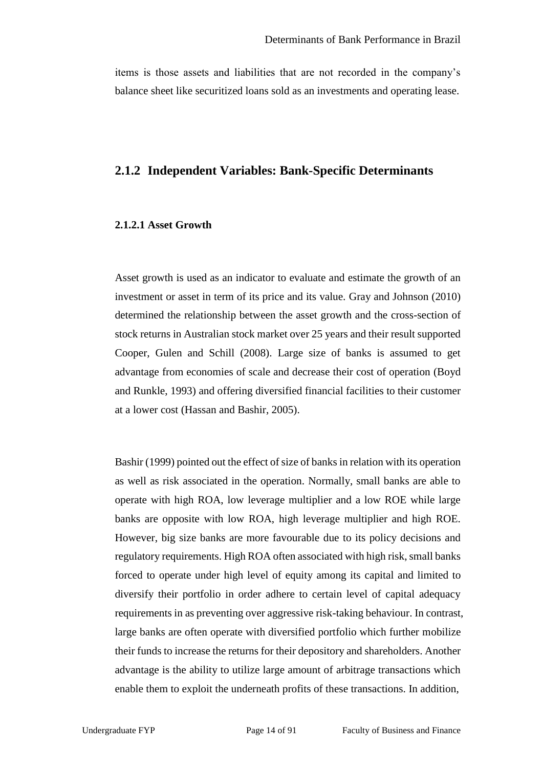items is those assets and liabilities that are not recorded in the company's balance sheet like securitized loans sold as an investments and operating lease.

### **2.1.2 Independent Variables: Bank-Specific Determinants**

#### **2.1.2.1 Asset Growth**

Asset growth is used as an indicator to evaluate and estimate the growth of an investment or asset in term of its price and its value. Gray and Johnson (2010) determined the relationship between the asset growth and the cross-section of stock returns in Australian stock market over 25 years and their result supported Cooper, Gulen and Schill (2008). Large size of banks is assumed to get advantage from economies of scale and decrease their cost of operation (Boyd and Runkle, 1993) and offering diversified financial facilities to their customer at a lower cost (Hassan and Bashir, 2005).

Bashir (1999) pointed out the effect of size of banks in relation with its operation as well as risk associated in the operation. Normally, small banks are able to operate with high ROA, low leverage multiplier and a low ROE while large banks are opposite with low ROA, high leverage multiplier and high ROE. However, big size banks are more favourable due to its policy decisions and regulatory requirements. High ROA often associated with high risk, small banks forced to operate under high level of equity among its capital and limited to diversify their portfolio in order adhere to certain level of capital adequacy requirements in as preventing over aggressive risk-taking behaviour. In contrast, large banks are often operate with diversified portfolio which further mobilize their funds to increase the returns for their depository and shareholders. Another advantage is the ability to utilize large amount of arbitrage transactions which enable them to exploit the underneath profits of these transactions. In addition,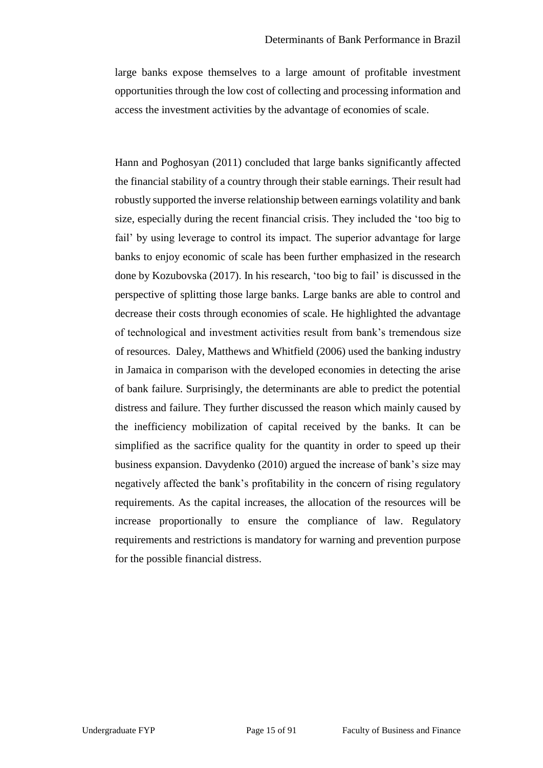large banks expose themselves to a large amount of profitable investment opportunities through the low cost of collecting and processing information and access the investment activities by the advantage of economies of scale.

Hann and Poghosyan (2011) concluded that large banks significantly affected the financial stability of a country through their stable earnings. Their result had robustly supported the inverse relationship between earnings volatility and bank size, especially during the recent financial crisis. They included the 'too big to fail' by using leverage to control its impact. The superior advantage for large banks to enjoy economic of scale has been further emphasized in the research done by Kozubovska (2017). In his research, 'too big to fail' is discussed in the perspective of splitting those large banks. Large banks are able to control and decrease their costs through economies of scale. He highlighted the advantage of technological and investment activities result from bank's tremendous size of resources. Daley, Matthews and Whitfield (2006) used the banking industry in Jamaica in comparison with the developed economies in detecting the arise of bank failure. Surprisingly, the determinants are able to predict the potential distress and failure. They further discussed the reason which mainly caused by the inefficiency mobilization of capital received by the banks. It can be simplified as the sacrifice quality for the quantity in order to speed up their business expansion. Davydenko (2010) argued the increase of bank's size may negatively affected the bank's profitability in the concern of rising regulatory requirements. As the capital increases, the allocation of the resources will be increase proportionally to ensure the compliance of law. Regulatory requirements and restrictions is mandatory for warning and prevention purpose for the possible financial distress.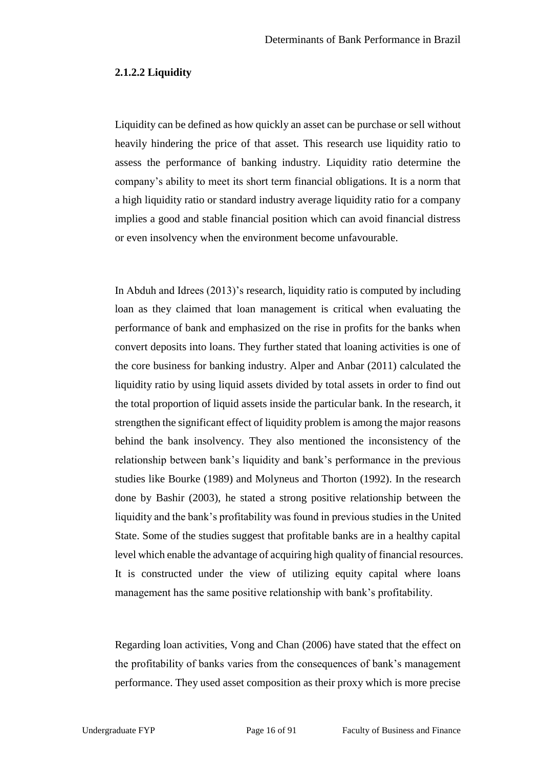#### **2.1.2.2 Liquidity**

Liquidity can be defined as how quickly an asset can be purchase or sell without heavily hindering the price of that asset. This research use liquidity ratio to assess the performance of banking industry. Liquidity ratio determine the company's ability to meet its short term financial obligations. It is a norm that a high liquidity ratio or standard industry average liquidity ratio for a company implies a good and stable financial position which can avoid financial distress or even insolvency when the environment become unfavourable.

In Abduh and Idrees (2013)'s research, liquidity ratio is computed by including loan as they claimed that loan management is critical when evaluating the performance of bank and emphasized on the rise in profits for the banks when convert deposits into loans. They further stated that loaning activities is one of the core business for banking industry. Alper and Anbar (2011) calculated the liquidity ratio by using liquid assets divided by total assets in order to find out the total proportion of liquid assets inside the particular bank. In the research, it strengthen the significant effect of liquidity problem is among the major reasons behind the bank insolvency. They also mentioned the inconsistency of the relationship between bank's liquidity and bank's performance in the previous studies like Bourke (1989) and Molyneus and Thorton (1992). In the research done by Bashir (2003), he stated a strong positive relationship between the liquidity and the bank's profitability was found in previous studies in the United State. Some of the studies suggest that profitable banks are in a healthy capital level which enable the advantage of acquiring high quality of financial resources. It is constructed under the view of utilizing equity capital where loans management has the same positive relationship with bank's profitability.

Regarding loan activities, Vong and Chan (2006) have stated that the effect on the profitability of banks varies from the consequences of bank's management performance. They used asset composition as their proxy which is more precise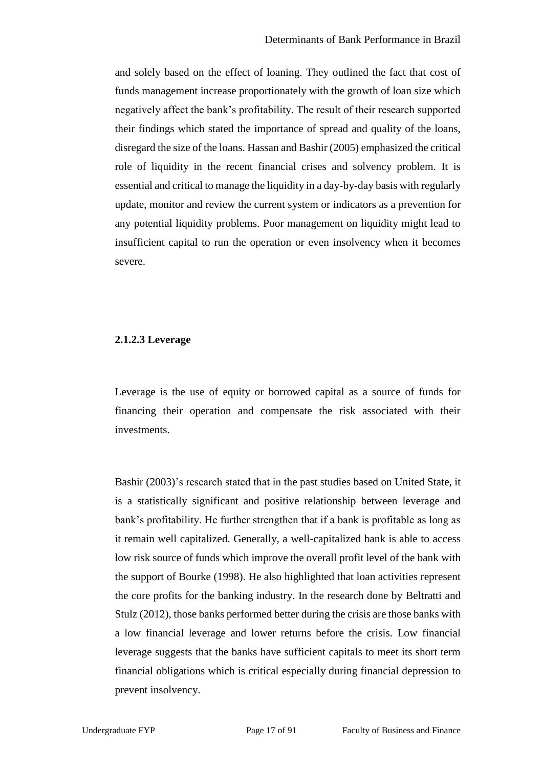and solely based on the effect of loaning. They outlined the fact that cost of funds management increase proportionately with the growth of loan size which negatively affect the bank's profitability. The result of their research supported their findings which stated the importance of spread and quality of the loans, disregard the size of the loans. Hassan and Bashir (2005) emphasized the critical role of liquidity in the recent financial crises and solvency problem. It is essential and critical to manage the liquidity in a day-by-day basis with regularly update, monitor and review the current system or indicators as a prevention for any potential liquidity problems. Poor management on liquidity might lead to insufficient capital to run the operation or even insolvency when it becomes severe.

#### **2.1.2.3 Leverage**

Leverage is the use of equity or borrowed capital as a source of funds for financing their operation and compensate the risk associated with their investments.

Bashir (2003)'s research stated that in the past studies based on United State, it is a statistically significant and positive relationship between leverage and bank's profitability. He further strengthen that if a bank is profitable as long as it remain well capitalized. Generally, a well-capitalized bank is able to access low risk source of funds which improve the overall profit level of the bank with the support of Bourke (1998). He also highlighted that loan activities represent the core profits for the banking industry. In the research done by Beltratti and Stulz (2012), those banks performed better during the crisis are those banks with a low financial leverage and lower returns before the crisis. Low financial leverage suggests that the banks have sufficient capitals to meet its short term financial obligations which is critical especially during financial depression to prevent insolvency.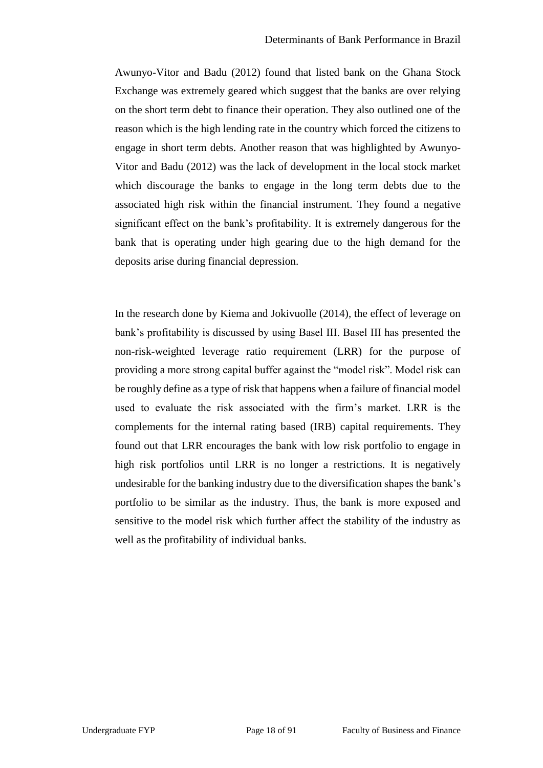Awunyo-Vitor and Badu (2012) found that listed bank on the Ghana Stock Exchange was extremely geared which suggest that the banks are over relying on the short term debt to finance their operation. They also outlined one of the reason which is the high lending rate in the country which forced the citizens to engage in short term debts. Another reason that was highlighted by Awunyo-Vitor and Badu (2012) was the lack of development in the local stock market which discourage the banks to engage in the long term debts due to the associated high risk within the financial instrument. They found a negative significant effect on the bank's profitability. It is extremely dangerous for the bank that is operating under high gearing due to the high demand for the deposits arise during financial depression.

In the research done by Kiema and Jokivuolle (2014), the effect of leverage on bank's profitability is discussed by using Basel III. Basel III has presented the non-risk-weighted leverage ratio requirement (LRR) for the purpose of providing a more strong capital buffer against the "model risk". Model risk can be roughly define as a type of risk that happens when a failure of financial model used to evaluate the risk associated with the firm's market. LRR is the complements for the internal rating based (IRB) capital requirements. They found out that LRR encourages the bank with low risk portfolio to engage in high risk portfolios until LRR is no longer a restrictions. It is negatively undesirable for the banking industry due to the diversification shapes the bank's portfolio to be similar as the industry. Thus, the bank is more exposed and sensitive to the model risk which further affect the stability of the industry as well as the profitability of individual banks.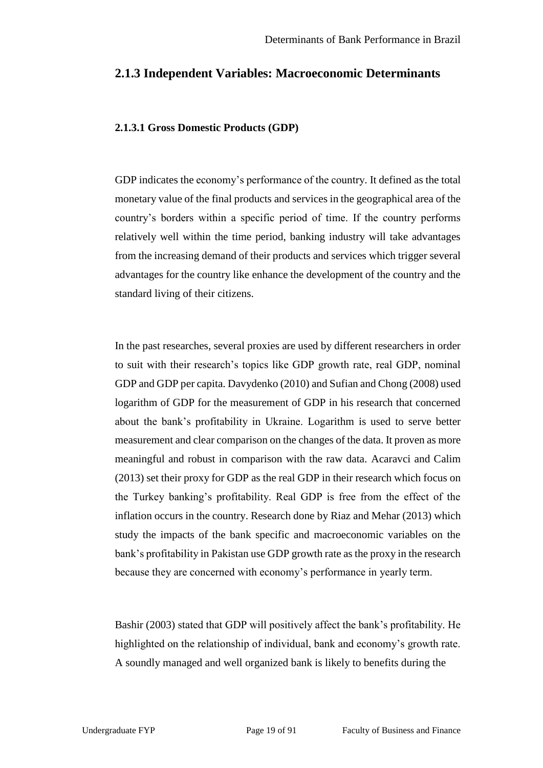#### **2.1.3 Independent Variables: Macroeconomic Determinants**

#### **2.1.3.1 Gross Domestic Products (GDP)**

GDP indicates the economy's performance of the country. It defined as the total monetary value of the final products and services in the geographical area of the country's borders within a specific period of time. If the country performs relatively well within the time period, banking industry will take advantages from the increasing demand of their products and services which trigger several advantages for the country like enhance the development of the country and the standard living of their citizens.

In the past researches, several proxies are used by different researchers in order to suit with their research's topics like GDP growth rate, real GDP, nominal GDP and GDP per capita. Davydenko (2010) and Sufian and Chong (2008) used logarithm of GDP for the measurement of GDP in his research that concerned about the bank's profitability in Ukraine. Logarithm is used to serve better measurement and clear comparison on the changes of the data. It proven as more meaningful and robust in comparison with the raw data. Acaravci and Calim (2013) set their proxy for GDP as the real GDP in their research which focus on the Turkey banking's profitability. Real GDP is free from the effect of the inflation occurs in the country. Research done by Riaz and Mehar (2013) which study the impacts of the bank specific and macroeconomic variables on the bank's profitability in Pakistan use GDP growth rate as the proxy in the research because they are concerned with economy's performance in yearly term.

Bashir (2003) stated that GDP will positively affect the bank's profitability. He highlighted on the relationship of individual, bank and economy's growth rate. A soundly managed and well organized bank is likely to benefits during the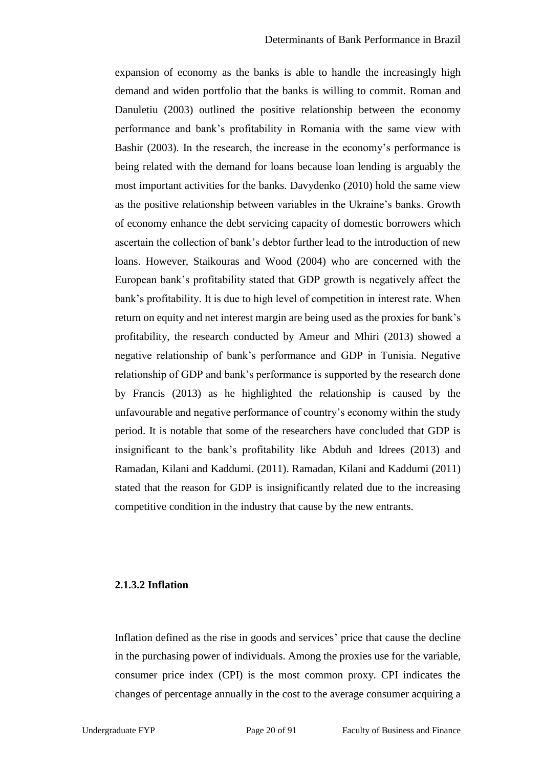expansion of economy as the banks is able to handle the increasingly high demand and widen portfolio that the banks is willing to commit. Roman and Danuletiu (2003) outlined the positive relationship between the economy performance and bank's profitability in Romania with the same view with Bashir (2003). In the research, the increase in the economy's performance is being related with the demand for loans because loan lending is arguably the most important activities for the banks. Davydenko (2010) hold the same view as the positive relationship between variables in the Ukraine's banks. Growth of economy enhance the debt servicing capacity of domestic borrowers which ascertain the collection of bank's debtor further lead to the introduction of new loans. However, Staikouras and Wood (2004) who are concerned with the European bank's profitability stated that GDP growth is negatively affect the bank's profitability. It is due to high level of competition in interest rate. When return on equity and net interest margin are being used as the proxies for bank's profitability, the research conducted by Ameur and Mhiri (2013) showed a negative relationship of bank's performance and GDP in Tunisia. Negative relationship of GDP and bank's performance is supported by the research done by Francis (2013) as he highlighted the relationship is caused by the unfavourable and negative performance of country's economy within the study period. It is notable that some of the researchers have concluded that GDP is insignificant to the bank's profitability like Abduh and Idrees (2013) and Ramadan, Kilani and Kaddumi. (2011). Ramadan, Kilani and Kaddumi (2011) stated that the reason for GDP is insignificantly related due to the increasing competitive condition in the industry that cause by the new entrants.

### **2.1.3.2 Inflation**

Inflation defined as the rise in goods and services' price that cause the decline in the purchasing power of individuals. Among the proxies use for the variable, consumer price index (CPI) is the most common proxy. CPI indicates the changes of percentage annually in the cost to the average consumer acquiring a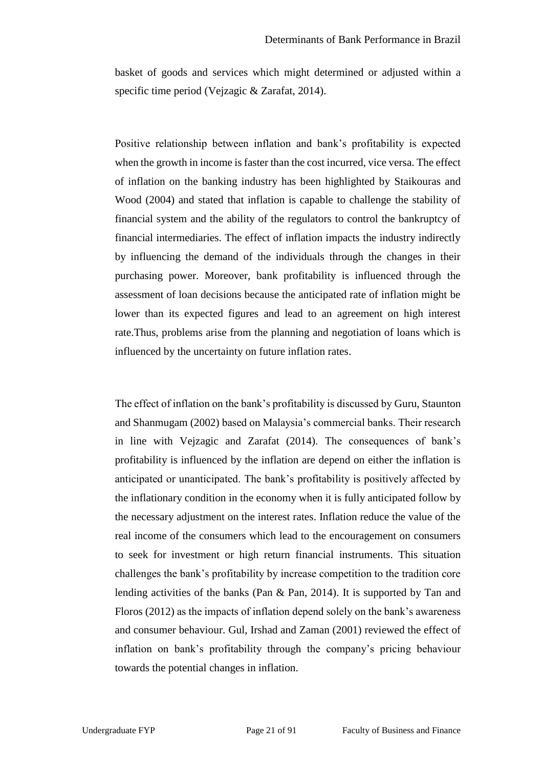basket of goods and services which might determined or adjusted within a specific time period (Vejzagic & Zarafat, 2014).

Positive relationship between inflation and bank's profitability is expected when the growth in income is faster than the cost incurred, vice versa. The effect of inflation on the banking industry has been highlighted by Staikouras and Wood (2004) and stated that inflation is capable to challenge the stability of financial system and the ability of the regulators to control the bankruptcy of financial intermediaries. The effect of inflation impacts the industry indirectly by influencing the demand of the individuals through the changes in their purchasing power. Moreover, bank profitability is influenced through the assessment of loan decisions because the anticipated rate of inflation might be lower than its expected figures and lead to an agreement on high interest rate.Thus, problems arise from the planning and negotiation of loans which is influenced by the uncertainty on future inflation rates.

The effect of inflation on the bank's profitability is discussed by Guru, Staunton and Shanmugam (2002) based on Malaysia's commercial banks. Their research in line with Vejzagic and Zarafat (2014). The consequences of bank's profitability is influenced by the inflation are depend on either the inflation is anticipated or unanticipated. The bank's profitability is positively affected by the inflationary condition in the economy when it is fully anticipated follow by the necessary adjustment on the interest rates. Inflation reduce the value of the real income of the consumers which lead to the encouragement on consumers to seek for investment or high return financial instruments. This situation challenges the bank's profitability by increase competition to the tradition core lending activities of the banks (Pan & Pan, 2014). It is supported by Tan and Floros (2012) as the impacts of inflation depend solely on the bank's awareness and consumer behaviour. Gul, Irshad and Zaman (2001) reviewed the effect of inflation on bank's profitability through the company's pricing behaviour towards the potential changes in inflation.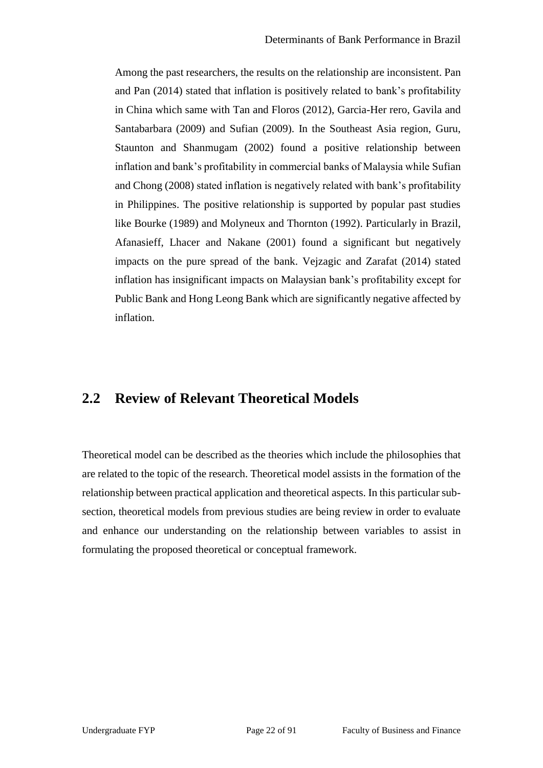Among the past researchers, the results on the relationship are inconsistent. Pan and Pan (2014) stated that inflation is positively related to bank's profitability in China which same with Tan and Floros (2012), Garcia-Her rero, Gavila and Santabarbara (2009) and Sufian (2009). In the Southeast Asia region, Guru, Staunton and Shanmugam (2002) found a positive relationship between inflation and bank's profitability in commercial banks of Malaysia while Sufian and Chong (2008) stated inflation is negatively related with bank's profitability in Philippines. The positive relationship is supported by popular past studies like Bourke (1989) and Molyneux and Thornton (1992). Particularly in Brazil, Afanasieff, Lhacer and Nakane (2001) found a significant but negatively impacts on the pure spread of the bank. Vejzagic and Zarafat (2014) stated inflation has insignificant impacts on Malaysian bank's profitability except for Public Bank and Hong Leong Bank which are significantly negative affected by inflation.

## **2.2 Review of Relevant Theoretical Models**

Theoretical model can be described as the theories which include the philosophies that are related to the topic of the research. Theoretical model assists in the formation of the relationship between practical application and theoretical aspects. In this particular subsection, theoretical models from previous studies are being review in order to evaluate and enhance our understanding on the relationship between variables to assist in formulating the proposed theoretical or conceptual framework.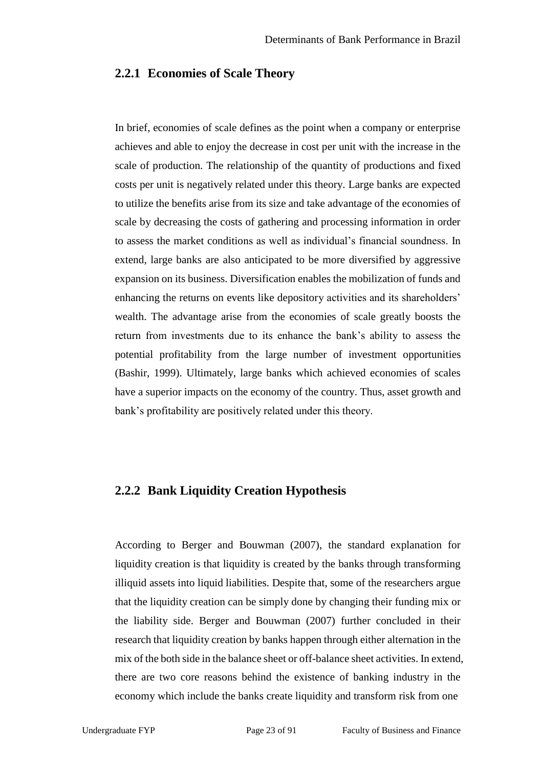#### **2.2.1 Economies of Scale Theory**

In brief, economies of scale defines as the point when a company or enterprise achieves and able to enjoy the decrease in cost per unit with the increase in the scale of production. The relationship of the quantity of productions and fixed costs per unit is negatively related under this theory. Large banks are expected to utilize the benefits arise from its size and take advantage of the economies of scale by decreasing the costs of gathering and processing information in order to assess the market conditions as well as individual's financial soundness. In extend, large banks are also anticipated to be more diversified by aggressive expansion on its business. Diversification enables the mobilization of funds and enhancing the returns on events like depository activities and its shareholders' wealth. The advantage arise from the economies of scale greatly boosts the return from investments due to its enhance the bank's ability to assess the potential profitability from the large number of investment opportunities (Bashir, 1999). Ultimately, large banks which achieved economies of scales have a superior impacts on the economy of the country. Thus, asset growth and bank's profitability are positively related under this theory.

### **2.2.2 Bank Liquidity Creation Hypothesis**

According to Berger and Bouwman (2007), the standard explanation for liquidity creation is that liquidity is created by the banks through transforming illiquid assets into liquid liabilities. Despite that, some of the researchers argue that the liquidity creation can be simply done by changing their funding mix or the liability side. Berger and Bouwman (2007) further concluded in their research that liquidity creation by banks happen through either alternation in the mix of the both side in the balance sheet or off-balance sheet activities. In extend, there are two core reasons behind the existence of banking industry in the economy which include the banks create liquidity and transform risk from one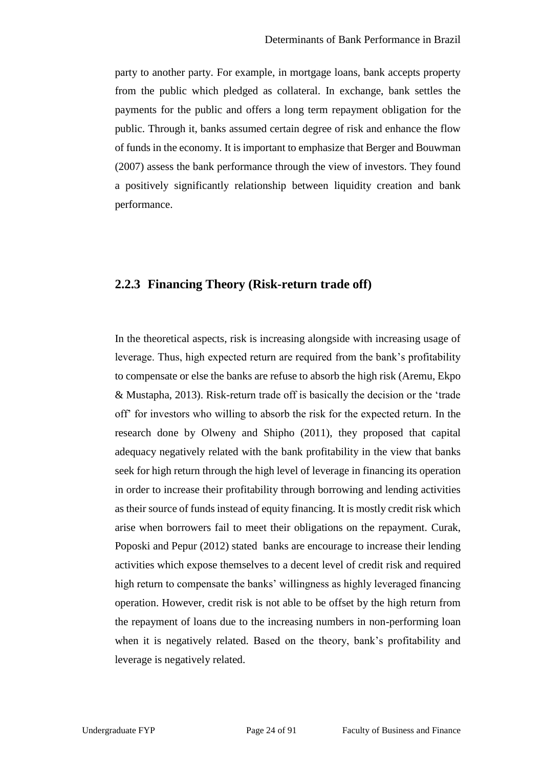party to another party. For example, in mortgage loans, bank accepts property from the public which pledged as collateral. In exchange, bank settles the payments for the public and offers a long term repayment obligation for the public. Through it, banks assumed certain degree of risk and enhance the flow of funds in the economy. It is important to emphasize that Berger and Bouwman (2007) assess the bank performance through the view of investors. They found a positively significantly relationship between liquidity creation and bank performance.

### **2.2.3 Financing Theory (Risk-return trade off)**

In the theoretical aspects, risk is increasing alongside with increasing usage of leverage. Thus, high expected return are required from the bank's profitability to compensate or else the banks are refuse to absorb the high risk (Aremu, Ekpo & Mustapha, 2013). Risk-return trade off is basically the decision or the 'trade off' for investors who willing to absorb the risk for the expected return. In the research done by Olweny and Shipho (2011), they proposed that capital adequacy negatively related with the bank profitability in the view that banks seek for high return through the high level of leverage in financing its operation in order to increase their profitability through borrowing and lending activities as their source of funds instead of equity financing. It is mostly credit risk which arise when borrowers fail to meet their obligations on the repayment. Curak, Poposki and Pepur (2012) stated banks are encourage to increase their lending activities which expose themselves to a decent level of credit risk and required high return to compensate the banks' willingness as highly leveraged financing operation. However, credit risk is not able to be offset by the high return from the repayment of loans due to the increasing numbers in non-performing loan when it is negatively related. Based on the theory, bank's profitability and leverage is negatively related.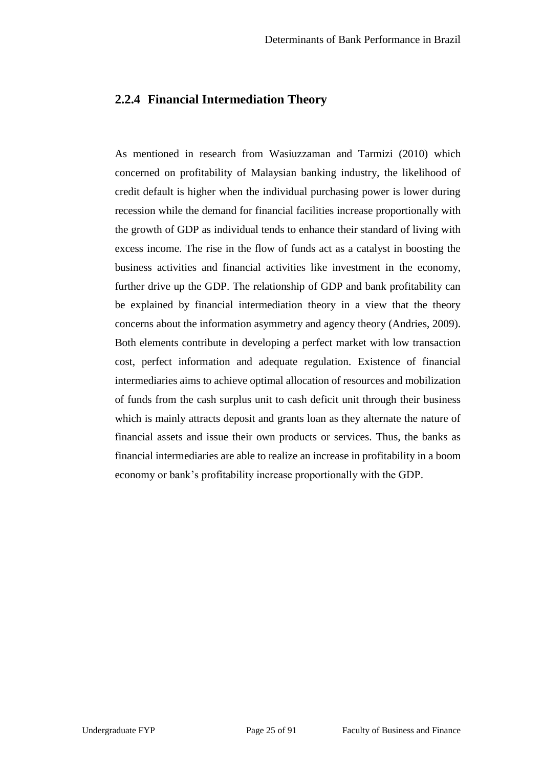#### **2.2.4 Financial Intermediation Theory**

As mentioned in research from Wasiuzzaman and Tarmizi (2010) which concerned on profitability of Malaysian banking industry, the likelihood of credit default is higher when the individual purchasing power is lower during recession while the demand for financial facilities increase proportionally with the growth of GDP as individual tends to enhance their standard of living with excess income. The rise in the flow of funds act as a catalyst in boosting the business activities and financial activities like investment in the economy, further drive up the GDP. The relationship of GDP and bank profitability can be explained by financial intermediation theory in a view that the theory concerns about the information asymmetry and agency theory (Andries, 2009). Both elements contribute in developing a perfect market with low transaction cost, perfect information and adequate regulation. Existence of financial intermediaries aims to achieve optimal allocation of resources and mobilization of funds from the cash surplus unit to cash deficit unit through their business which is mainly attracts deposit and grants loan as they alternate the nature of financial assets and issue their own products or services. Thus, the banks as financial intermediaries are able to realize an increase in profitability in a boom economy or bank's profitability increase proportionally with the GDP.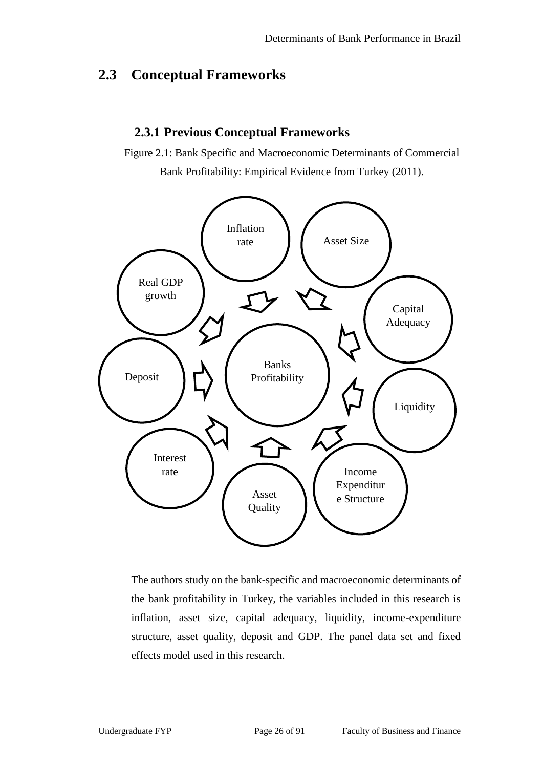## **2.3 Conceptual Frameworks**

### **2.3.1 Previous Conceptual Frameworks**

Figure 2.1: Bank Specific and Macroeconomic Determinants of Commercial Bank Profitability: Empirical Evidence from Turkey (2011).



The authors study on the bank-specific and macroeconomic determinants of the bank profitability in Turkey, the variables included in this research is inflation, asset size, capital adequacy, liquidity, income-expenditure structure, asset quality, deposit and GDP. The panel data set and fixed effects model used in this research.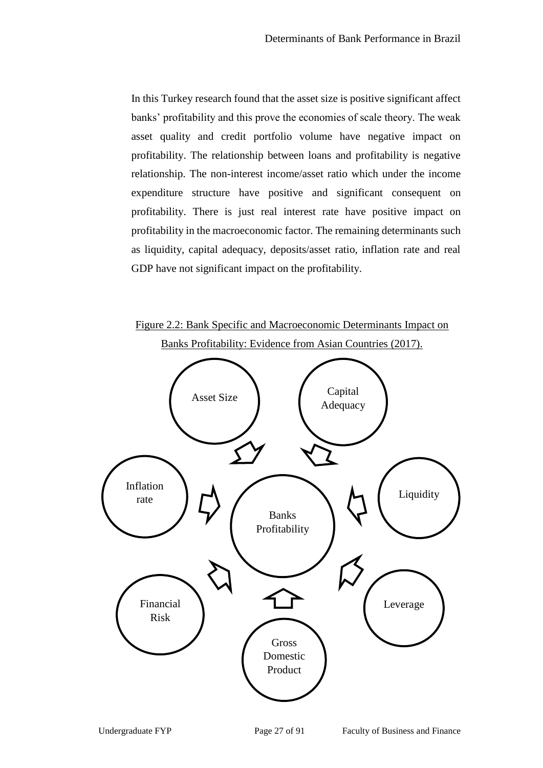In this Turkey research found that the asset size is positive significant affect banks' profitability and this prove the economies of scale theory. The weak asset quality and credit portfolio volume have negative impact on profitability. The relationship between loans and profitability is negative relationship. The non-interest income/asset ratio which under the income expenditure structure have positive and significant consequent on profitability. There is just real interest rate have positive impact on profitability in the macroeconomic factor. The remaining determinants such as liquidity, capital adequacy, deposits/asset ratio, inflation rate and real GDP have not significant impact on the profitability.



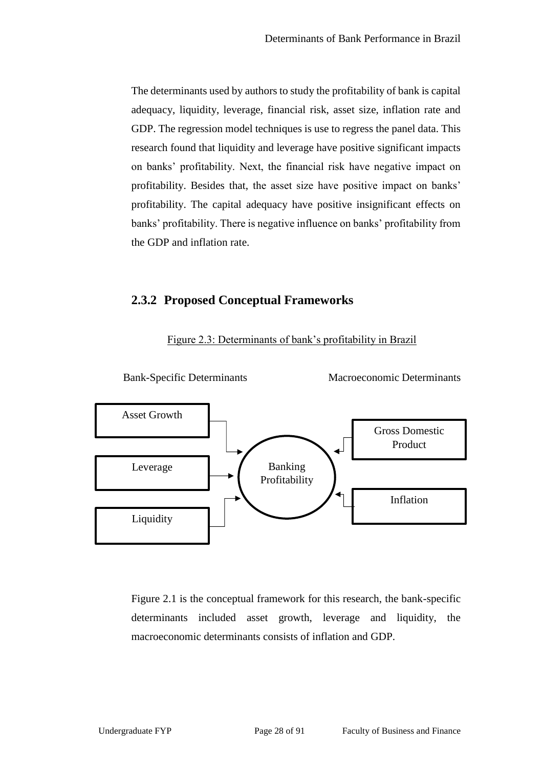The determinants used by authors to study the profitability of bank is capital adequacy, liquidity, leverage, financial risk, asset size, inflation rate and GDP. The regression model techniques is use to regress the panel data. This research found that liquidity and leverage have positive significant impacts on banks' profitability. Next, the financial risk have negative impact on profitability. Besides that, the asset size have positive impact on banks' profitability. The capital adequacy have positive insignificant effects on banks' profitability. There is negative influence on banks' profitability from the GDP and inflation rate.

### **2.3.2 Proposed Conceptual Frameworks**



Figure 2.3: Determinants of bank's profitability in Brazil

Figure 2.1 is the conceptual framework for this research, the bank-specific determinants included asset growth, leverage and liquidity, the macroeconomic determinants consists of inflation and GDP.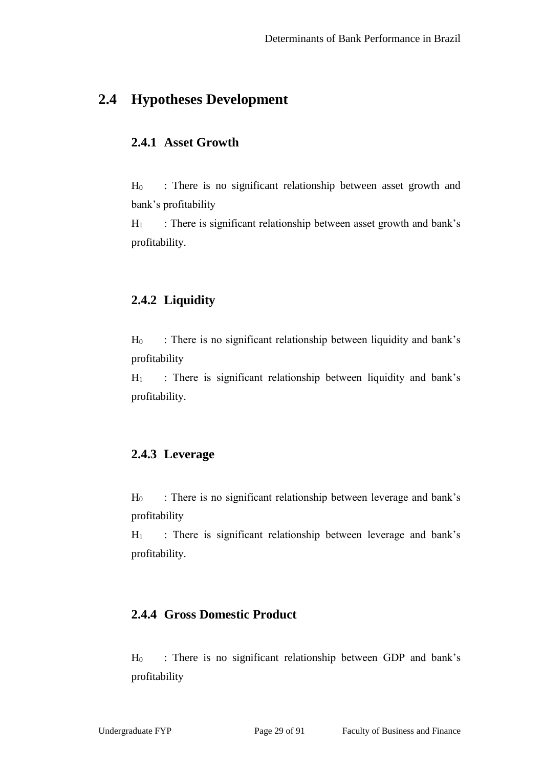## **2.4 Hypotheses Development**

### **2.4.1 Asset Growth**

H<sup>0</sup> : There is no significant relationship between asset growth and bank's profitability

 $H_1$  : There is significant relationship between asset growth and bank's profitability.

### **2.4.2 Liquidity**

 $H_0$  : There is no significant relationship between liquidity and bank's profitability

 $H_1$  : There is significant relationship between liquidity and bank's profitability.

### **2.4.3 Leverage**

 $H_0$  : There is no significant relationship between leverage and bank's profitability

 $H_1$  : There is significant relationship between leverage and bank's profitability.

### **2.4.4 Gross Domestic Product**

H<sup>0</sup> : There is no significant relationship between GDP and bank's profitability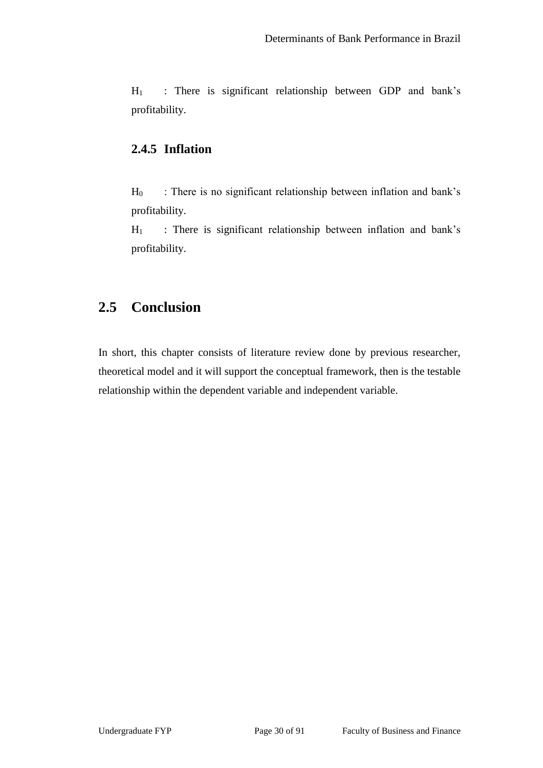$H_1$  : There is significant relationship between GDP and bank's profitability.

### **2.4.5 Inflation**

H<sub>0</sub> : There is no significant relationship between inflation and bank's profitability.

H<sub>1</sub> : There is significant relationship between inflation and bank's profitability.

# **2.5 Conclusion**

In short, this chapter consists of literature review done by previous researcher, theoretical model and it will support the conceptual framework, then is the testable relationship within the dependent variable and independent variable.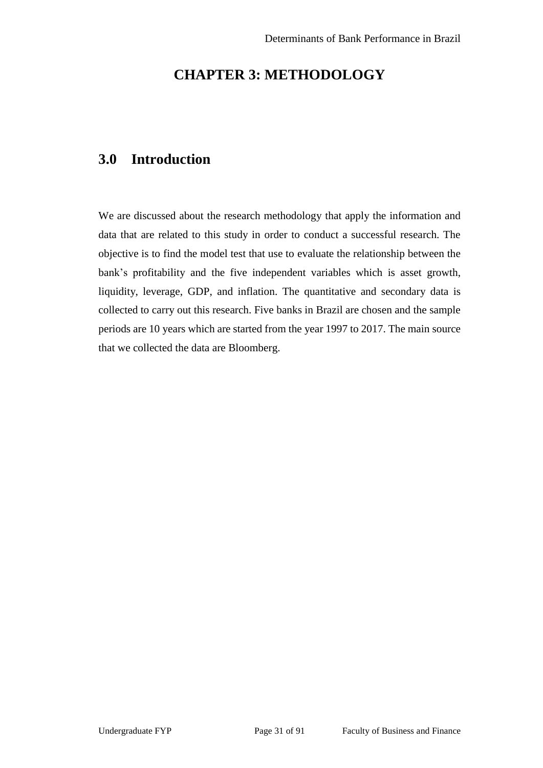# **CHAPTER 3: METHODOLOGY**

# **3.0 Introduction**

We are discussed about the research methodology that apply the information and data that are related to this study in order to conduct a successful research. The objective is to find the model test that use to evaluate the relationship between the bank's profitability and the five independent variables which is asset growth, liquidity, leverage, GDP, and inflation. The quantitative and secondary data is collected to carry out this research. Five banks in Brazil are chosen and the sample periods are 10 years which are started from the year 1997 to 2017. The main source that we collected the data are Bloomberg.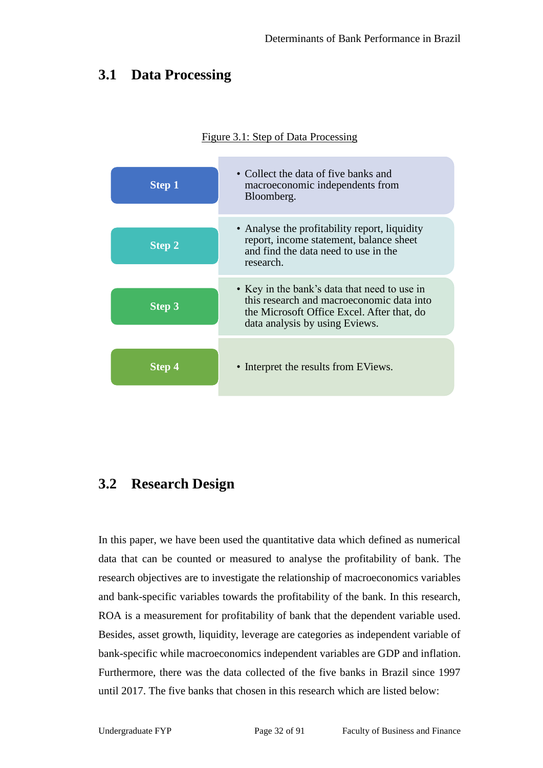## **3.1 Data Processing**

#### Figure 3.1: Step of Data Processing



## **3.2 Research Design**

In this paper, we have been used the quantitative data which defined as numerical data that can be counted or measured to analyse the profitability of bank. The research objectives are to investigate the relationship of macroeconomics variables and bank-specific variables towards the profitability of the bank. In this research, ROA is a measurement for profitability of bank that the dependent variable used. Besides, asset growth, liquidity, leverage are categories as independent variable of bank-specific while macroeconomics independent variables are GDP and inflation. Furthermore, there was the data collected of the five banks in Brazil since 1997 until 2017. The five banks that chosen in this research which are listed below: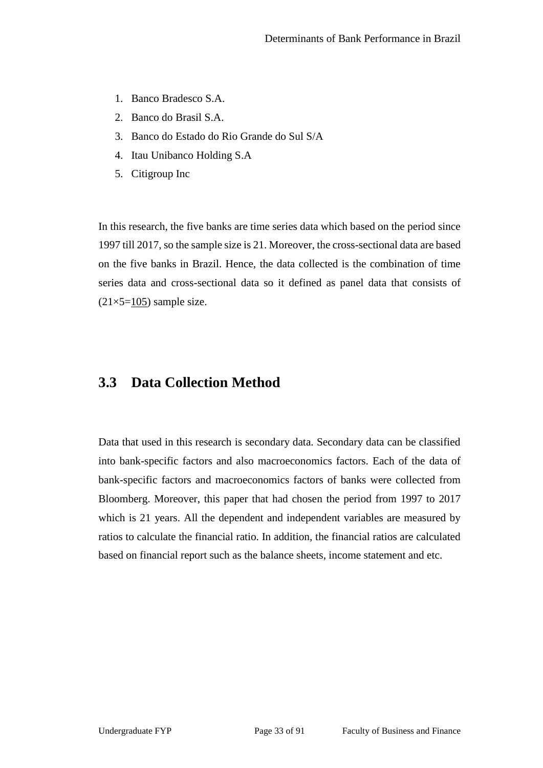- 1. Banco Bradesco S.A.
- 2. Banco do Brasil S.A.
- 3. Banco do Estado do Rio Grande do Sul S/A
- 4. Itau Unibanco Holding S.A
- 5. Citigroup Inc

In this research, the five banks are time series data which based on the period since 1997 till 2017, so the sample size is 21. Moreover, the cross-sectional data are based on the five banks in Brazil. Hence, the data collected is the combination of time series data and cross-sectional data so it defined as panel data that consists of  $(21\times5=105)$  sample size.

### **3.3 Data Collection Method**

Data that used in this research is secondary data. Secondary data can be classified into bank-specific factors and also macroeconomics factors. Each of the data of bank-specific factors and macroeconomics factors of banks were collected from Bloomberg. Moreover, this paper that had chosen the period from 1997 to 2017 which is 21 years. All the dependent and independent variables are measured by ratios to calculate the financial ratio. In addition, the financial ratios are calculated based on financial report such as the balance sheets, income statement and etc.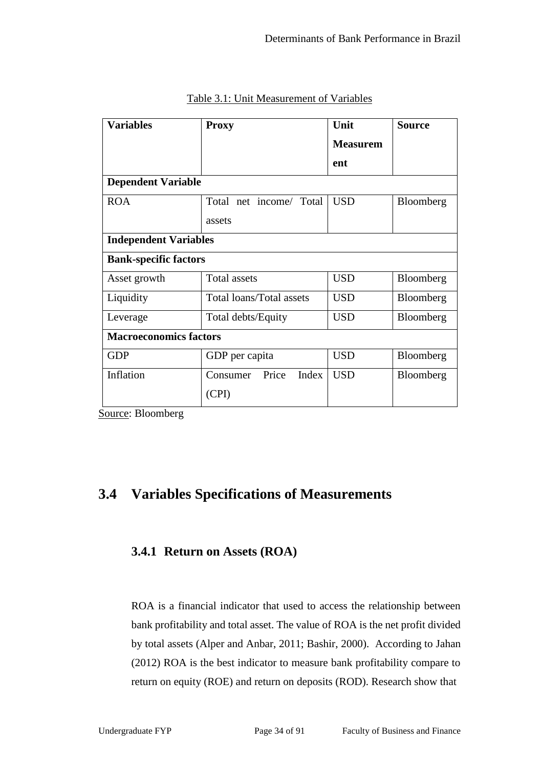| <b>Variables</b>              | <b>Proxy</b>               | Unit            | <b>Source</b> |  |  |  |
|-------------------------------|----------------------------|-----------------|---------------|--|--|--|
|                               |                            | <b>Measurem</b> |               |  |  |  |
|                               |                            | ent             |               |  |  |  |
| <b>Dependent Variable</b>     |                            |                 |               |  |  |  |
| <b>ROA</b>                    | Total net income/ Total    | <b>USD</b>      | Bloomberg     |  |  |  |
|                               | assets                     |                 |               |  |  |  |
| <b>Independent Variables</b>  |                            |                 |               |  |  |  |
| <b>Bank-specific factors</b>  |                            |                 |               |  |  |  |
| Asset growth                  | Total assets               | <b>USD</b>      | Bloomberg     |  |  |  |
| Liquidity                     | Total loans/Total assets   | <b>USD</b>      | Bloomberg     |  |  |  |
| Leverage                      | Total debts/Equity         | <b>USD</b>      | Bloomberg     |  |  |  |
| <b>Macroeconomics factors</b> |                            |                 |               |  |  |  |
| <b>GDP</b>                    | GDP per capita             | <b>USD</b>      | Bloomberg     |  |  |  |
| Inflation                     | Price<br>Index<br>Consumer | <b>USD</b>      | Bloomberg     |  |  |  |
|                               | (CPI)                      |                 |               |  |  |  |

Table 3.1: Unit Measurement of Variables

Source: Bloomberg

## **3.4 Variables Specifications of Measurements**

### **3.4.1 Return on Assets (ROA)**

ROA is a financial indicator that used to access the relationship between bank profitability and total asset. The value of ROA is the net profit divided by total assets (Alper and Anbar, 2011; Bashir, 2000). According to Jahan (2012) ROA is the best indicator to measure bank profitability compare to return on equity (ROE) and return on deposits (ROD). Research show that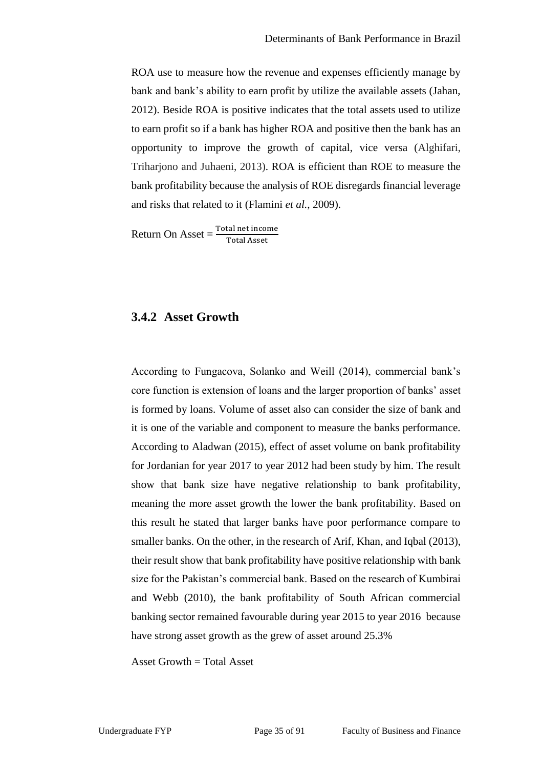ROA use to measure how the revenue and expenses efficiently manage by bank and bank's ability to earn profit by utilize the available assets (Jahan, 2012). Beside ROA is positive indicates that the total assets used to utilize to earn profit so if a bank has higher ROA and positive then the bank has an opportunity to improve the growth of capital, vice versa (Alghifari, Triharjono and Juhaeni, 2013). ROA is efficient than ROE to measure the bank profitability because the analysis of ROE disregards financial leverage and risks that related to it (Flamini *et al.*, 2009).

 $Return On Asset = \frac{Total net income}{Total Asset}$ 

### **3.4.2 Asset Growth**

According to Fungacova, Solanko and Weill (2014), commercial bank's core function is extension of loans and the larger proportion of banks' asset is formed by loans. Volume of asset also can consider the size of bank and it is one of the variable and component to measure the banks performance. According to Aladwan (2015), effect of asset volume on bank profitability for Jordanian for year 2017 to year 2012 had been study by him. The result show that bank size have negative relationship to bank profitability, meaning the more asset growth the lower the bank profitability. Based on this result he stated that larger banks have poor performance compare to smaller banks. On the other, in the research of Arif, Khan, and Iqbal (2013), their result show that bank profitability have positive relationship with bank size for the Pakistan's commercial bank. Based on the research of Kumbirai and Webb (2010), the bank profitability of South African commercial banking sector remained favourable during year 2015 to year 2016 because have strong asset growth as the grew of asset around 25.3%

Asset Growth  $=$  Total Asset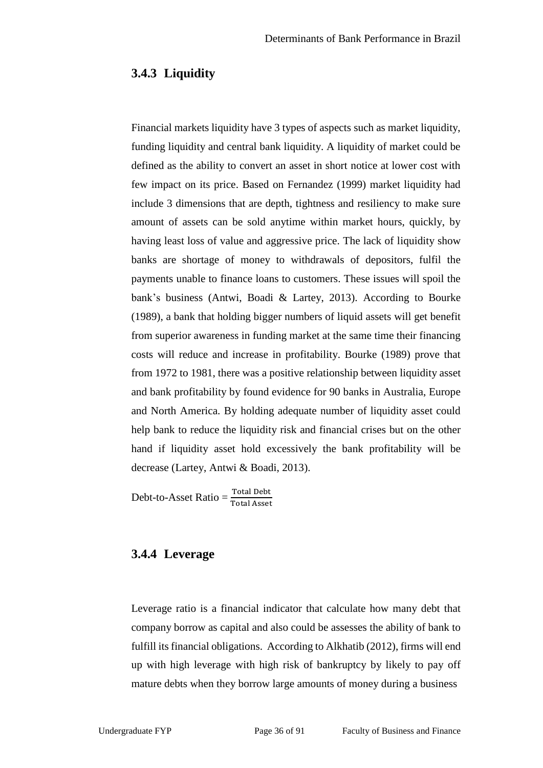#### **3.4.3 Liquidity**

Financial markets liquidity have 3 types of aspects such as market liquidity, funding liquidity and central bank liquidity. A liquidity of market could be defined as the ability to convert an asset in short notice at lower cost with few impact on its price. Based on Fernandez (1999) market liquidity had include 3 dimensions that are depth, tightness and resiliency to make sure amount of assets can be sold anytime within market hours, quickly, by having least loss of value and aggressive price. The lack of liquidity show banks are shortage of money to withdrawals of depositors, fulfil the payments unable to finance loans to customers. These issues will spoil the bank's business (Antwi, Boadi & Lartey, 2013). According to Bourke (1989), a bank that holding bigger numbers of liquid assets will get benefit from superior awareness in funding market at the same time their financing costs will reduce and increase in profitability. Bourke (1989) prove that from 1972 to 1981, there was a positive relationship between liquidity asset and bank profitability by found evidence for 90 banks in Australia, Europe and North America. By holding adequate number of liquidity asset could help bank to reduce the liquidity risk and financial crises but on the other hand if liquidity asset hold excessively the bank profitability will be decrease (Lartey, Antwi & Boadi, 2013).

 $Debt-to-Asset Ratio = \frac{Total Deb}{Total Asset}$ 

### **3.4.4 Leverage**

Leverage ratio is a financial indicator that calculate how many debt that company borrow as capital and also could be assesses the ability of bank to fulfill its financial obligations. According to Alkhatib (2012), firms will end up with high leverage with high risk of bankruptcy by likely to pay off mature debts when they borrow large amounts of money during a business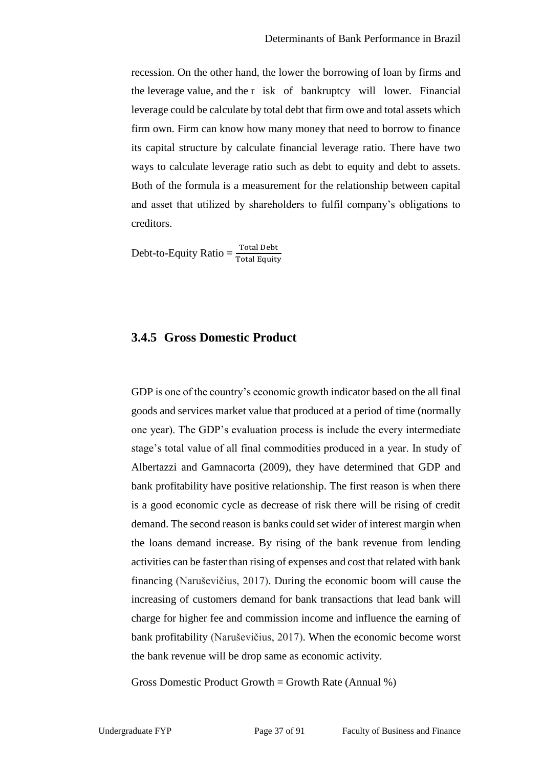recession. On the other hand, the lower the borrowing of loan by firms and the leverage value, and the r isk of bankruptcy will lower. Financial leverage could be calculate by total debt that firm owe and total assets which firm own. Firm can know how many money that need to borrow to finance its capital structure by calculate financial leverage ratio. There have two ways to calculate leverage ratio such as debt to equity and debt to assets. Both of the formula is a measurement for the relationship between capital and asset that utilized by shareholders to fulfil company's obligations to creditors.

Debt-to-Equity Ratio  $=$   $\frac{\text{Total Debt}}{\text{Total Equity}}$ 

### **3.4.5 Gross Domestic Product**

GDP is one of the country's economic growth indicator based on the all final goods and services market value that produced at a period of time (normally one year). The GDP's evaluation process is include the every intermediate stage's total value of all final commodities produced in a year. In study of Albertazzi and Gamnacorta (2009), they have determined that GDP and bank profitability have positive relationship. The first reason is when there is a good economic cycle as decrease of risk there will be rising of credit demand. The second reason is banks could set wider of interest margin when the loans demand increase. By rising of the bank revenue from lending activities can be faster than rising of expenses and cost that related with bank financing (Naruševičius, 2017). During the economic boom will cause the increasing of customers demand for bank transactions that lead bank will charge for higher fee and commission income and influence the earning of bank profitability (Naruševičius, 2017). When the economic become worst the bank revenue will be drop same as economic activity.

Gross Domestic Product Growth = Growth Rate (Annual  $\%$ )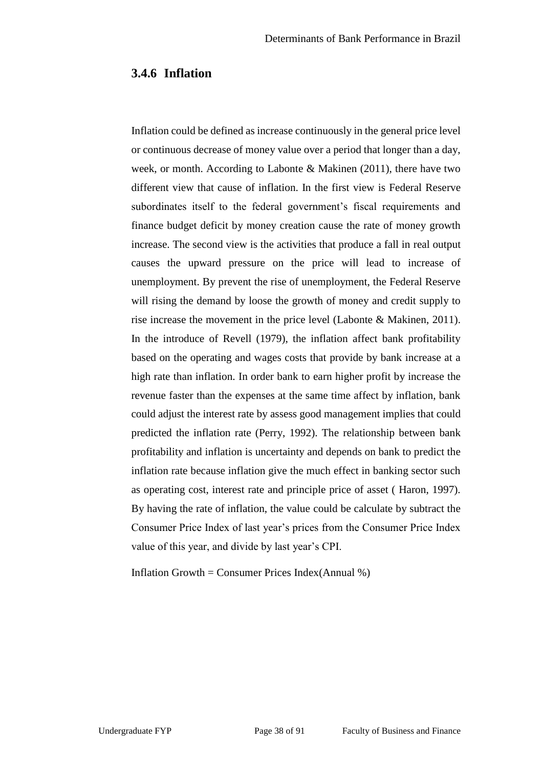#### **3.4.6 Inflation**

Inflation could be defined as increase continuously in the general price level or continuous decrease of money value over a period that longer than a day, week, or month. According to Labonte & Makinen (2011), there have two different view that cause of inflation. In the first view is Federal Reserve subordinates itself to the federal government's fiscal requirements and finance budget deficit by money creation cause the rate of money growth increase. The second view is the activities that produce a fall in real output causes the upward pressure on the price will lead to increase of unemployment. By prevent the rise of unemployment, the Federal Reserve will rising the demand by loose the growth of money and credit supply to rise increase the movement in the price level (Labonte & Makinen, 2011). In the introduce of Revell (1979), the inflation affect bank profitability based on the operating and wages costs that provide by bank increase at a high rate than inflation. In order bank to earn higher profit by increase the revenue faster than the expenses at the same time affect by inflation, bank could adjust the interest rate by assess good management implies that could predicted the inflation rate (Perry, 1992). The relationship between bank profitability and inflation is uncertainty and depends on bank to predict the inflation rate because inflation give the much effect in banking sector such as operating cost, interest rate and principle price of asset ( Haron, 1997). By having the rate of inflation, the value could be calculate by subtract the Consumer Price Index of last year's prices from the Consumer Price Index value of this year, and divide by last year's CPI.

Inflation Growth = Consumer Prices Index(Annual  $\%$ )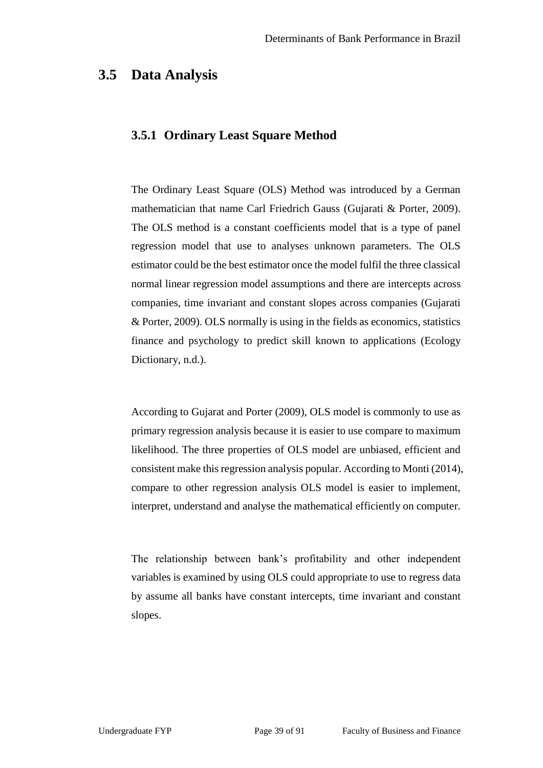### **3.5 Data Analysis**

### **3.5.1 Ordinary Least Square Method**

The Ordinary Least Square (OLS) Method was introduced by a German mathematician that name Carl Friedrich Gauss (Gujarati & Porter, 2009). The OLS method is a constant coefficients model that is a type of panel regression model that use to analyses unknown parameters. The OLS estimator could be the best estimator once the model fulfil the three classical normal linear regression model assumptions and there are intercepts across companies, time invariant and constant slopes across companies (Gujarati & Porter, 2009). OLS normally is using in the fields as economics, statistics finance and psychology to predict skill known to applications (Ecology Dictionary, n.d.).

According to Gujarat and Porter (2009), OLS model is commonly to use as primary regression analysis because it is easier to use compare to maximum likelihood. The three properties of OLS model are unbiased, efficient and consistent make this regression analysis popular. According to Monti (2014), compare to other regression analysis OLS model is easier to implement, interpret, understand and analyse the mathematical efficiently on computer.

The relationship between bank's profitability and other independent variables is examined by using OLS could appropriate to use to regress data by assume all banks have constant intercepts, time invariant and constant slopes.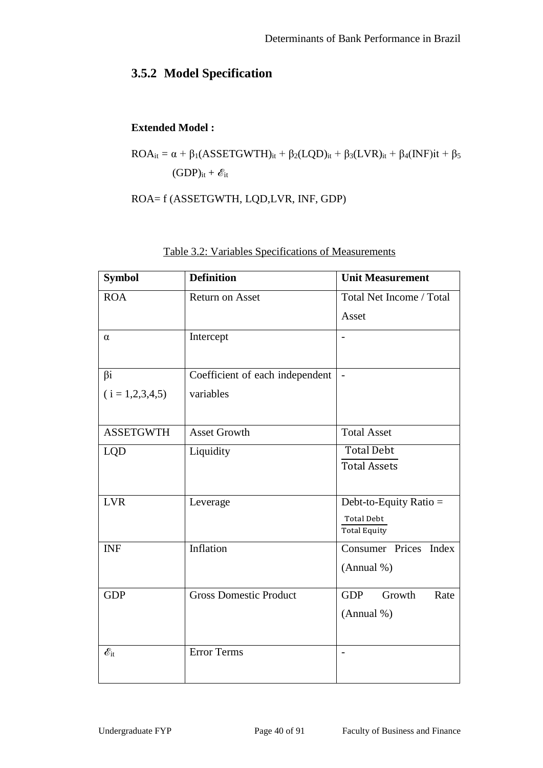# **3.5.2 Model Specification**

### **Extended Model :**

$$
ROA_{it} = \alpha + \beta_1 (ASSETGWTH)_{it} + \beta_2 (LQD)_{it} + \beta_3 (LVR)_{it} + \beta_4 (INF)it + \beta_5
$$
  
(GDP)\_{it} +  $\mathscr{E}_{it}$ 

ROA= f (ASSETGWTH, LQD,LVR, INF, GDP)

| <b>Symbol</b>             | <b>Definition</b>               | <b>Unit Measurement</b>                  |  |  |  |
|---------------------------|---------------------------------|------------------------------------------|--|--|--|
| <b>ROA</b>                | <b>Return on Asset</b>          | Total Net Income / Total                 |  |  |  |
|                           |                                 | Asset                                    |  |  |  |
| α                         | Intercept                       |                                          |  |  |  |
|                           |                                 |                                          |  |  |  |
| $\beta$ i                 | Coefficient of each independent | $\overline{\phantom{0}}$                 |  |  |  |
| $(i = 1,2,3,4,5)$         | variables                       |                                          |  |  |  |
|                           |                                 |                                          |  |  |  |
| <b>ASSETGWTH</b>          | <b>Asset Growth</b>             | <b>Total Asset</b>                       |  |  |  |
| <b>LQD</b>                | Liquidity                       | <b>Total Debt</b>                        |  |  |  |
|                           |                                 | <b>Total Assets</b>                      |  |  |  |
|                           |                                 |                                          |  |  |  |
| <b>LVR</b>                | Leverage                        | Debt-to-Equity Ratio $=$                 |  |  |  |
|                           |                                 | <b>Total Debt</b><br><b>Total Equity</b> |  |  |  |
| <b>INF</b>                | Inflation                       | Consumer Prices<br>Index                 |  |  |  |
|                           |                                 |                                          |  |  |  |
|                           |                                 | (Annual %)                               |  |  |  |
| <b>GDP</b>                | <b>Gross Domestic Product</b>   | <b>GDP</b><br>Growth<br>Rate             |  |  |  |
|                           |                                 | (Annual %)                               |  |  |  |
|                           |                                 |                                          |  |  |  |
| $\mathscr{E}_\mathrm{it}$ | <b>Error Terms</b>              | $\overline{a}$                           |  |  |  |
|                           |                                 |                                          |  |  |  |

|  |  | Table 3.2: Variables Specifications of Measurements |  |
|--|--|-----------------------------------------------------|--|
|  |  |                                                     |  |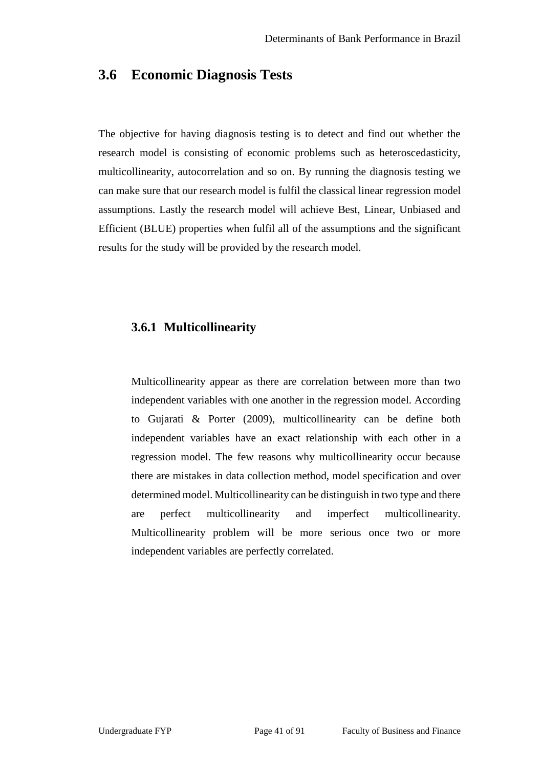### **3.6 Economic Diagnosis Tests**

The objective for having diagnosis testing is to detect and find out whether the research model is consisting of economic problems such as heteroscedasticity, multicollinearity, autocorrelation and so on. By running the diagnosis testing we can make sure that our research model is fulfil the classical linear regression model assumptions. Lastly the research model will achieve Best, Linear, Unbiased and Efficient (BLUE) properties when fulfil all of the assumptions and the significant results for the study will be provided by the research model.

#### **3.6.1 Multicollinearity**

Multicollinearity appear as there are correlation between more than two independent variables with one another in the regression model. According to Gujarati & Porter (2009), multicollinearity can be define both independent variables have an exact relationship with each other in a regression model. The few reasons why multicollinearity occur because there are mistakes in data collection method, model specification and over determined model. Multicollinearity can be distinguish in two type and there are perfect multicollinearity and imperfect multicollinearity. Multicollinearity problem will be more serious once two or more independent variables are perfectly correlated.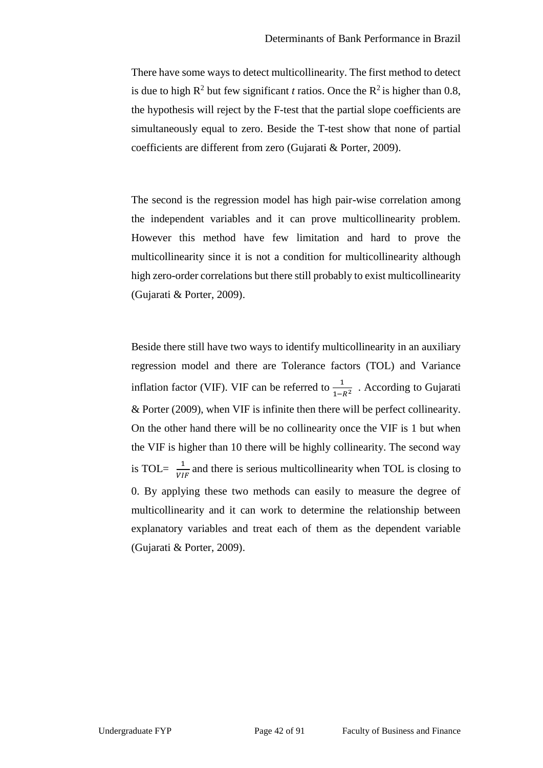There have some ways to detect multicollinearity. The first method to detect is due to high  $R^2$  but few significant *t* ratios. Once the  $R^2$  is higher than 0.8, the hypothesis will reject by the F-test that the partial slope coefficients are simultaneously equal to zero. Beside the T-test show that none of partial coefficients are different from zero (Gujarati & Porter, 2009).

The second is the regression model has high pair-wise correlation among the independent variables and it can prove multicollinearity problem. However this method have few limitation and hard to prove the multicollinearity since it is not a condition for multicollinearity although high zero-order correlations but there still probably to exist multicollinearity (Gujarati & Porter, 2009).

Beside there still have two ways to identify multicollinearity in an auxiliary regression model and there are Tolerance factors (TOL) and Variance inflation factor (VIF). VIF can be referred to  $\frac{1}{1-R^2}$ . According to Gujarati & Porter (2009), when VIF is infinite then there will be perfect collinearity. On the other hand there will be no collinearity once the VIF is 1 but when the VIF is higher than 10 there will be highly collinearity. The second way is TOL=  $\frac{1}{VIF}$  and there is serious multicollinearity when TOL is closing to 0. By applying these two methods can easily to measure the degree of multicollinearity and it can work to determine the relationship between explanatory variables and treat each of them as the dependent variable (Gujarati & Porter, 2009).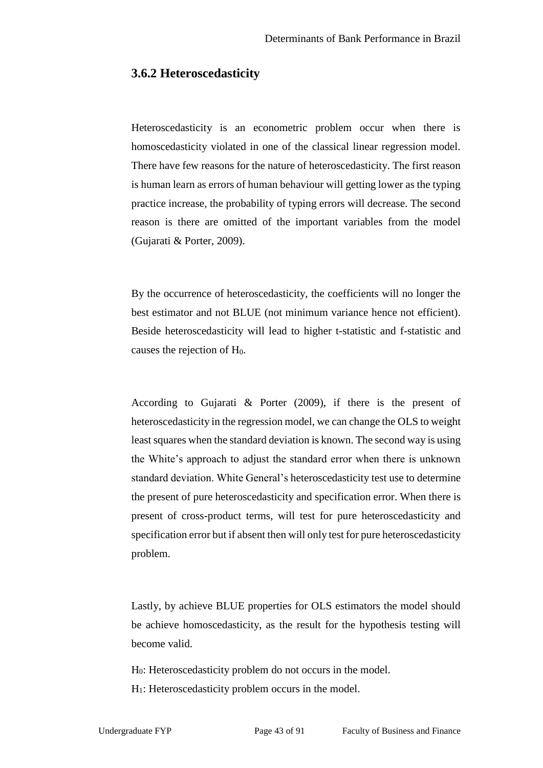#### **3.6.2 Heteroscedasticity**

Heteroscedasticity is an econometric problem occur when there is homoscedasticity violated in one of the classical linear regression model. There have few reasons for the nature of heteroscedasticity. The first reason is human learn as errors of human behaviour will getting lower as the typing practice increase, the probability of typing errors will decrease. The second reason is there are omitted of the important variables from the model (Gujarati & Porter, 2009).

By the occurrence of heteroscedasticity, the coefficients will no longer the best estimator and not BLUE (not minimum variance hence not efficient). Beside heteroscedasticity will lead to higher t-statistic and f-statistic and causes the rejection of  $H<sub>0</sub>$ .

According to Gujarati & Porter (2009), if there is the present of heteroscedasticity in the regression model, we can change the OLS to weight least squares when the standard deviation is known. The second way is using the White's approach to adjust the standard error when there is unknown standard deviation. White General's heteroscedasticity test use to determine the present of pure heteroscedasticity and specification error. When there is present of cross-product terms, will test for pure heteroscedasticity and specification error but if absent then will only test for pure heteroscedasticity problem.

Lastly, by achieve BLUE properties for OLS estimators the model should be achieve homoscedasticity, as the result for the hypothesis testing will become valid.

H0: Heteroscedasticity problem do not occurs in the model.

H1: Heteroscedasticity problem occurs in the model.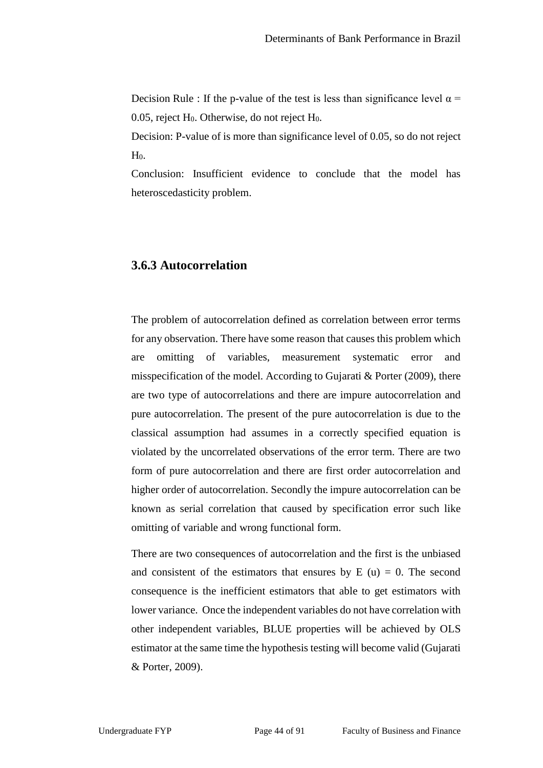Decision Rule : If the p-value of the test is less than significance level  $\alpha$  = 0.05, reject  $H_0$ . Otherwise, do not reject  $H_0$ .

Decision: P-value of is more than significance level of 0.05, so do not reject  $H<sub>0</sub>$ .

Conclusion: Insufficient evidence to conclude that the model has heteroscedasticity problem.

### **3.6.3 Autocorrelation**

The problem of autocorrelation defined as correlation between error terms for any observation. There have some reason that causes this problem which are omitting of variables, measurement systematic error and misspecification of the model. According to Gujarati & Porter (2009), there are two type of autocorrelations and there are impure autocorrelation and pure autocorrelation. The present of the pure autocorrelation is due to the classical assumption had assumes in a correctly specified equation is violated by the uncorrelated observations of the error term. There are two form of pure autocorrelation and there are first order autocorrelation and higher order of autocorrelation. Secondly the impure autocorrelation can be known as serial correlation that caused by specification error such like omitting of variable and wrong functional form.

There are two consequences of autocorrelation and the first is the unbiased and consistent of the estimators that ensures by  $E(u) = 0$ . The second consequence is the inefficient estimators that able to get estimators with lower variance. Once the independent variables do not have correlation with other independent variables, BLUE properties will be achieved by OLS estimator at the same time the hypothesis testing will become valid (Gujarati & Porter, 2009).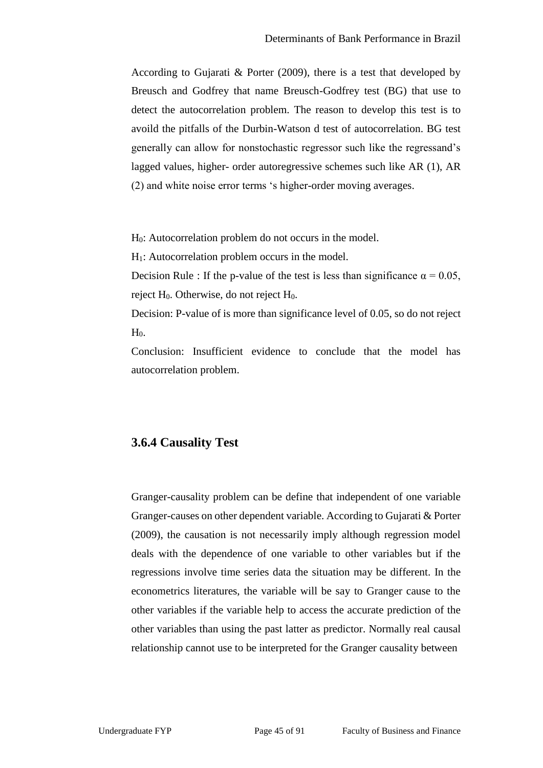According to Gujarati & Porter (2009), there is a test that developed by Breusch and Godfrey that name Breusch-Godfrey test (BG) that use to detect the autocorrelation problem. The reason to develop this test is to avoild the pitfalls of the Durbin-Watson d test of autocorrelation. BG test generally can allow for nonstochastic regressor such like the regressand's lagged values, higher- order autoregressive schemes such like AR (1), AR (2) and white noise error terms 's higher-order moving averages.

H0: Autocorrelation problem do not occurs in the model.

H1: Autocorrelation problem occurs in the model.

Decision Rule : If the p-value of the test is less than significance  $\alpha = 0.05$ , reject  $H_0$ . Otherwise, do not reject  $H_0$ .

Decision: P-value of is more than significance level of 0.05, so do not reject  $H<sub>0</sub>$ .

Conclusion: Insufficient evidence to conclude that the model has autocorrelation problem.

#### **3.6.4 Causality Test**

Granger-causality problem can be define that independent of one variable Granger-causes on other dependent variable. According to Gujarati & Porter (2009), the causation is not necessarily imply although regression model deals with the dependence of one variable to other variables but if the regressions involve time series data the situation may be different. In the econometrics literatures, the variable will be say to Granger cause to the other variables if the variable help to access the accurate prediction of the other variables than using the past latter as predictor. Normally real causal relationship cannot use to be interpreted for the Granger causality between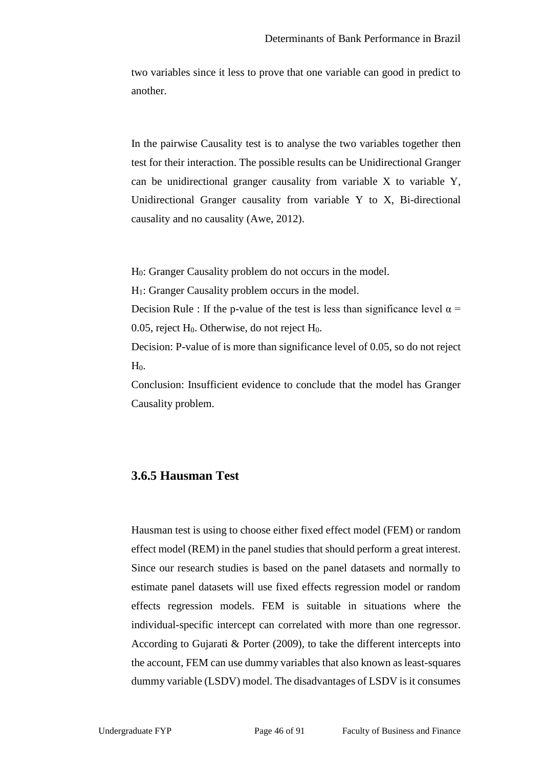two variables since it less to prove that one variable can good in predict to another.

In the pairwise Causality test is to analyse the two variables together then test for their interaction. The possible results can be Unidirectional Granger can be unidirectional granger causality from variable X to variable Y, Unidirectional Granger causality from variable Y to X, Bi-directional causality and no causality (Awe, 2012).

H0: Granger Causality problem do not occurs in the model.

H1: Granger Causality problem occurs in the model.

Decision Rule : If the p-value of the test is less than significance level  $\alpha$  = 0.05, reject  $H_0$ . Otherwise, do not reject  $H_0$ .

Decision: P-value of is more than significance level of 0.05, so do not reject  $H<sub>0</sub>$ .

Conclusion: Insufficient evidence to conclude that the model has Granger Causality problem.

### **3.6.5 Hausman Test**

Hausman test is using to choose either fixed effect model (FEM) or random effect model (REM) in the panel studies that should perform a great interest. Since our research studies is based on the panel datasets and normally to estimate panel datasets will use fixed effects regression model or random effects regression models. FEM is suitable in situations where the individual-specific intercept can correlated with more than one regressor. According to Gujarati & Porter (2009), to take the different intercepts into the account, FEM can use dummy variables that also known as least-squares dummy variable (LSDV) model. The disadvantages of LSDV is it consumes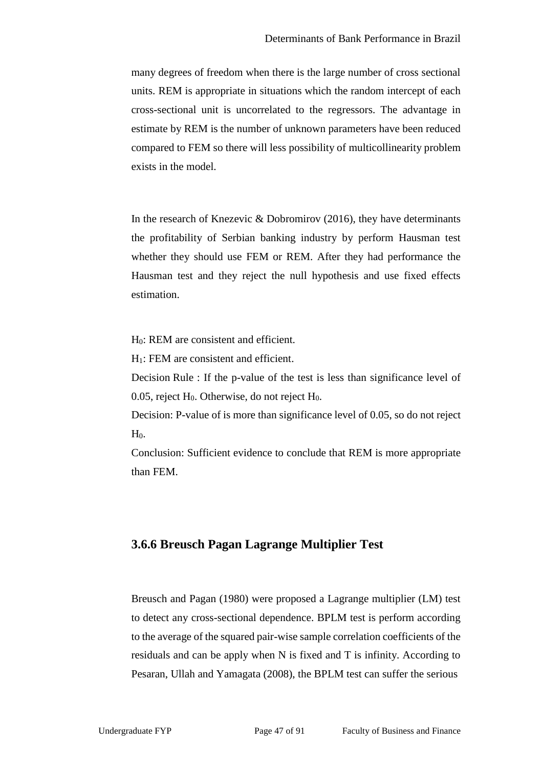many degrees of freedom when there is the large number of cross sectional units. REM is appropriate in situations which the random intercept of each cross-sectional unit is uncorrelated to the regressors. The advantage in estimate by REM is the number of unknown parameters have been reduced compared to FEM so there will less possibility of multicollinearity problem exists in the model.

In the research of Knezevic & Dobromirov  $(2016)$ , they have determinants the profitability of Serbian banking industry by perform Hausman test whether they should use FEM or REM. After they had performance the Hausman test and they reject the null hypothesis and use fixed effects estimation.

H0: REM are consistent and efficient.

H1: FEM are consistent and efficient.

Decision Rule : If the p-value of the test is less than significance level of 0.05, reject  $H_0$ . Otherwise, do not reject  $H_0$ .

Decision: P-value of is more than significance level of 0.05, so do not reject  $H<sub>0</sub>$ .

Conclusion: Sufficient evidence to conclude that REM is more appropriate than FEM.

### **3.6.6 Breusch Pagan Lagrange Multiplier Test**

Breusch and Pagan (1980) were proposed a Lagrange multiplier (LM) test to detect any cross-sectional dependence. BPLM test is perform according to the average of the squared pair-wise sample correlation coefficients of the residuals and can be apply when N is fixed and T is infinity. According to Pesaran, Ullah and Yamagata (2008), the BPLM test can suffer the serious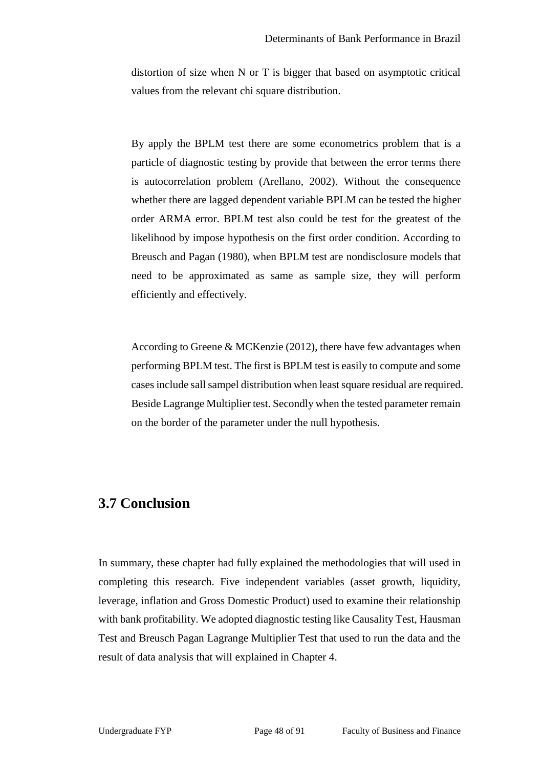distortion of size when N or T is bigger that based on asymptotic critical values from the relevant chi square distribution.

By apply the BPLM test there are some econometrics problem that is a particle of diagnostic testing by provide that between the error terms there is autocorrelation problem (Arellano, 2002). Without the consequence whether there are lagged dependent variable BPLM can be tested the higher order ARMA error. BPLM test also could be test for the greatest of the likelihood by impose hypothesis on the first order condition. According to Breusch and Pagan (1980), when BPLM test are nondisclosure models that need to be approximated as same as sample size, they will perform efficiently and effectively.

According to Greene & MCKenzie (2012), there have few advantages when performing BPLM test. The first is BPLM test is easily to compute and some cases include sall sampel distribution when least square residual are required. Beside Lagrange Multiplier test. Secondly when the tested parameter remain on the border of the parameter under the null hypothesis.

## **3.7 Conclusion**

In summary, these chapter had fully explained the methodologies that will used in completing this research. Five independent variables (asset growth, liquidity, leverage, inflation and Gross Domestic Product) used to examine their relationship with bank profitability. We adopted diagnostic testing like Causality Test, Hausman Test and Breusch Pagan Lagrange Multiplier Test that used to run the data and the result of data analysis that will explained in Chapter 4.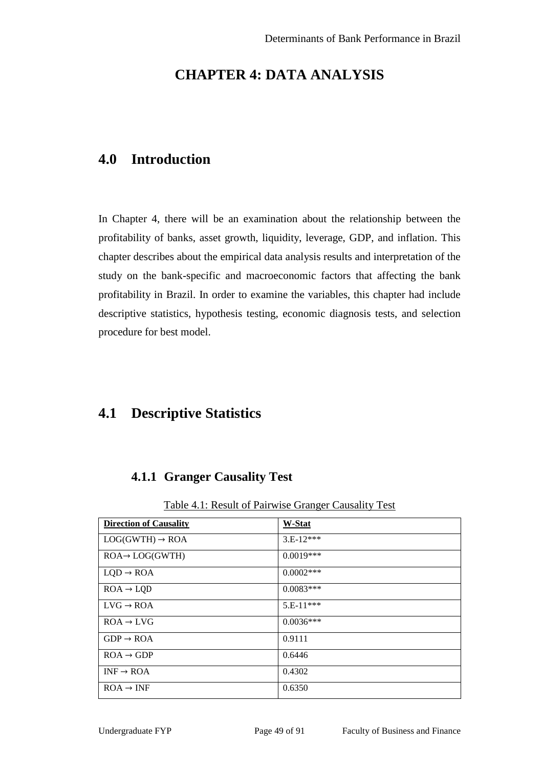# **CHAPTER 4: DATA ANALYSIS**

# **4.0 Introduction**

In Chapter 4, there will be an examination about the relationship between the profitability of banks, asset growth, liquidity, leverage, GDP, and inflation. This chapter describes about the empirical data analysis results and interpretation of the study on the bank-specific and macroeconomic factors that affecting the bank profitability in Brazil. In order to examine the variables, this chapter had include descriptive statistics, hypothesis testing, economic diagnosis tests, and selection procedure for best model.

# **4.1 Descriptive Statistics**

### **4.1.1 Granger Causality Test**

Table 4.1: Result of Pairwise Granger Causality Test

| <b>Direction of Causality</b> | W-Stat      |
|-------------------------------|-------------|
|                               |             |
| $LOG(GWTH) \rightarrow ROA$   | $3.E-12***$ |
| $ROA \rightarrow LOG(GWTH)$   | $0.0019***$ |
|                               |             |
| $LQD \rightarrow ROA$         | $0.0002***$ |
|                               | $0.0083***$ |
| $ROA \rightarrow LQD$         |             |
| $LVG \rightarrow ROA$         | $5.E-11***$ |
|                               |             |
| $ROA \rightarrow LVG$         | $0.0036***$ |
|                               |             |
| $GDP \rightarrow ROA$         | 0.9111      |
|                               |             |
| $ROA \rightarrow GDP$         | 0.6446      |
|                               |             |
| $INF \rightarrow ROA$         | 0.4302      |
|                               |             |
| $ROA \rightarrow INF$         | 0.6350      |
|                               |             |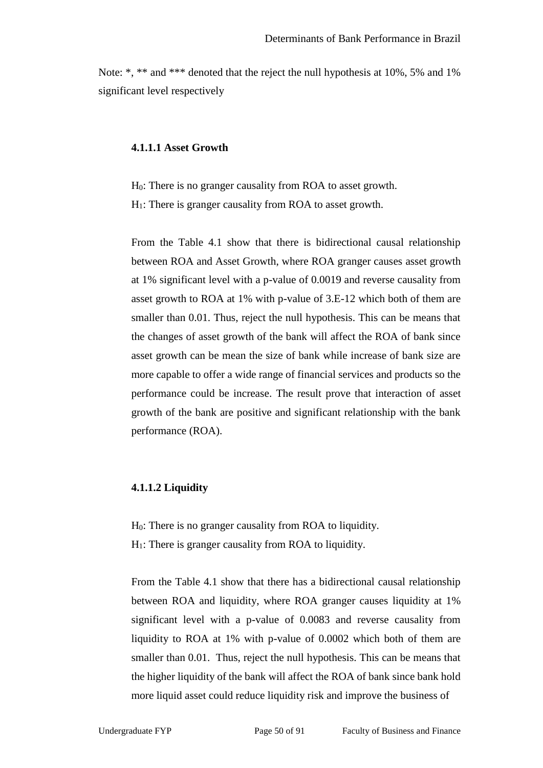Note: \*, \*\* and \*\*\* denoted that the reject the null hypothesis at 10%, 5% and 1% significant level respectively

#### **4.1.1.1 Asset Growth**

 $H<sub>0</sub>$ : There is no granger causality from ROA to asset growth.

H<sub>1</sub>: There is granger causality from ROA to asset growth.

From the Table 4.1 show that there is bidirectional causal relationship between ROA and Asset Growth, where ROA granger causes asset growth at 1% significant level with a p-value of 0.0019 and reverse causality from asset growth to ROA at 1% with p-value of 3.E-12 which both of them are smaller than 0.01. Thus, reject the null hypothesis. This can be means that the changes of asset growth of the bank will affect the ROA of bank since asset growth can be mean the size of bank while increase of bank size are more capable to offer a wide range of financial services and products so the performance could be increase. The result prove that interaction of asset growth of the bank are positive and significant relationship with the bank performance (ROA).

#### **4.1.1.2 Liquidity**

H0: There is no granger causality from ROA to liquidity.  $H<sub>1</sub>$ : There is granger causality from ROA to liquidity.

From the Table 4.1 show that there has a bidirectional causal relationship between ROA and liquidity, where ROA granger causes liquidity at 1% significant level with a p-value of 0.0083 and reverse causality from liquidity to ROA at 1% with p-value of 0.0002 which both of them are smaller than 0.01. Thus, reject the null hypothesis. This can be means that the higher liquidity of the bank will affect the ROA of bank since bank hold more liquid asset could reduce liquidity risk and improve the business of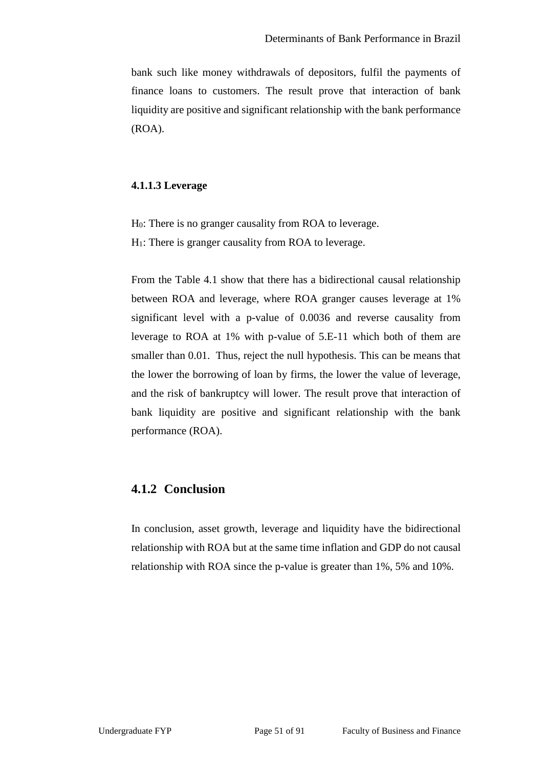bank such like money withdrawals of depositors, fulfil the payments of finance loans to customers. The result prove that interaction of bank liquidity are positive and significant relationship with the bank performance (ROA).

#### **4.1.1.3 Leverage**

H0: There is no granger causality from ROA to leverage.

H1: There is granger causality from ROA to leverage.

From the Table 4.1 show that there has a bidirectional causal relationship between ROA and leverage, where ROA granger causes leverage at 1% significant level with a p-value of 0.0036 and reverse causality from leverage to ROA at 1% with p-value of 5.E-11 which both of them are smaller than 0.01. Thus, reject the null hypothesis. This can be means that the lower the borrowing of loan by firms, the lower the value of leverage, and the risk of bankruptcy will lower. The result prove that interaction of bank liquidity are positive and significant relationship with the bank performance (ROA).

### **4.1.2 Conclusion**

In conclusion, asset growth, leverage and liquidity have the bidirectional relationship with ROA but at the same time inflation and GDP do not causal relationship with ROA since the p-value is greater than 1%, 5% and 10%.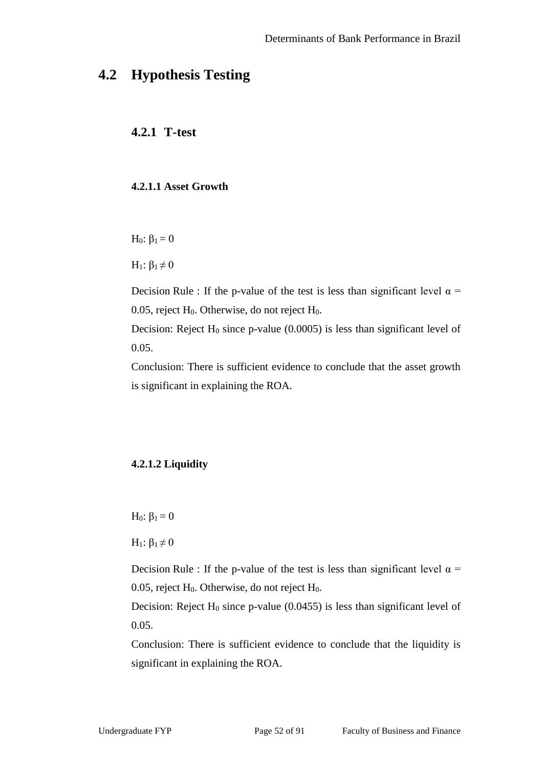# **4.2 Hypothesis Testing**

### **4.2.1 T-test**

#### **4.2.1.1 Asset Growth**

H<sub>0</sub>:  $β_1 = 0$ 

H<sub>1</sub>:  $β_1 \neq 0$ 

Decision Rule : If the p-value of the test is less than significant level  $\alpha$  = 0.05, reject  $H_0$ . Otherwise, do not reject  $H_0$ .

Decision: Reject  $H_0$  since p-value (0.0005) is less than significant level of 0.05.

Conclusion: There is sufficient evidence to conclude that the asset growth is significant in explaining the ROA.

### **4.2.1.2 Liquidity**

H<sub>0</sub>:  $β_1 = 0$ 

H<sub>1</sub>:  $β_1 \neq 0$ 

Decision Rule : If the p-value of the test is less than significant level  $\alpha$  = 0.05, reject  $H_0$ . Otherwise, do not reject  $H_0$ .

Decision: Reject  $H_0$  since p-value (0.0455) is less than significant level of 0.05.

Conclusion: There is sufficient evidence to conclude that the liquidity is significant in explaining the ROA.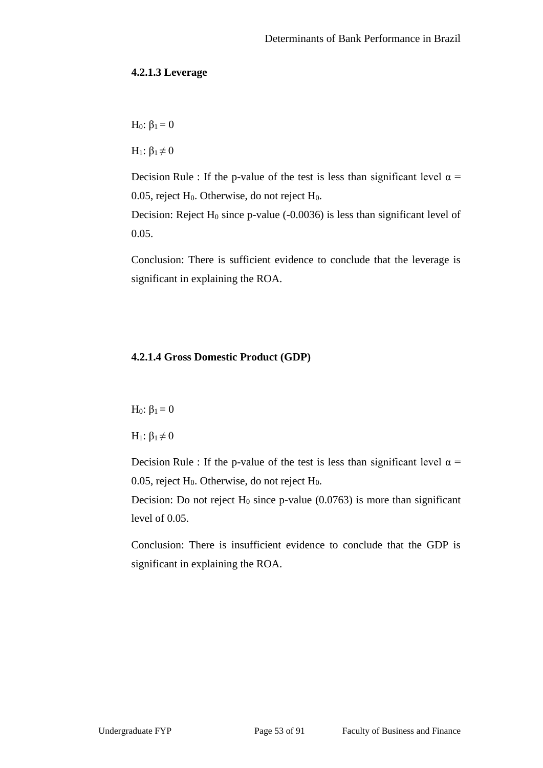#### **4.2.1.3 Leverage**

H<sub>0</sub>:  $β_1 = 0$ 

H<sub>1</sub>:  $β_1 \neq 0$ 

Decision Rule : If the p-value of the test is less than significant level  $\alpha$  = 0.05, reject  $H_0$ . Otherwise, do not reject  $H_0$ .

Decision: Reject  $H_0$  since p-value (-0.0036) is less than significant level of 0.05.

Conclusion: There is sufficient evidence to conclude that the leverage is significant in explaining the ROA.

#### **4.2.1.4 Gross Domestic Product (GDP)**

 $H_0$ : β<sub>1</sub> = 0

H<sub>1</sub>:  $β_1 \neq 0$ 

Decision Rule : If the p-value of the test is less than significant level  $\alpha$  = 0.05, reject  $H_0$ . Otherwise, do not reject  $H_0$ .

Decision: Do not reject  $H_0$  since p-value (0.0763) is more than significant level of 0.05.

Conclusion: There is insufficient evidence to conclude that the GDP is significant in explaining the ROA.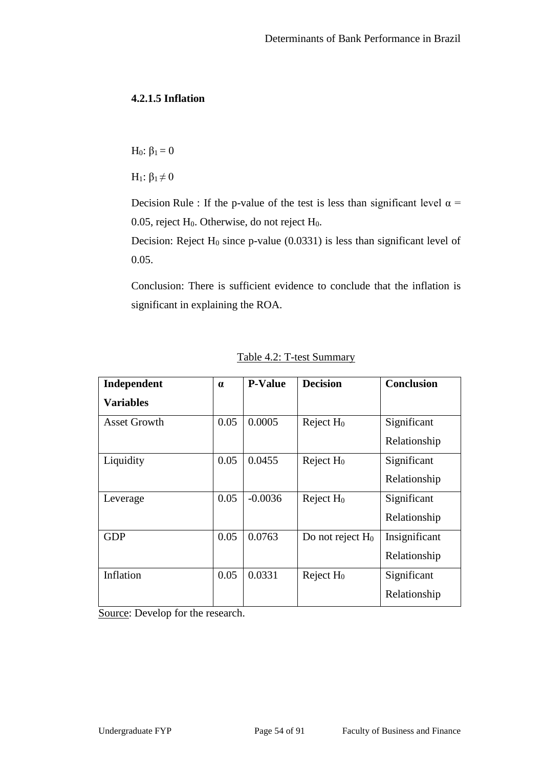### **4.2.1.5 Inflation**

H<sub>0</sub>:  $β_1 = 0$ 

H<sub>1</sub>:  $β_1 \neq 0$ 

Decision Rule : If the p-value of the test is less than significant level  $\alpha$  = 0.05, reject H<sub>0</sub>. Otherwise, do not reject H<sub>0</sub>.

Decision: Reject  $H_0$  since p-value (0.0331) is less than significant level of 0.05.

Conclusion: There is sufficient evidence to conclude that the inflation is significant in explaining the ROA.

| Independent         | $\alpha$ | <b>P-Value</b> | <b>Decision</b>       | <b>Conclusion</b> |
|---------------------|----------|----------------|-----------------------|-------------------|
| <b>Variables</b>    |          |                |                       |                   |
| <b>Asset Growth</b> | 0.05     | 0.0005         | Reject $H_0$          | Significant       |
|                     |          |                |                       | Relationship      |
| Liquidity           | 0.05     | 0.0455         | Reject H <sub>0</sub> | Significant       |
|                     |          |                |                       | Relationship      |
| Leverage            | 0.05     | $-0.0036$      | Reject H <sub>0</sub> | Significant       |
|                     |          |                |                       | Relationship      |
| <b>GDP</b>          | 0.05     | 0.0763         | Do not reject $H_0$   | Insignificant     |
|                     |          |                |                       | Relationship      |
| Inflation           | 0.05     | 0.0331         | Reject $H_0$          | Significant       |
|                     |          |                |                       | Relationship      |

Table 4.2: T-test Summary

Source: Develop for the research.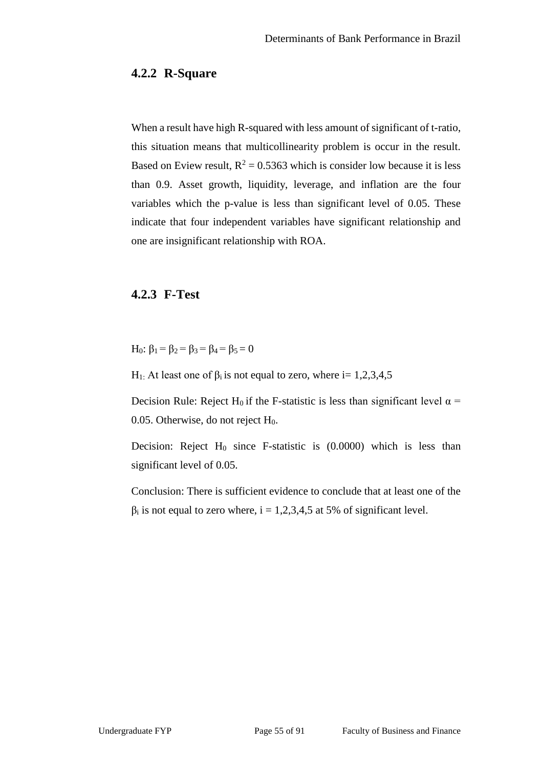#### **4.2.2 R-Square**

When a result have high R-squared with less amount of significant of t-ratio, this situation means that multicollinearity problem is occur in the result. Based on Eview result,  $R^2 = 0.5363$  which is consider low because it is less than 0.9. Asset growth, liquidity, leverage, and inflation are the four variables which the p-value is less than significant level of 0.05. These indicate that four independent variables have significant relationship and one are insignificant relationship with ROA.

### **4.2.3 F-Test**

H<sub>0</sub>:  $\beta_1 = \beta_2 = \beta_3 = \beta_4 = \beta_5 = 0$ 

H<sub>1:</sub> At least one of  $β<sub>i</sub>$  is not equal to zero, where i= 1,2,3,4,5

Decision Rule: Reject H<sub>0</sub> if the F-statistic is less than significant level  $\alpha$  = 0.05. Otherwise, do not reject H<sub>0</sub>.

Decision: Reject  $H_0$  since F-statistic is  $(0.0000)$  which is less than significant level of 0.05.

Conclusion: There is sufficient evidence to conclude that at least one of the  $\beta_i$  is not equal to zero where, i = 1,2,3,4,5 at 5% of significant level.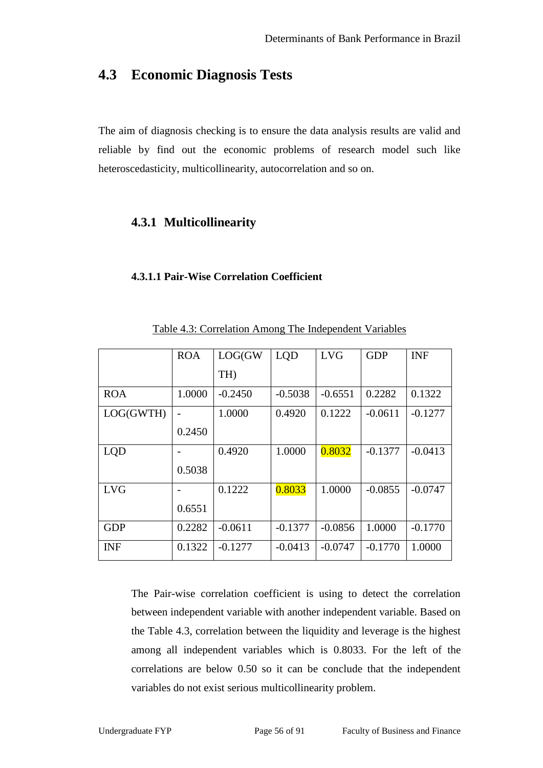# **4.3 Economic Diagnosis Tests**

The aim of diagnosis checking is to ensure the data analysis results are valid and reliable by find out the economic problems of research model such like heteroscedasticity, multicollinearity, autocorrelation and so on.

### **4.3.1 Multicollinearity**

#### **4.3.1.1 Pair-Wise Correlation Coefficient**

|            | <b>ROA</b> | LOG(GW)         | <b>LQD</b> | <b>LVG</b> | <b>GDP</b> | <b>INF</b> |
|------------|------------|-----------------|------------|------------|------------|------------|
|            |            | TH <sub>)</sub> |            |            |            |            |
| <b>ROA</b> | 1.0000     | $-0.2450$       | $-0.5038$  | $-0.6551$  | 0.2282     | 0.1322     |
| LOG(GWTH)  |            | 1.0000          | 0.4920     | 0.1222     | $-0.0611$  | $-0.1277$  |
|            | 0.2450     |                 |            |            |            |            |
| <b>LQD</b> |            | 0.4920          | 1.0000     | 0.8032     | $-0.1377$  | $-0.0413$  |
|            | 0.5038     |                 |            |            |            |            |
| <b>LVG</b> |            | 0.1222          | 0.8033     | 1.0000     | $-0.0855$  | $-0.0747$  |
|            | 0.6551     |                 |            |            |            |            |
| <b>GDP</b> | 0.2282     | $-0.0611$       | $-0.1377$  | $-0.0856$  | 1.0000     | $-0.1770$  |
| <b>INF</b> | 0.1322     | $-0.1277$       | $-0.0413$  | $-0.0747$  | $-0.1770$  | 1.0000     |

Table 4.3: Correlation Among The Independent Variables

The Pair-wise correlation coefficient is using to detect the correlation between independent variable with another independent variable. Based on the Table 4.3, correlation between the liquidity and leverage is the highest among all independent variables which is 0.8033. For the left of the correlations are below 0.50 so it can be conclude that the independent variables do not exist serious multicollinearity problem.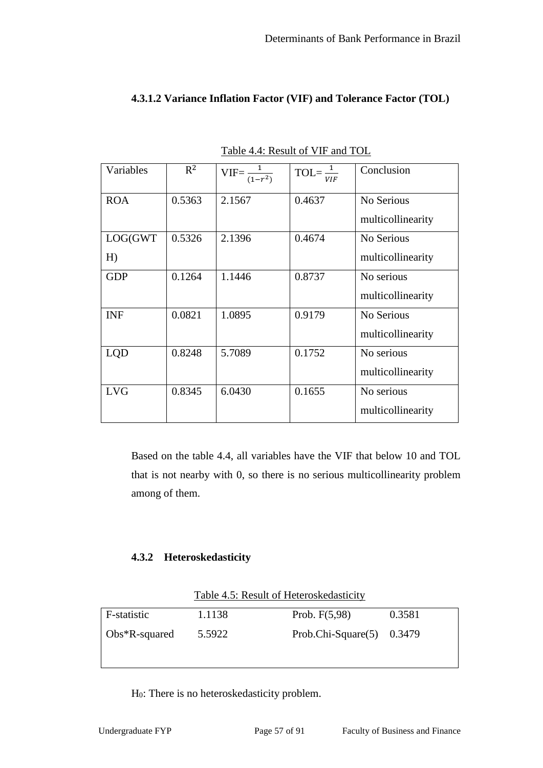|               | Table 4.4: Result of VIF and TOL |                             |                                   |                                 |  |  |
|---------------|----------------------------------|-----------------------------|-----------------------------------|---------------------------------|--|--|
| Variables     | $R^2$                            | $VIF = \frac{1}{(1 - r^2)}$ | $TOL = \frac{1}{1}$<br><b>VIF</b> | Conclusion                      |  |  |
| <b>ROA</b>    | 0.5363                           | 2.1567                      | 0.4637                            | No Serious<br>multicollinearity |  |  |
| LOG(GWT<br>H) | 0.5326                           | 2.1396                      | 0.4674                            | No Serious<br>multicollinearity |  |  |
| <b>GDP</b>    | 0.1264                           | 1.1446                      | 0.8737                            | No serious<br>multicollinearity |  |  |
| <b>INF</b>    | 0.0821                           | 1.0895                      | 0.9179                            | No Serious<br>multicollinearity |  |  |
| LQD           | 0.8248                           | 5.7089                      | 0.1752                            | No serious<br>multicollinearity |  |  |
| <b>LVG</b>    | 0.8345                           | 6.0430                      | 0.1655                            | No serious<br>multicollinearity |  |  |

# **4.3.1.2 Variance Inflation Factor (VIF) and Tolerance Factor (TOL)**

Table 4.5: Result of Heteroskedasticity

Based on the table 4.4, all variables have the VIF that below 10 and TOL

that is not nearby with 0, so there is no serious multicollinearity problem

| F-statistic       | 1.1138 | Prob. $F(5,98)$              | 0.3581 |
|-------------------|--------|------------------------------|--------|
| $\log*R$ -squared | 5.5922 | Prob.Chi-Square $(5)$ 0.3479 |        |
|                   |        |                              |        |

H0: There is no heteroskedasticity problem.

among of them.

**4.3.2 Heteroskedasticity**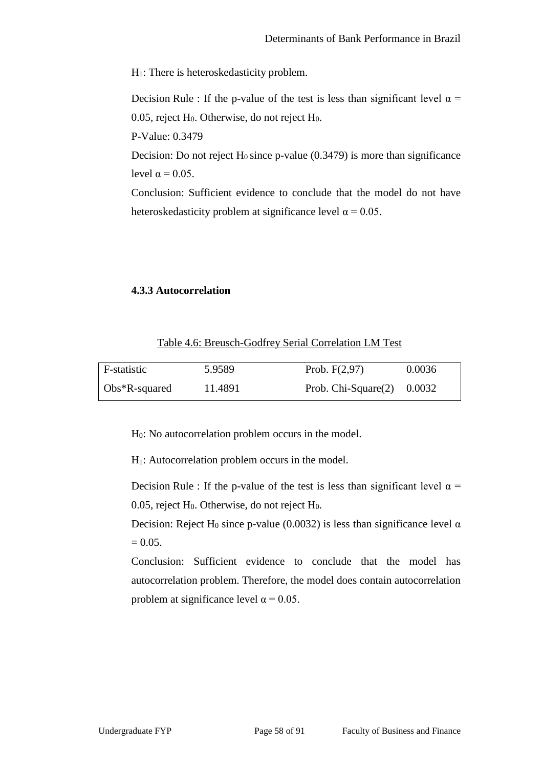H1: There is heteroskedasticity problem.

Decision Rule : If the p-value of the test is less than significant level  $\alpha$  = 0.05, reject  $H_0$ . Otherwise, do not reject  $H_0$ .

P-Value: 0.3479

Decision: Do not reject  $H_0$  since p-value (0.3479) is more than significance level  $\alpha = 0.05$ .

Conclusion: Sufficient evidence to conclude that the model do not have heteroskedasticity problem at significance level  $\alpha = 0.05$ .

#### **4.3.3 Autocorrelation**

| Table 4.6: Breusch-Godfrey Serial Correlation LM Test |
|-------------------------------------------------------|
|-------------------------------------------------------|

| F-statistic       | 5.9589  | Prob. $F(2,97)$               | 0.0036 |
|-------------------|---------|-------------------------------|--------|
| $\log*R$ -squared | 11.4891 | Prob. Chi-Square $(2)$ 0.0032 |        |

H0: No autocorrelation problem occurs in the model.

H1: Autocorrelation problem occurs in the model.

Decision Rule : If the p-value of the test is less than significant level  $\alpha$  = 0.05, reject  $H_0$ . Otherwise, do not reject  $H_0$ .

Decision: Reject H<sub>0</sub> since p-value (0.0032) is less than significance level  $\alpha$  $= 0.05.$ 

Conclusion: Sufficient evidence to conclude that the model has autocorrelation problem. Therefore, the model does contain autocorrelation problem at significance level  $\alpha$  = 0.05.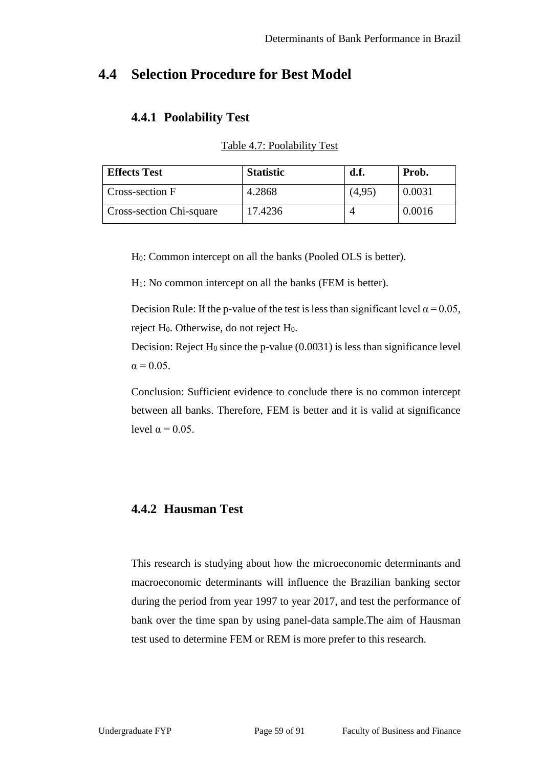# **4.4 Selection Procedure for Best Model**

# **4.4.1 Poolability Test**

| <b>Effects Test</b>      | <b>Statistic</b> | d.f.   | Prob.  |
|--------------------------|------------------|--------|--------|
| Cross-section F          | 4.2868           | (4,95) | 0.0031 |
| Cross-section Chi-square | 17.4236          |        | 0.0016 |

Table 4.7: Poolability Test

H0: Common intercept on all the banks (Pooled OLS is better).

H1: No common intercept on all the banks (FEM is better).

Decision Rule: If the p-value of the test is less than significant level  $\alpha = 0.05$ , reject H<sub>0</sub>. Otherwise, do not reject H<sub>0</sub>.

Decision: Reject  $H_0$  since the p-value (0.0031) is less than significance level  $\alpha = 0.05$ .

Conclusion: Sufficient evidence to conclude there is no common intercept between all banks. Therefore, FEM is better and it is valid at significance level  $\alpha = 0.05$ .

# **4.4.2 Hausman Test**

This research is studying about how the microeconomic determinants and macroeconomic determinants will influence the Brazilian banking sector during the period from year 1997 to year 2017, and test the performance of bank over the time span by using panel-data sample.The aim of Hausman test used to determine FEM or REM is more prefer to this research.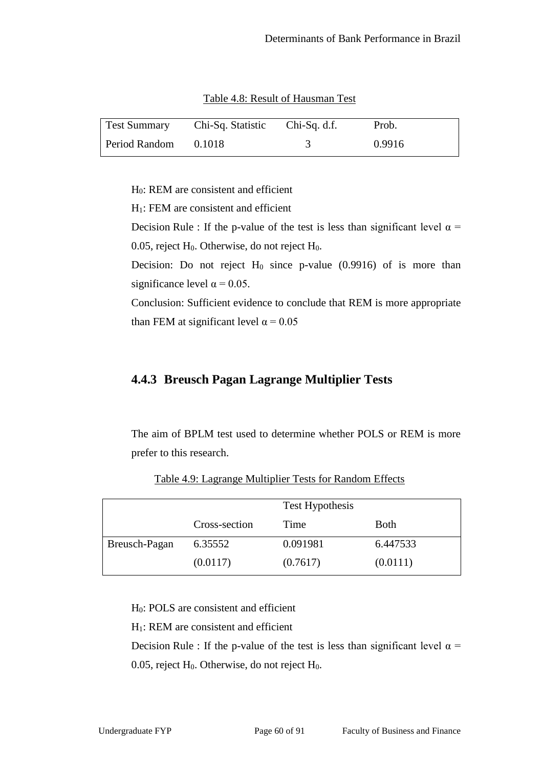| <b>Test Summary</b> | Chi-Sq. Statistic | $Chi-Sq. d.f.$ | Prob.  |
|---------------------|-------------------|----------------|--------|
| Period Random       | 0.1018            |                | 0.9916 |

Table 4.8: Result of Hausman Test

H0: REM are consistent and efficient

H1: FEM are consistent and efficient

Decision Rule : If the p-value of the test is less than significant level  $\alpha$  = 0.05, reject  $H_0$ . Otherwise, do not reject  $H_0$ .

Decision: Do not reject  $H_0$  since p-value (0.9916) of is more than significance level  $\alpha$  = 0.05.

Conclusion: Sufficient evidence to conclude that REM is more appropriate than FEM at significant level  $\alpha$  = 0.05

### **4.4.3 Breusch Pagan Lagrange Multiplier Tests**

The aim of BPLM test used to determine whether POLS or REM is more prefer to this research.

|               |               | Test Hypothesis |             |
|---------------|---------------|-----------------|-------------|
|               | Cross-section | Time            | <b>Both</b> |
| Breusch-Pagan | 6.35552       | 0.091981        | 6.447533    |
|               | (0.0117)      | (0.7617)        | (0.0111)    |

Table 4.9: Lagrange Multiplier Tests for Random Effects

H0: POLS are consistent and efficient

H1: REM are consistent and efficient

Decision Rule : If the p-value of the test is less than significant level  $\alpha$  = 0.05, reject  $H_0$ . Otherwise, do not reject  $H_0$ .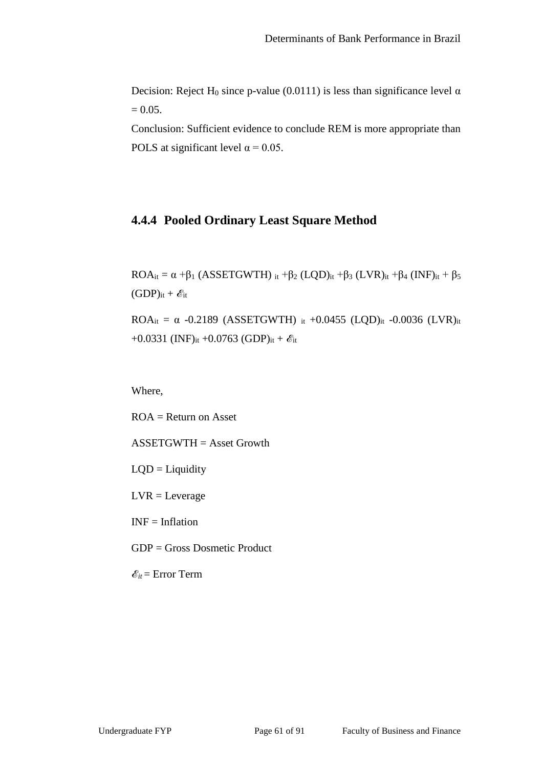Decision: Reject H<sub>0</sub> since p-value (0.0111) is less than significance level  $\alpha$  $= 0.05.$ 

Conclusion: Sufficient evidence to conclude REM is more appropriate than POLS at significant level  $\alpha$  = 0.05.

# **4.4.4 Pooled Ordinary Least Square Method**

 $ROA_{it} = \alpha + \beta_1 (ASSETGWTH)$  it  $+\beta_2 (LQD)_{it} + \beta_3 (LVR)_{it} + \beta_4 (INF)_{it} + \beta_5$  $(GDP)_{it} + \mathcal{E}_{it}$ 

ROA<sub>it</sub> = α -0.2189 (ASSETGWTH) it +0.0455 (LQD)<sub>it</sub> -0.0036 (LVR)<sub>it</sub> +0.0331 (INF)<sub>it</sub> +0.0763 (GDP)<sub>it</sub> +  $\mathcal{E}_{it}$ 

Where,

 $ROA = Return on Asset$ ASSETGWTH = Asset Growth

 $LQD =$ Liquidity

 $LVR = Leverage$ 

 $INF = Inflation$ 

GDP = Gross Dosmetic Product

 $\mathcal{E}_{it}$  = Error Term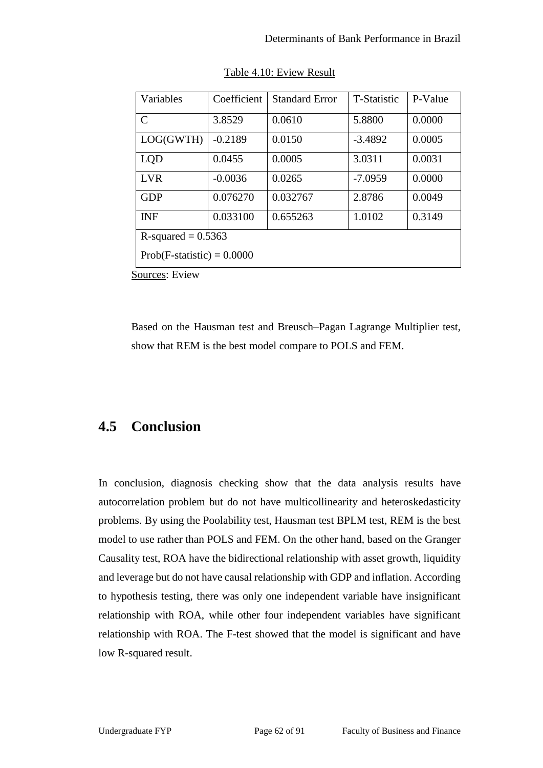| Variables                    | Coefficient | <b>Standard Error</b> | <b>T-Statistic</b> | P-Value |  |
|------------------------------|-------------|-----------------------|--------------------|---------|--|
| $\mathcal{C}$                | 3.8529      | 0.0610                | 5.8800             | 0.0000  |  |
| LOG(GWTH)                    | $-0.2189$   | 0.0150                | $-3.4892$          | 0.0005  |  |
| LQD                          | 0.0455      | 0.0005                | 3.0311             | 0.0031  |  |
| <b>LVR</b>                   | $-0.0036$   | 0.0265                | $-7.0959$          | 0.0000  |  |
| <b>GDP</b>                   | 0.076270    | 0.032767              | 2.8786             | 0.0049  |  |
| <b>INF</b>                   | 0.033100    | 0.655263              | 1.0102             | 0.3149  |  |
| R-squared $= 0.5363$         |             |                       |                    |         |  |
| $Prob(F-statistic) = 0.0000$ |             |                       |                    |         |  |

| Table 4.10: Eview Result |
|--------------------------|
|--------------------------|

Sources: Eview

Based on the Hausman test and Breusch–Pagan Lagrange Multiplier test, show that REM is the best model compare to POLS and FEM.

# **4.5 Conclusion**

In conclusion, diagnosis checking show that the data analysis results have autocorrelation problem but do not have multicollinearity and heteroskedasticity problems. By using the Poolability test, Hausman test BPLM test, REM is the best model to use rather than POLS and FEM. On the other hand, based on the Granger Causality test, ROA have the bidirectional relationship with asset growth, liquidity and leverage but do not have causal relationship with GDP and inflation. According to hypothesis testing, there was only one independent variable have insignificant relationship with ROA, while other four independent variables have significant relationship with ROA. The F-test showed that the model is significant and have low R-squared result.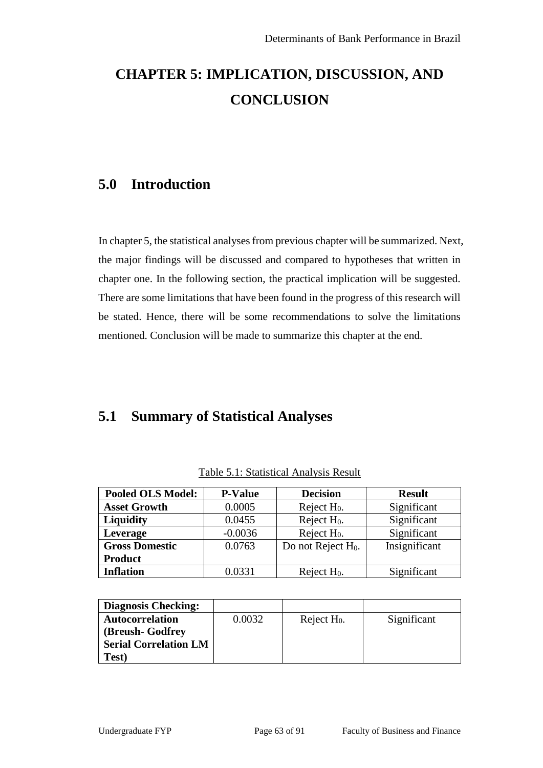# **CHAPTER 5: IMPLICATION, DISCUSSION, AND CONCLUSION**

# **5.0 Introduction**

In chapter 5, the statistical analyses from previous chapter will be summarized. Next, the major findings will be discussed and compared to hypotheses that written in chapter one. In the following section, the practical implication will be suggested. There are some limitations that have been found in the progress of this research will be stated. Hence, there will be some recommendations to solve the limitations mentioned. Conclusion will be made to summarize this chapter at the end.

# **5.1 Summary of Statistical Analyses**

| <b>Pooled OLS Model:</b> | <b>P-Value</b> | <b>Decision</b>                | <b>Result</b> |
|--------------------------|----------------|--------------------------------|---------------|
| <b>Asset Growth</b>      | 0.0005         | Reject $H_0$ .                 | Significant   |
| <b>Liquidity</b>         | 0.0455         | Reject $H_0$ .                 | Significant   |
| Leverage                 | $-0.0036$      | Reject $H_0$ .                 | Significant   |
| <b>Gross Domestic</b>    | 0.0763         | Do not Reject H <sub>0</sub> . | Insignificant |
| <b>Product</b>           |                |                                |               |
| <b>Inflation</b>         | 0.0331         | Reject $H_0$ .                 | Significant   |

Table 5.1: Statistical Analysis Result

| <b>Diagnosis Checking:</b>   |        |                |             |
|------------------------------|--------|----------------|-------------|
| <b>Autocorrelation</b>       | 0.0032 | Reject $H_0$ . | Significant |
| (Breush- Godfrey)            |        |                |             |
| <b>Serial Correlation LM</b> |        |                |             |
| Test)                        |        |                |             |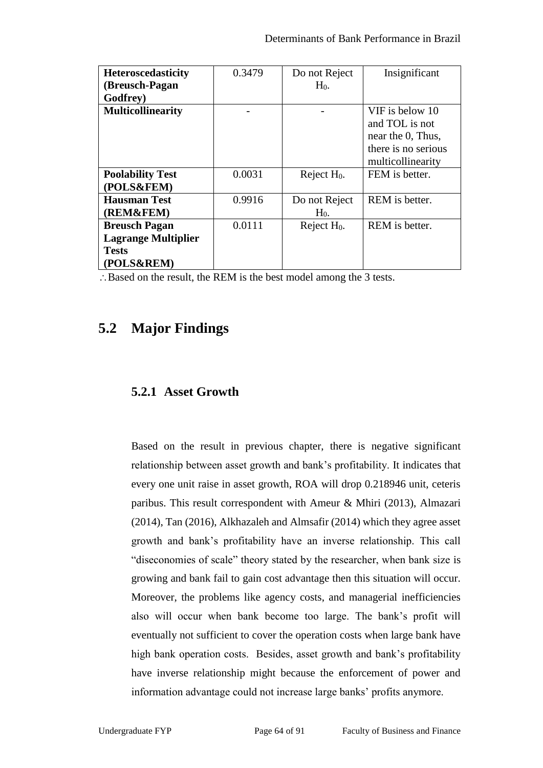| <b>Heteroscedasticity</b>  | 0.3479 | Do not Reject  | Insignificant       |
|----------------------------|--------|----------------|---------------------|
| (Breusch-Pagan             |        | $H_0$ .        |                     |
| Godfrey)                   |        |                |                     |
| <b>Multicollinearity</b>   |        |                | VIF is below 10     |
|                            |        |                | and TOL is not      |
|                            |        |                | near the 0, Thus,   |
|                            |        |                | there is no serious |
|                            |        |                | multicollinearity   |
| <b>Poolability Test</b>    | 0.0031 | Reject $H_0$ . | FEM is better.      |
| (POLS&FEM)                 |        |                |                     |
| <b>Hausman Test</b>        | 0.9916 | Do not Reject  | REM is better.      |
| (REM&FEM)                  |        | $H_0$ .        |                     |
| <b>Breusch Pagan</b>       | 0.0111 | Reject $H_0$ . | REM is better.      |
| <b>Lagrange Multiplier</b> |        |                |                     |
| <b>Tests</b>               |        |                |                     |
| (POLS&REM)                 |        |                |                     |

Based on the result, the REM is the best model among the 3 tests.

# **5.2 Major Findings**

# **5.2.1 Asset Growth**

Based on the result in previous chapter, there is negative significant relationship between asset growth and bank's profitability. It indicates that every one unit raise in asset growth, ROA will drop 0.218946 unit, ceteris paribus. This result correspondent with Ameur & Mhiri (2013), Almazari (2014), Tan (2016), Alkhazaleh and Almsafir (2014) which they agree asset growth and bank's profitability have an inverse relationship. This call "diseconomies of scale" theory stated by the researcher, when bank size is growing and bank fail to gain cost advantage then this situation will occur. Moreover, the problems like agency costs, and managerial inefficiencies also will occur when bank become too large. The bank's profit will eventually not sufficient to cover the operation costs when large bank have high bank operation costs. Besides, asset growth and bank's profitability have inverse relationship might because the enforcement of power and information advantage could not increase large banks' profits anymore.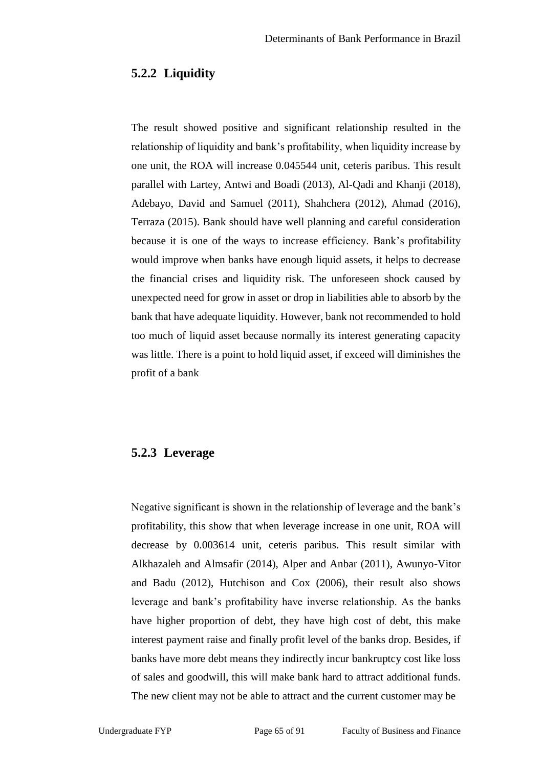### **5.2.2 Liquidity**

The result showed positive and significant relationship resulted in the relationship of liquidity and bank's profitability, when liquidity increase by one unit, the ROA will increase 0.045544 unit, ceteris paribus. This result parallel with Lartey, Antwi and Boadi (2013), Al-Qadi and Khanji (2018), Adebayo, David and Samuel (2011), Shahchera (2012), Ahmad (2016), Terraza (2015). Bank should have well planning and careful consideration because it is one of the ways to increase efficiency. Bank's profitability would improve when banks have enough liquid assets, it helps to decrease the financial crises and liquidity risk. The unforeseen shock caused by unexpected need for grow in asset or drop in liabilities able to absorb by the bank that have adequate liquidity. However, bank not recommended to hold too much of liquid asset because normally its interest generating capacity was little. There is a point to hold liquid asset, if exceed will diminishes the profit of a bank

#### **5.2.3 Leverage**

Negative significant is shown in the relationship of leverage and the bank's profitability, this show that when leverage increase in one unit, ROA will decrease by 0.003614 unit, ceteris paribus. This result similar with Alkhazaleh and Almsafir (2014), Alper and Anbar (2011), Awunyo-Vitor and Badu (2012), Hutchison and Cox (2006), their result also shows leverage and bank's profitability have inverse relationship. As the banks have higher proportion of debt, they have high cost of debt, this make interest payment raise and finally profit level of the banks drop. Besides, if banks have more debt means they indirectly incur bankruptcy cost like loss of sales and goodwill, this will make bank hard to attract additional funds. The new client may not be able to attract and the current customer may be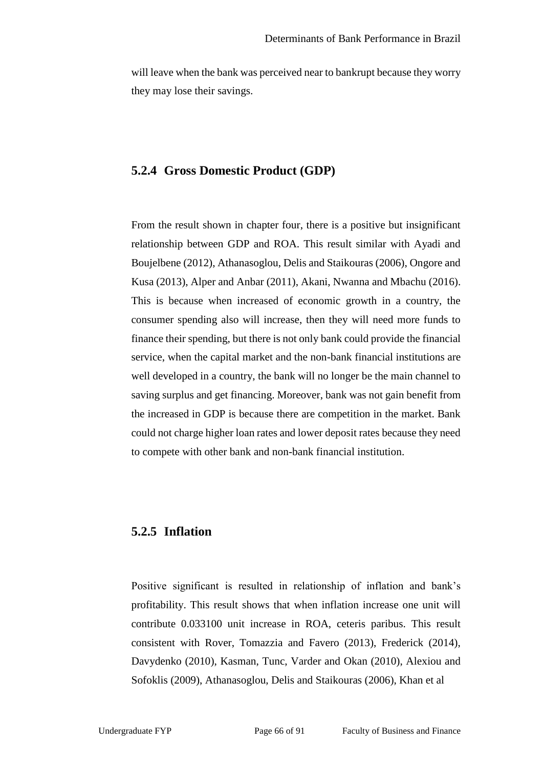will leave when the bank was perceived near to bankrupt because they worry they may lose their savings.

#### **5.2.4 Gross Domestic Product (GDP)**

From the result shown in chapter four, there is a positive but insignificant relationship between GDP and ROA. This result similar with Ayadi and Boujelbene (2012), Athanasoglou, Delis and Staikouras (2006), Ongore and Kusa (2013), Alper and Anbar (2011), Akani, Nwanna and Mbachu (2016). This is because when increased of economic growth in a country, the consumer spending also will increase, then they will need more funds to finance their spending, but there is not only bank could provide the financial service, when the capital market and the non-bank financial institutions are well developed in a country, the bank will no longer be the main channel to saving surplus and get financing. Moreover, bank was not gain benefit from the increased in GDP is because there are competition in the market. Bank could not charge higher loan rates and lower deposit rates because they need to compete with other bank and non-bank financial institution.

### **5.2.5 Inflation**

Positive significant is resulted in relationship of inflation and bank's profitability. This result shows that when inflation increase one unit will contribute 0.033100 unit increase in ROA, ceteris paribus. This result consistent with Rover, Tomazzia and Favero (2013), Frederick (2014), Davydenko (2010), Kasman, Tunc, Varder and Okan (2010), Alexiou and Sofoklis (2009), Athanasoglou, Delis and Staikouras (2006), Khan et al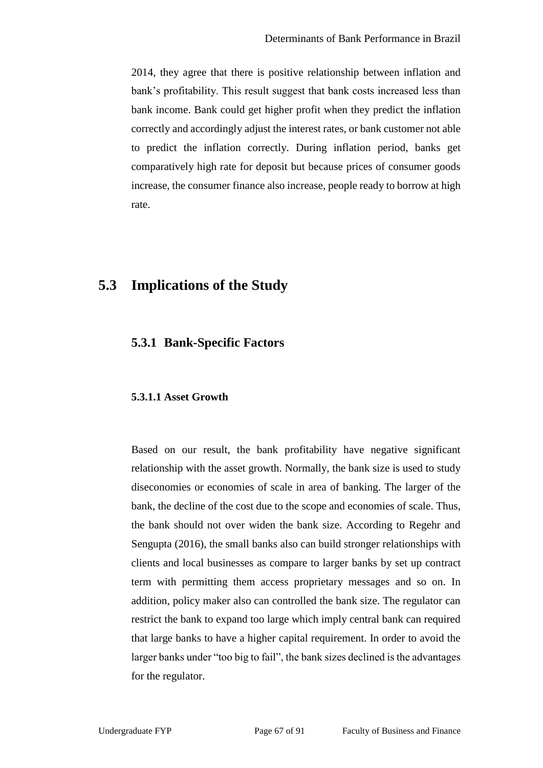2014, they agree that there is positive relationship between inflation and bank's profitability. This result suggest that bank costs increased less than bank income. Bank could get higher profit when they predict the inflation correctly and accordingly adjust the interest rates, or bank customer not able to predict the inflation correctly. During inflation period, banks get comparatively high rate for deposit but because prices of consumer goods increase, the consumer finance also increase, people ready to borrow at high rate.

# **5.3 Implications of the Study**

### **5.3.1 Bank-Specific Factors**

#### **5.3.1.1 Asset Growth**

Based on our result, the bank profitability have negative significant relationship with the asset growth. Normally, the bank size is used to study diseconomies or economies of scale in area of banking. The larger of the bank, the decline of the cost due to the scope and economies of scale. Thus, the bank should not over widen the bank size. According to Regehr and Sengupta (2016), the small banks also can build stronger relationships with clients and local businesses as compare to larger banks by set up contract term with permitting them access proprietary messages and so on. In addition, policy maker also can controlled the bank size. The regulator can restrict the bank to expand too large which imply central bank can required that large banks to have a higher capital requirement. In order to avoid the larger banks under "too big to fail", the bank sizes declined is the advantages for the regulator.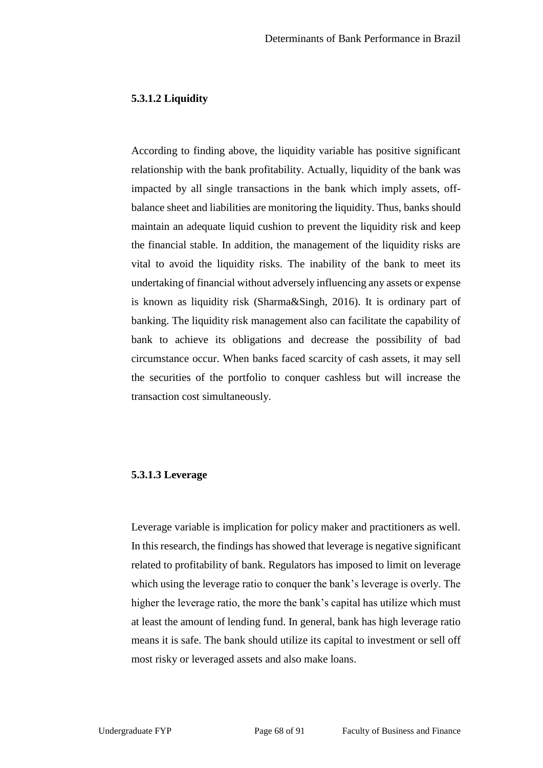#### **5.3.1.2 Liquidity**

According to finding above, the liquidity variable has positive significant relationship with the bank profitability. Actually, liquidity of the bank was impacted by all single transactions in the bank which imply assets, offbalance sheet and liabilities are monitoring the liquidity. Thus, banks should maintain an adequate liquid cushion to prevent the liquidity risk and keep the financial stable. In addition, the management of the liquidity risks are vital to avoid the liquidity risks. The inability of the bank to meet its undertaking of financial without adversely influencing any assets or expense is known as liquidity risk (Sharma&Singh, 2016). It is ordinary part of banking. The liquidity risk management also can facilitate the capability of bank to achieve its obligations and decrease the possibility of bad circumstance occur. When banks faced scarcity of cash assets, it may sell the securities of the portfolio to conquer cashless but will increase the transaction cost simultaneously.

#### **5.3.1.3 Leverage**

Leverage variable is implication for policy maker and practitioners as well. In this research, the findings has showed that leverage is negative significant related to profitability of bank. Regulators has imposed to limit on leverage which using the leverage ratio to conquer the bank's leverage is overly. The higher the leverage ratio, the more the bank's capital has utilize which must at least the amount of lending fund. In general, bank has high leverage ratio means it is safe. The bank should utilize its capital to investment or sell off most risky or leveraged assets and also make loans.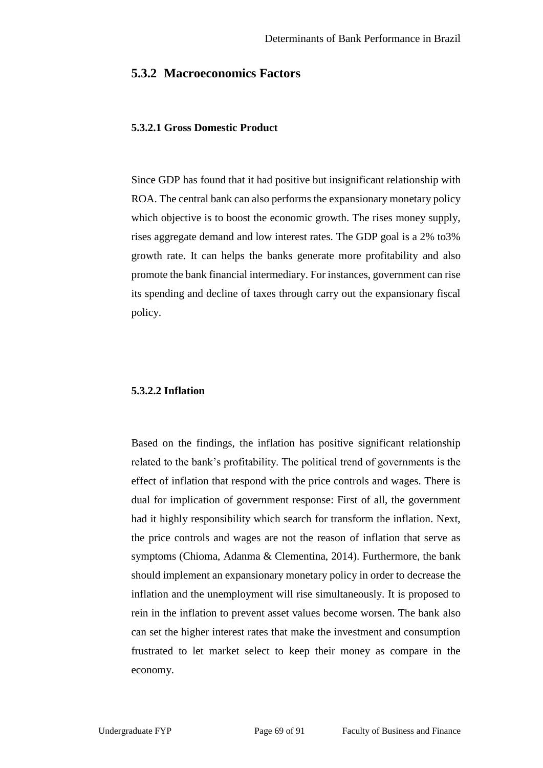#### **5.3.2 Macroeconomics Factors**

#### **5.3.2.1 Gross Domestic Product**

Since GDP has found that it had positive but insignificant relationship with ROA. The central bank can also performs the expansionary monetary policy which objective is to boost the economic growth. The rises money supply, rises aggregate demand and low interest rates. The GDP goal is a 2% to3% growth rate. It can helps the banks generate more profitability and also promote the bank financial intermediary. For instances, government can rise its spending and decline of taxes through carry out the expansionary fiscal policy.

#### **5.3.2.2 Inflation**

Based on the findings, the inflation has positive significant relationship related to the bank's profitability. The political trend of governments is the effect of inflation that respond with the price controls and wages. There is dual for implication of government response: First of all, the government had it highly responsibility which search for transform the inflation. Next, the price controls and wages are not the reason of inflation that serve as symptoms (Chioma, Adanma & Clementina, 2014). Furthermore, the bank should implement an expansionary monetary policy in order to decrease the inflation and the unemployment will rise simultaneously. It is proposed to rein in the inflation to prevent asset values become worsen. The bank also can set the higher interest rates that make the investment and consumption frustrated to let market select to keep their money as compare in the economy.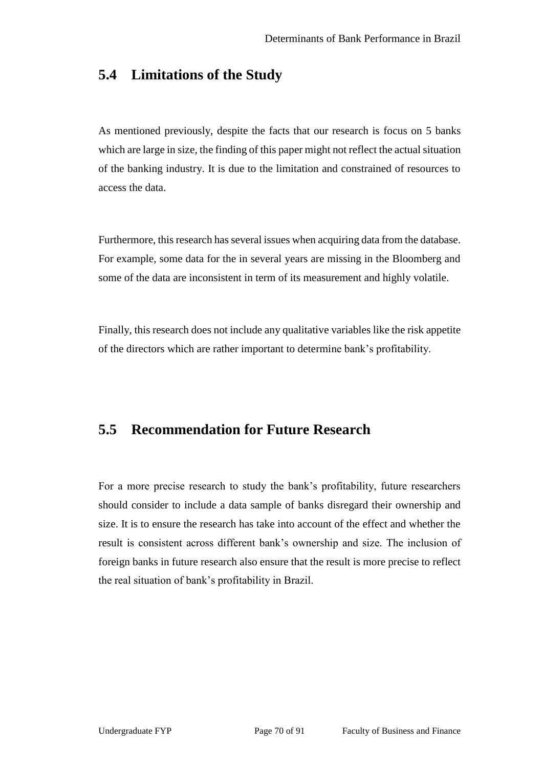# **5.4 Limitations of the Study**

As mentioned previously, despite the facts that our research is focus on 5 banks which are large in size, the finding of this paper might not reflect the actual situation of the banking industry. It is due to the limitation and constrained of resources to access the data.

Furthermore, this research has several issues when acquiring data from the database. For example, some data for the in several years are missing in the Bloomberg and some of the data are inconsistent in term of its measurement and highly volatile.

Finally, this research does not include any qualitative variables like the risk appetite of the directors which are rather important to determine bank's profitability.

# **5.5 Recommendation for Future Research**

For a more precise research to study the bank's profitability, future researchers should consider to include a data sample of banks disregard their ownership and size. It is to ensure the research has take into account of the effect and whether the result is consistent across different bank's ownership and size. The inclusion of foreign banks in future research also ensure that the result is more precise to reflect the real situation of bank's profitability in Brazil.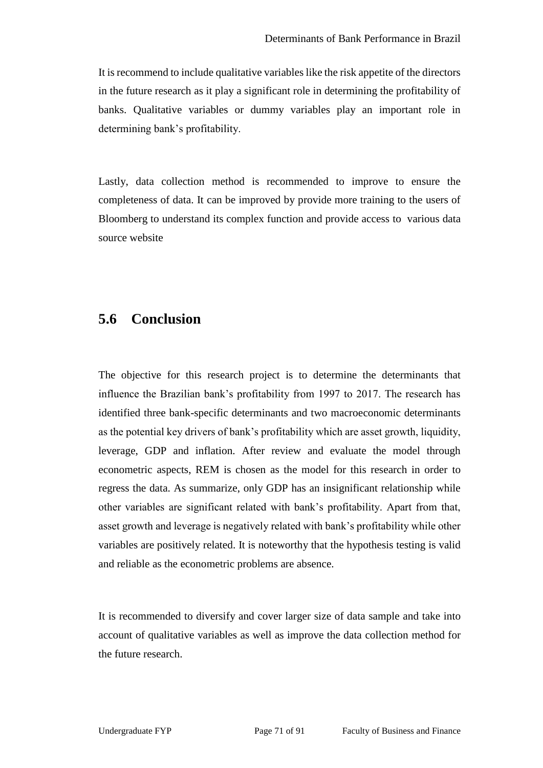It is recommend to include qualitative variables like the risk appetite of the directors in the future research as it play a significant role in determining the profitability of banks. Qualitative variables or dummy variables play an important role in determining bank's profitability.

Lastly, data collection method is recommended to improve to ensure the completeness of data. It can be improved by provide more training to the users of Bloomberg to understand its complex function and provide access to various data source website

# **5.6 Conclusion**

The objective for this research project is to determine the determinants that influence the Brazilian bank's profitability from 1997 to 2017. The research has identified three bank-specific determinants and two macroeconomic determinants as the potential key drivers of bank's profitability which are asset growth, liquidity, leverage, GDP and inflation. After review and evaluate the model through econometric aspects, REM is chosen as the model for this research in order to regress the data. As summarize, only GDP has an insignificant relationship while other variables are significant related with bank's profitability. Apart from that, asset growth and leverage is negatively related with bank's profitability while other variables are positively related. It is noteworthy that the hypothesis testing is valid and reliable as the econometric problems are absence.

It is recommended to diversify and cover larger size of data sample and take into account of qualitative variables as well as improve the data collection method for the future research.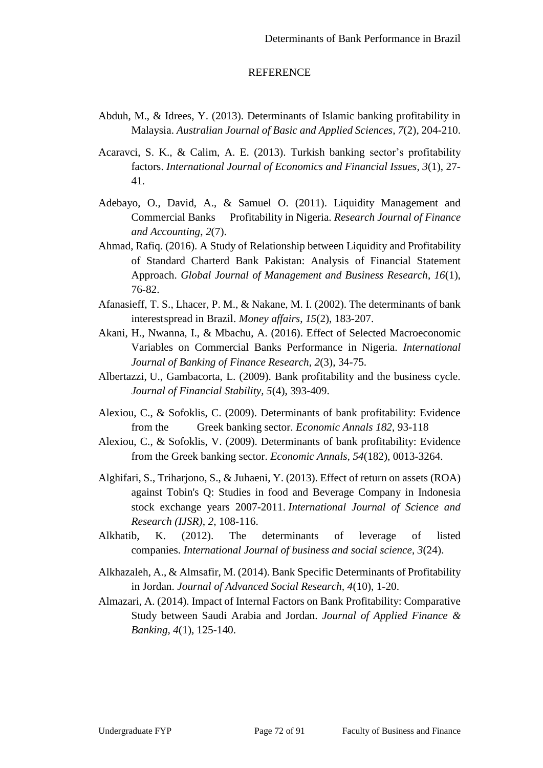#### **REFERENCE**

- Abduh, M., & Idrees, Y. (2013). Determinants of Islamic banking profitability in Malaysia. *Australian Journal of Basic and Applied Sciences, 7*(2), 204-210.
- Acaravci, S. K., & Calim, A. E. (2013). Turkish banking sector's profitability factors. *International Journal of Economics and Financial Issues*, *3*(1), 27- 41.
- Adebayo, O., David, A., & Samuel O. (2011). Liquidity Management and Commercial Banks Profitability in Nigeria. *Research Journal of Finance and Accounting*, *2*(7).
- Ahmad, Rafiq. (2016). A Study of Relationship between Liquidity and Profitability of Standard Charterd Bank Pakistan: Analysis of Financial Statement Approach. *Global Journal of Management and Business Research*, *16*(1), 76-82.
- Afanasieff, T. S., Lhacer, P. M., & Nakane, M. I. (2002). The determinants of bank interestspread in Brazil. *Money affairs*, *15*(2), 183-207.
- Akani, H., Nwanna, I., & Mbachu, A. (2016). Effect of Selected Macroeconomic Variables on Commercial Banks Performance in Nigeria. *International Journal of Banking of Finance Research*, *2*(3), 34-75.
- Albertazzi, U., Gambacorta, L. (2009). Bank profitability and the business cycle. *Journal of Financial Stability, 5*(4), 393-409.
- Alexiou, C., & Sofoklis, C. (2009). Determinants of bank profitability: Evidence from the Greek banking sector. *Economic Annals 182*, 93-118
- Alexiou, C., & Sofoklis, V. (2009). Determinants of bank profitability: Evidence from the Greek banking sector. *Economic Annals, 54*(182), 0013-3264.
- Alghifari, S., Triharjono, S., & Juhaeni, Y. (2013). Effect of return on assets (ROA) against Tobin's Q: Studies in food and Beverage Company in Indonesia stock exchange years 2007-2011. *International Journal of Science and Research (IJSR)*, *2*, 108-116.
- Alkhatib, K. (2012). The determinants of leverage of listed companies. *International Journal of business and social science*, *3*(24).
- Alkhazaleh, A., & Almsafir, M. (2014). Bank Specific Determinants of Profitability in Jordan. *Journal of Advanced Social Research, 4*(10), 1-20.
- Almazari, A. (2014). Impact of Internal Factors on Bank Profitability: Comparative Study between Saudi Arabia and Jordan. *Journal of Applied Finance & Banking, 4*(1), 125-140.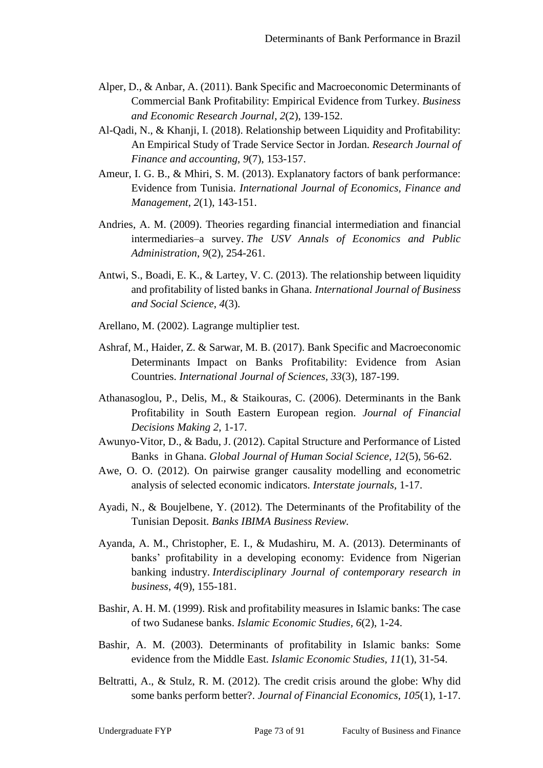- Alper, D., & Anbar, A. (2011). Bank Specific and Macroeconomic Determinants of Commercial Bank Profitability: Empirical Evidence from Turkey. *Business and Economic Research Journal*, *2*(2), 139-152.
- Al-Qadi, N., & Khanji, I. (2018). Relationship between Liquidity and Profitability: An Empirical Study of Trade Service Sector in Jordan. *Research Journal of Finance and accounting*, *9*(7), 153-157.
- Ameur, I. G. B., & Mhiri, S. M. (2013). Explanatory factors of bank performance: Evidence from Tunisia. *International Journal of Economics, Finance and Management, 2*(1), 143-151.
- Andries, A. M. (2009). Theories regarding financial intermediation and financial intermediaries–a survey. *The USV Annals of Economics and Public Administration*, *9*(2), 254-261.
- Antwi, S., Boadi, E. K., & Lartey, V. C. (2013). The relationship between liquidity and profitability of listed banks in Ghana. *International Journal of Business and Social Science*, *4*(3).
- Arellano, M. (2002). Lagrange multiplier test.
- Ashraf, M., Haider, Z. & Sarwar, M. B. (2017). Bank Specific and Macroeconomic Determinants Impact on Banks Profitability: Evidence from Asian Countries. *International Journal of Sciences, 33*(3), 187-199.
- Athanasoglou, P., Delis, M., & Staikouras, C. (2006). Determinants in the Bank Profitability in South Eastern European region. *Journal of Financial Decisions Making 2*, 1-17.
- Awunyo-Vitor, D., & Badu, J. (2012). Capital Structure and Performance of Listed Banks in Ghana. *Global Journal of Human Social Science, 12*(5), 56-62.
- Awe, O. O. (2012). On pairwise granger causality modelling and econometric analysis of selected economic indicators. *Interstate journals,* 1-17.
- Ayadi, N., & Boujelbene, Y. (2012). The Determinants of the Profitability of the Tunisian Deposit. *Banks IBIMA Business Review.*
- Ayanda, A. M., Christopher, E. I., & Mudashiru, M. A. (2013). Determinants of banks' profitability in a developing economy: Evidence from Nigerian banking industry. *Interdisciplinary Journal of contemporary research in business*, *4*(9), 155-181.
- Bashir, A. H. M. (1999). Risk and profitability measures in Islamic banks: The case of two Sudanese banks. *Islamic Economic Studies, 6*(2), 1-24.
- Bashir, A. M. (2003). Determinants of profitability in Islamic banks: Some evidence from the Middle East. *Islamic Economic Studies, 11*(1), 31-54.
- Beltratti, A., & Stulz, R. M. (2012). The credit crisis around the globe: Why did some banks perform better?. *Journal of Financial Economics*, *105*(1), 1-17.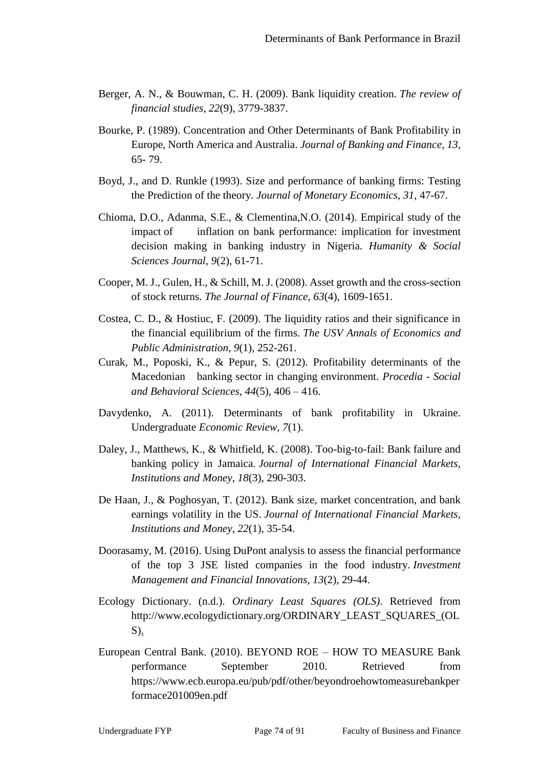- Berger, A. N., & Bouwman, C. H. (2009). Bank liquidity creation. *The review of financial studies*, *22*(9), 3779-3837.
- Bourke, P. (1989). Concentration and Other Determinants of Bank Profitability in Europe, North America and Australia. *Journal of Banking and Finance*, *13*, 65- 79.
- Boyd, J., and D. Runkle (1993). Size and performance of banking firms: Testing the Prediction of the theory. *Journal of Monetary Economics, 31*, 47-67.
- Chioma, D.O., Adanma, S.E., & Clementina,N.O. (2014). Empirical study of the impact of inflation on bank performance: implication for investment decision making in banking industry in Nigeria. *Humanity & Social Sciences Journal, 9*(2), 61-71.
- Cooper, M. J., Gulen, H., & Schill, M. J. (2008). Asset growth and the cross‐section of stock returns. *The Journal of Finance*, *63*(4), 1609-1651.
- Costea, C. D., & Hostiuc, F. (2009). The liquidity ratios and their significance in the financial equilibrium of the firms. *The USV Annals of Economics and Public Administration*, *9*(1), 252-261.
- Curak, M., Poposki, K., & Pepur, S. (2012). Profitability determinants of the Macedonian banking sector in changing environment. *Procedia - Social and Behavioral Sciences, 44*(5), 406 – 416.
- Davydenko, A. (2011). Determinants of bank profitability in Ukraine. Undergraduate *Economic Review, 7*(1).
- Daley, J., Matthews, K., & Whitfield, K. (2008). Too-big-to-fail: Bank failure and banking policy in Jamaica. *Journal of International Financial Markets, Institutions and Money*, *18*(3), 290-303.
- De Haan, J., & Poghosyan, T. (2012). Bank size, market concentration, and bank earnings volatility in the US. *Journal of International Financial Markets, Institutions and Money*, *22*(1), 35-54.
- Doorasamy, M. (2016). Using DuPont analysis to assess the financial performance of the top 3 JSE listed companies in the food industry. *Investment Management and Financial Innovations*, *13*(2), 29-44.
- Ecology Dictionary. (n.d.). *Ordinary Least Squares (OLS)*. Retrieved from http://www.ecologydictionary.org/ORDINARY\_LEAST\_SQUARES\_(OL S).
- European Central Bank. (2010). BEYOND ROE HOW TO MEASURE Bank performance September 2010. Retrieved from https://www.ecb.europa.eu/pub/pdf/other/beyondroehowtomeasurebankper formace201009en.pdf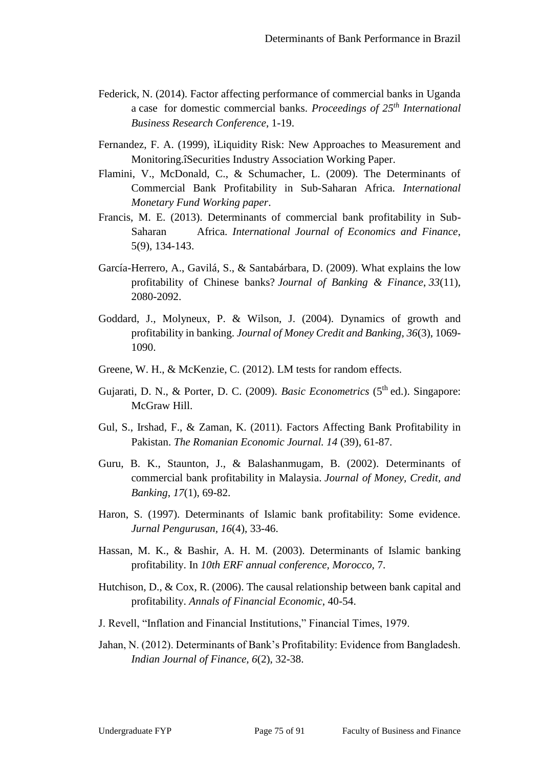- Federick, N. (2014). Factor affecting performance of commercial banks in Uganda a case for domestic commercial banks. *Proceedings of 25th International Business Research Conference*, 1-19.
- Fernandez, F. A. (1999), ìLiquidity Risk: New Approaches to Measurement and Monitoring.îSecurities Industry Association Working Paper.
- Flamini, V., McDonald, C., & Schumacher, L. (2009). The Determinants of Commercial Bank Profitability in Sub-Saharan Africa. *International Monetary Fund Working paper*.
- Francis, M. E. (2013). Determinants of commercial bank profitability in Sub-Saharan Africa. *International Journal of Economics and Finance*, 5(9), 134-143.
- García-Herrero, A., Gavilá, S., & Santabárbara, D. (2009). What explains the low profitability of Chinese banks? *Journal of Banking & Finance*, *33*(11), 2080-2092.
- Goddard, J., Molyneux, P. & Wilson, J. (2004). Dynamics of growth and profitability in banking. *Journal of Money Credit and Banking, 36*(3), 1069- 1090.
- Greene, W. H., & McKenzie, C. (2012). LM tests for random effects.
- Gujarati, D. N., & Porter, D. C. (2009). *Basic Econometrics* (5<sup>th</sup> ed.). Singapore: McGraw Hill.
- Gul, S., Irshad, F., & Zaman, K. (2011). Factors Affecting Bank Profitability in Pakistan. *The Romanian Economic Journal. 14* (39), 61-87.
- Guru, B. K., Staunton, J., & Balashanmugam, B. (2002). Determinants of commercial bank profitability in Malaysia. *Journal of Money, Credit, and Banking*, *17*(1), 69-82.
- Haron, S. (1997). Determinants of Islamic bank profitability: Some evidence. *Jurnal Pengurusan, 16*(4), 33-46.
- Hassan, M. K., & Bashir, A. H. M. (2003). Determinants of Islamic banking profitability. In *10th ERF annual conference, Morocco,* 7.
- Hutchison, D., & Cox, R. (2006). The causal relationship between bank capital and profitability. *Annals of Financial Economic*, 40-54.
- J. Revell, "Inflation and Financial Institutions," Financial Times, 1979.
- Jahan, N. (2012). Determinants of Bank's Profitability: Evidence from Bangladesh. *Indian Journal of Finance, 6*(2), 32-38.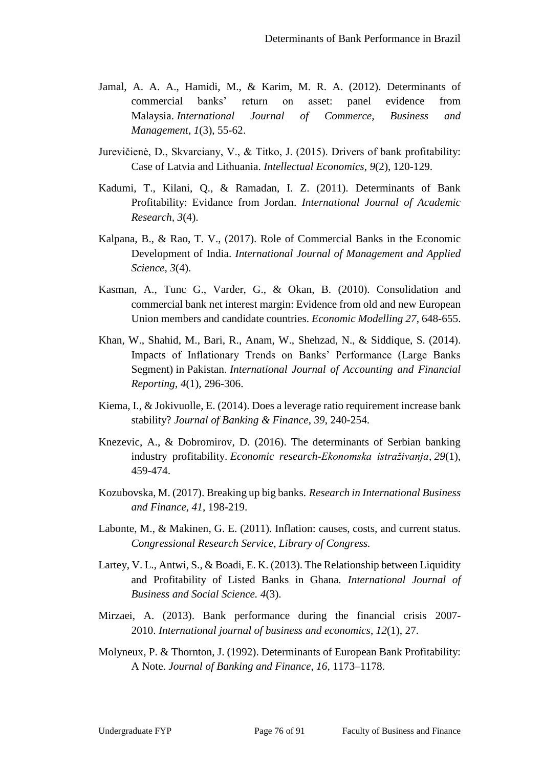- Jamal, A. A. A., Hamidi, M., & Karim, M. R. A. (2012). Determinants of commercial banks' return on asset: panel evidence from Malaysia. *International Journal of Commerce, Business and Management*, *1*(3), 55-62.
- Jurevičienė, D., Skvarciany, V., & Titko, J. (2015). Drivers of bank profitability: Case of Latvia and Lithuania. *Intellectual Economics*, *9*(2), 120-129.
- Kadumi, T., Kilani, Q., & Ramadan, I. Z. (2011). Determinants of Bank Profitability: Evidance from Jordan. *International Journal of Academic Research, 3*(4).
- Kalpana, B., & Rao, T. V., (2017). Role of Commercial Banks in the Economic Development of India. *International Journal of Management and Applied Science, 3*(4).
- Kasman, A., Tunc G., Varder, G., & Okan, B. (2010). Consolidation and commercial bank net interest margin: Evidence from old and new European Union members and candidate countries. *Economic Modelling 27*, 648-655.
- Khan, W., Shahid, M., Bari, R., Anam, W., Shehzad, N., & Siddique, S. (2014). Impacts of Inflationary Trends on Banks' Performance (Large Banks Segment) in Pakistan. *International Journal of Accounting and Financial Reporting*, *4*(1), 296-306.
- Kiema, I., & Jokivuolle, E. (2014). Does a leverage ratio requirement increase bank stability? *Journal of Banking & Finance*, *39*, 240-254.
- Knezevic, A., & Dobromirov, D. (2016). The determinants of Serbian banking industry profitability. *Economic research-Ekonomska istraživanja*, *29*(1), 459-474.
- Kozubovska, M. (2017). Breaking up big banks. *Research in International Business and Finance*, *41*, 198-219.
- Labonte, M., & Makinen, G. E. (2011). Inflation: causes, costs, and current status. *Congressional Research Service, Library of Congress.*
- Lartey, V. L., Antwi, S., & Boadi, E. K. (2013). The Relationship between Liquidity and Profitability of Listed Banks in Ghana. *International Journal of Business and Social Science. 4*(3).
- Mirzaei, A. (2013). Bank performance during the financial crisis 2007- 2010. *International journal of business and economics*, *12*(1), 27.
- Molyneux, P. & Thornton, J. (1992). Determinants of European Bank Profitability: A Note. *Journal of Banking and Finance*, *16*, 1173–1178.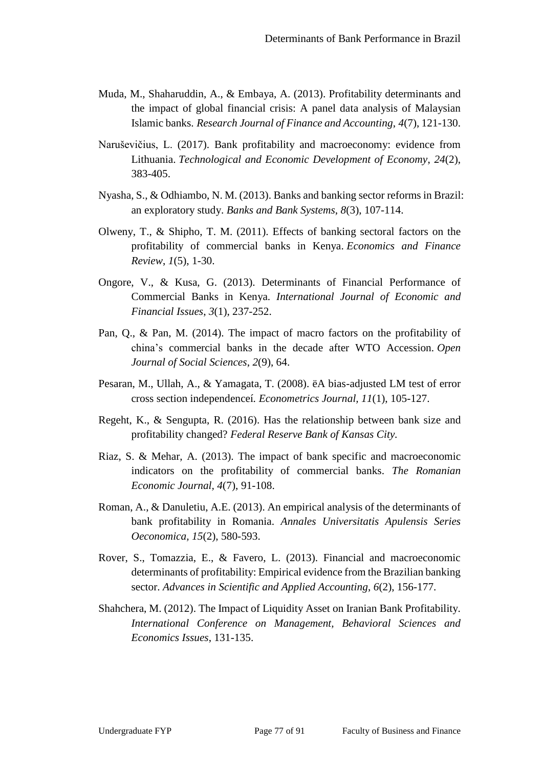- Muda, M., Shaharuddin, A., & Embaya, A. (2013). Profitability determinants and the impact of global financial crisis: A panel data analysis of Malaysian Islamic banks. *Research Journal of Finance and Accounting*, *4*(7), 121-130.
- Naruševičius, L. (2017). Bank profitability and macroeconomy: evidence from Lithuania. *Technological and Economic Development of Economy*, *24*(2), 383-405.
- Nyasha, S., & Odhiambo, N. M. (2013). Banks and banking sector reforms in Brazil: an exploratory study. *Banks and Bank Systems*, *8*(3), 107-114.
- Olweny, T., & Shipho, T. M. (2011). Effects of banking sectoral factors on the profitability of commercial banks in Kenya. *Economics and Finance Review*, *1*(5), 1-30.
- Ongore, V., & Kusa, G. (2013). Determinants of Financial Performance of Commercial Banks in Kenya. *International Journal of Economic and Financial Issues*, *3*(1), 237-252.
- Pan, Q., & Pan, M. (2014). The impact of macro factors on the profitability of china's commercial banks in the decade after WTO Accession. *Open Journal of Social Sciences*, *2*(9), 64.
- Pesaran, M., Ullah, A., & Yamagata, T. (2008). ëA bias-adjusted LM test of error cross section independenceí*. Econometrics Journal, 11*(1), 105-127.
- Regeht, K., & Sengupta, R. (2016). Has the relationship between bank size and profitability changed? *Federal Reserve Bank of Kansas City.*
- Riaz, S. & Mehar, A. (2013). The impact of bank specific and macroeconomic indicators on the profitability of commercial banks. *The Romanian Economic Journal, 4*(7), 91-108.
- Roman, A., & Danuletiu, A.E. (2013). An empirical analysis of the determinants of bank profitability in Romania. *Annales Universitatis Apulensis Series Oeconomica, 15*(2), 580-593.
- Rover, S., Tomazzia, E., & Favero, L. (2013). Financial and macroeconomic determinants of profitability: Empirical evidence from the Brazilian banking sector. *Advances in Scientific and Applied Accounting*, *6*(2), 156-177.
- Shahchera, M. (2012). The Impact of Liquidity Asset on Iranian Bank Profitability. *International Conference on Management, Behavioral Sciences and Economics Issues*, 131-135.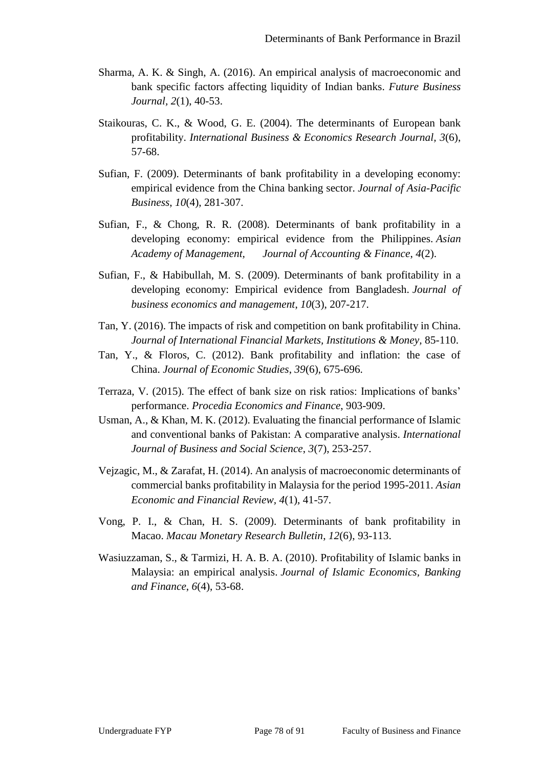- Sharma, A. K. & Singh, A. (2016). An empirical analysis of macroeconomic and bank specific factors affecting liquidity of Indian banks. *Future Business Journal, 2*(1), 40-53.
- Staikouras, C. K., & Wood, G. E. (2004). The determinants of European bank profitability. *International Business & Economics Research Journal, 3*(6), 57-68.
- Sufian, F. (2009). Determinants of bank profitability in a developing economy: empirical evidence from the China banking sector. *Journal of Asia-Pacific Business*, *10*(4), 281-307.
- Sufian, F., & Chong, R. R. (2008). Determinants of bank profitability in a developing economy: empirical evidence from the Philippines. *Asian Academy of Management, Journal of Accounting & Finance*, *4*(2).
- Sufian, F., & Habibullah, M. S. (2009). Determinants of bank profitability in a developing economy: Empirical evidence from Bangladesh. *Journal of business economics and management*, *10*(3), 207-217.
- Tan, Y. (2016). The impacts of risk and competition on bank profitability in China. *Journal of International Financial Markets, Institutions & Money,* 85-110.
- Tan, Y., & Floros, C. (2012). Bank profitability and inflation: the case of China. *Journal of Economic Studies*, *39*(6), 675-696.
- Terraza, V. (2015). The effect of bank size on risk ratios: Implications of banks' performance. *Procedia Economics and Finance*, 903-909.
- Usman, A., & Khan, M. K. (2012). Evaluating the financial performance of Islamic and conventional banks of Pakistan: A comparative analysis. *International Journal of Business and Social Science*, *3*(7), 253-257.
- Vejzagic, M., & Zarafat, H. (2014). An analysis of macroeconomic determinants of commercial banks profitability in Malaysia for the period 1995-2011. *Asian Economic and Financial Review, 4*(1), 41-57.
- Vong, P. I., & Chan, H. S. (2009). Determinants of bank profitability in Macao. *Macau Monetary Research Bulletin*, *12*(6), 93-113.
- Wasiuzzaman, S., & Tarmizi, H. A. B. A. (2010). Profitability of Islamic banks in Malaysia: an empirical analysis. *Journal of Islamic Economics, Banking and Finance*, *6*(4), 53-68.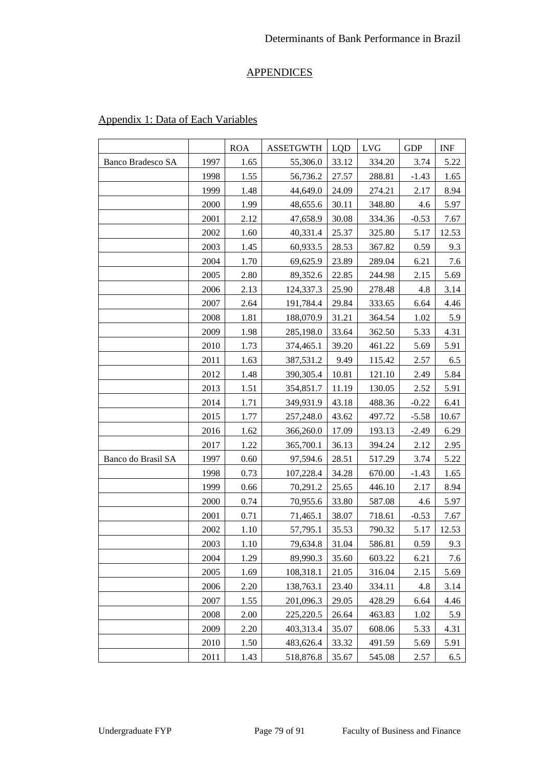# **APPENDICES**

|                          |      | <b>ROA</b> | <b>ASSETGWTH</b> | LQD   | <b>LVG</b> | <b>GDP</b> | <b>INF</b> |
|--------------------------|------|------------|------------------|-------|------------|------------|------------|
| <b>Banco Bradesco SA</b> | 1997 | 1.65       | 55,306.0         | 33.12 | 334.20     | 3.74       | 5.22       |
|                          | 1998 | 1.55       | 56,736.2         | 27.57 | 288.81     | $-1.43$    | 1.65       |
|                          | 1999 | 1.48       | 44,649.0         | 24.09 | 274.21     | 2.17       | 8.94       |
|                          | 2000 | 1.99       | 48,655.6         | 30.11 | 348.80     | 4.6        | 5.97       |
|                          | 2001 | 2.12       | 47,658.9         | 30.08 | 334.36     | $-0.53$    | 7.67       |
|                          | 2002 | 1.60       | 40,331.4         | 25.37 | 325.80     | 5.17       | 12.53      |
|                          | 2003 | 1.45       | 60,933.5         | 28.53 | 367.82     | 0.59       | 9.3        |
|                          | 2004 | 1.70       | 69,625.9         | 23.89 | 289.04     | 6.21       | 7.6        |
|                          | 2005 | 2.80       | 89,352.6         | 22.85 | 244.98     | 2.15       | 5.69       |
|                          | 2006 | 2.13       | 124,337.3        | 25.90 | 278.48     | 4.8        | 3.14       |
|                          | 2007 | 2.64       | 191,784.4        | 29.84 | 333.65     | 6.64       | 4.46       |
|                          | 2008 | 1.81       | 188,070.9        | 31.21 | 364.54     | 1.02       | 5.9        |
|                          | 2009 | 1.98       | 285,198.0        | 33.64 | 362.50     | 5.33       | 4.31       |
|                          | 2010 | 1.73       | 374,465.1        | 39.20 | 461.22     | 5.69       | 5.91       |
|                          | 2011 | 1.63       | 387,531.2        | 9.49  | 115.42     | 2.57       | 6.5        |
|                          | 2012 | 1.48       | 390,305.4        | 10.81 | 121.10     | 2.49       | 5.84       |
|                          | 2013 | 1.51       | 354,851.7        | 11.19 | 130.05     | 2.52       | 5.91       |
|                          | 2014 | 1.71       | 349,931.9        | 43.18 | 488.36     | $-0.22$    | 6.41       |
|                          | 2015 | 1.77       | 257,248.0        | 43.62 | 497.72     | $-5.58$    | 10.67      |
|                          | 2016 | 1.62       | 366,260.0        | 17.09 | 193.13     | $-2.49$    | 6.29       |
|                          | 2017 | 1.22       | 365,700.1        | 36.13 | 394.24     | 2.12       | 2.95       |
| Banco do Brasil SA       | 1997 | 0.60       | 97,594.6         | 28.51 | 517.29     | 3.74       | 5.22       |
|                          | 1998 | 0.73       | 107,228.4        | 34.28 | 670.00     | $-1.43$    | 1.65       |
|                          | 1999 | 0.66       | 70,291.2         | 25.65 | 446.10     | 2.17       | 8.94       |
|                          | 2000 | 0.74       | 70,955.6         | 33.80 | 587.08     | 4.6        | 5.97       |
|                          | 2001 | 0.71       | 71,465.1         | 38.07 | 718.61     | $-0.53$    | 7.67       |
|                          | 2002 | 1.10       | 57,795.1         | 35.53 | 790.32     | 5.17       | 12.53      |
|                          | 2003 | 1.10       | 79,634.8         | 31.04 | 586.81     | 0.59       | 9.3        |
|                          | 2004 | 1.29       | 89,990.3         | 35.60 | 603.22     | 6.21       | 7.6        |
|                          | 2005 | 1.69       | 108,318.1        | 21.05 | 316.04     | 2.15       | 5.69       |
|                          | 2006 | 2.20       | 138,763.1        | 23.40 | 334.11     | 4.8        | 3.14       |
|                          | 2007 | 1.55       | 201,096.3        | 29.05 | 428.29     | 6.64       | 4.46       |
|                          | 2008 | 2.00       | 225,220.5        | 26.64 | 463.83     | 1.02       | 5.9        |
|                          | 2009 | 2.20       | 403,313.4        | 35.07 | 608.06     | 5.33       | 4.31       |
|                          | 2010 | 1.50       | 483,626.4        | 33.32 | 491.59     | 5.69       | 5.91       |
|                          | 2011 | 1.43       | 518,876.8        | 35.67 | 545.08     | 2.57       | 6.5        |

# Appendix 1: Data of Each Variables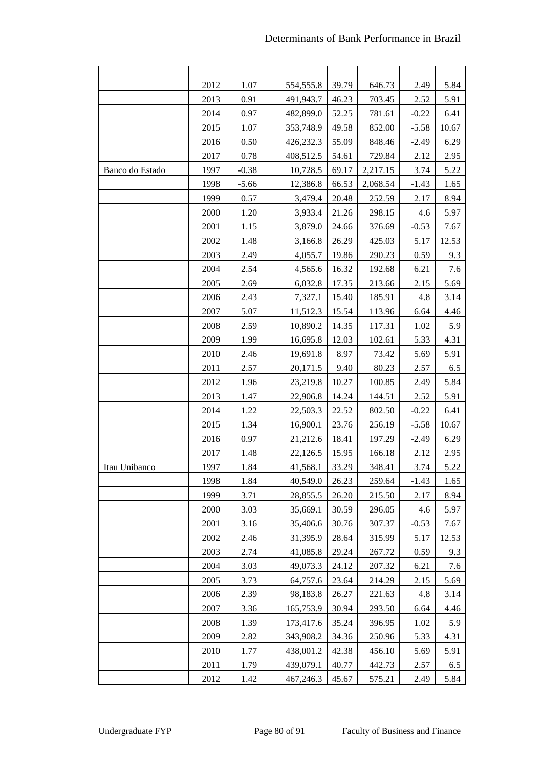|                 | 2012 | 1.07    | 554,555.8 | 39.79 | 646.73   | 2.49    | 5.84  |
|-----------------|------|---------|-----------|-------|----------|---------|-------|
|                 | 2013 | 0.91    | 491,943.7 | 46.23 | 703.45   | 2.52    | 5.91  |
|                 | 2014 | 0.97    | 482,899.0 | 52.25 | 781.61   | $-0.22$ | 6.41  |
|                 | 2015 | 1.07    | 353,748.9 | 49.58 | 852.00   | $-5.58$ | 10.67 |
|                 | 2016 | 0.50    | 426,232.3 | 55.09 | 848.46   | $-2.49$ | 6.29  |
|                 | 2017 | 0.78    | 408,512.5 | 54.61 | 729.84   | 2.12    | 2.95  |
| Banco do Estado | 1997 | $-0.38$ | 10,728.5  | 69.17 | 2,217.15 | 3.74    | 5.22  |
|                 | 1998 | $-5.66$ | 12,386.8  | 66.53 | 2,068.54 | $-1.43$ | 1.65  |
|                 | 1999 | 0.57    | 3,479.4   | 20.48 | 252.59   | 2.17    | 8.94  |
|                 | 2000 | 1.20    | 3,933.4   | 21.26 | 298.15   | 4.6     | 5.97  |
|                 | 2001 | 1.15    | 3,879.0   | 24.66 | 376.69   | $-0.53$ | 7.67  |
|                 | 2002 | 1.48    | 3,166.8   | 26.29 | 425.03   | 5.17    | 12.53 |
|                 | 2003 | 2.49    | 4,055.7   | 19.86 | 290.23   | 0.59    | 9.3   |
|                 | 2004 | 2.54    | 4,565.6   | 16.32 | 192.68   | 6.21    | 7.6   |
|                 | 2005 | 2.69    | 6,032.8   | 17.35 | 213.66   | 2.15    | 5.69  |
|                 | 2006 | 2.43    | 7,327.1   | 15.40 | 185.91   | 4.8     | 3.14  |
|                 | 2007 | 5.07    | 11,512.3  | 15.54 | 113.96   | 6.64    | 4.46  |
|                 | 2008 | 2.59    | 10,890.2  | 14.35 | 117.31   | 1.02    | 5.9   |
|                 | 2009 | 1.99    | 16,695.8  | 12.03 | 102.61   | 5.33    | 4.31  |
|                 | 2010 | 2.46    | 19,691.8  | 8.97  | 73.42    | 5.69    | 5.91  |
|                 | 2011 | 2.57    | 20,171.5  | 9.40  | 80.23    | 2.57    | 6.5   |
|                 | 2012 | 1.96    | 23,219.8  | 10.27 | 100.85   | 2.49    | 5.84  |
|                 | 2013 | 1.47    | 22,906.8  | 14.24 | 144.51   | 2.52    | 5.91  |
|                 | 2014 | 1.22    | 22,503.3  | 22.52 | 802.50   | $-0.22$ | 6.41  |
|                 | 2015 | 1.34    | 16,900.1  | 23.76 | 256.19   | $-5.58$ | 10.67 |
|                 | 2016 | 0.97    | 21,212.6  | 18.41 | 197.29   | $-2.49$ | 6.29  |
|                 | 2017 | 1.48    | 22,126.5  | 15.95 | 166.18   | 2.12    | 2.95  |
| Itau Unibanco   | 1997 | 1.84    | 41,568.1  | 33.29 | 348.41   | 3.74    | 5.22  |
|                 | 1998 | 1.84    | 40,549.0  | 26.23 | 259.64   | $-1.43$ | 1.65  |
|                 | 1999 | 3.71    | 28,855.5  | 26.20 | 215.50   | 2.17    | 8.94  |
|                 | 2000 | 3.03    | 35,669.1  | 30.59 | 296.05   | 4.6     | 5.97  |
|                 | 2001 | 3.16    | 35,406.6  | 30.76 | 307.37   | $-0.53$ | 7.67  |
|                 | 2002 | 2.46    | 31,395.9  | 28.64 | 315.99   | 5.17    | 12.53 |
|                 | 2003 | 2.74    | 41,085.8  | 29.24 | 267.72   | 0.59    | 9.3   |
|                 | 2004 | 3.03    | 49,073.3  | 24.12 | 207.32   | 6.21    | 7.6   |
|                 | 2005 | 3.73    | 64,757.6  | 23.64 | 214.29   | 2.15    | 5.69  |
|                 | 2006 | 2.39    | 98,183.8  | 26.27 | 221.63   | 4.8     | 3.14  |
|                 | 2007 | 3.36    | 165,753.9 | 30.94 | 293.50   | 6.64    | 4.46  |
|                 | 2008 | 1.39    | 173,417.6 | 35.24 | 396.95   | 1.02    | 5.9   |
|                 | 2009 | 2.82    | 343,908.2 | 34.36 | 250.96   | 5.33    | 4.31  |
|                 | 2010 | 1.77    | 438,001.2 | 42.38 | 456.10   | 5.69    | 5.91  |
|                 | 2011 | 1.79    | 439,079.1 | 40.77 | 442.73   | 2.57    | 6.5   |
|                 | 2012 | 1.42    | 467,246.3 | 45.67 | 575.21   | 2.49    | 5.84  |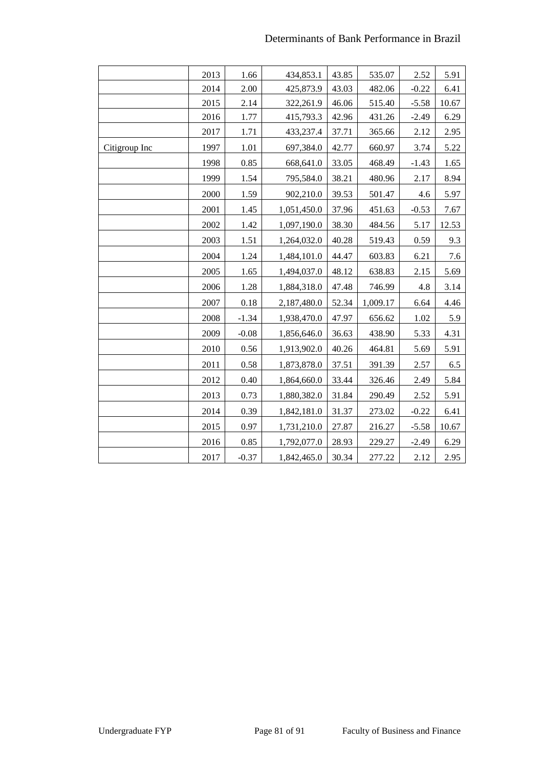|               | 2013 | 1.66    | 434,853.1   | 43.85 | 535.07   | 2.52    | 5.91  |
|---------------|------|---------|-------------|-------|----------|---------|-------|
|               | 2014 | 2.00    | 425,873.9   | 43.03 | 482.06   | $-0.22$ | 6.41  |
|               | 2015 | 2.14    | 322,261.9   | 46.06 | 515.40   | $-5.58$ | 10.67 |
|               | 2016 | 1.77    | 415,793.3   | 42.96 | 431.26   | $-2.49$ | 6.29  |
|               | 2017 | 1.71    | 433,237.4   | 37.71 | 365.66   | 2.12    | 2.95  |
| Citigroup Inc | 1997 | 1.01    | 697,384.0   | 42.77 | 660.97   | 3.74    | 5.22  |
|               | 1998 | 0.85    | 668,641.0   | 33.05 | 468.49   | $-1.43$ | 1.65  |
|               | 1999 | 1.54    | 795,584.0   | 38.21 | 480.96   | 2.17    | 8.94  |
|               | 2000 | 1.59    | 902,210.0   | 39.53 | 501.47   | 4.6     | 5.97  |
|               | 2001 | 1.45    | 1,051,450.0 | 37.96 | 451.63   | $-0.53$ | 7.67  |
|               | 2002 | 1.42    | 1,097,190.0 | 38.30 | 484.56   | 5.17    | 12.53 |
|               | 2003 | 1.51    | 1,264,032.0 | 40.28 | 519.43   | 0.59    | 9.3   |
|               | 2004 | 1.24    | 1,484,101.0 | 44.47 | 603.83   | 6.21    | 7.6   |
|               | 2005 | 1.65    | 1,494,037.0 | 48.12 | 638.83   | 2.15    | 5.69  |
|               | 2006 | 1.28    | 1,884,318.0 | 47.48 | 746.99   | 4.8     | 3.14  |
|               | 2007 | 0.18    | 2,187,480.0 | 52.34 | 1,009.17 | 6.64    | 4.46  |
|               | 2008 | $-1.34$ | 1,938,470.0 | 47.97 | 656.62   | 1.02    | 5.9   |
|               | 2009 | $-0.08$ | 1,856,646.0 | 36.63 | 438.90   | 5.33    | 4.31  |
|               | 2010 | 0.56    | 1,913,902.0 | 40.26 | 464.81   | 5.69    | 5.91  |
|               | 2011 | 0.58    | 1,873,878.0 | 37.51 | 391.39   | 2.57    | 6.5   |
|               | 2012 | 0.40    | 1,864,660.0 | 33.44 | 326.46   | 2.49    | 5.84  |
|               | 2013 | 0.73    | 1,880,382.0 | 31.84 | 290.49   | 2.52    | 5.91  |
|               | 2014 | 0.39    | 1,842,181.0 | 31.37 | 273.02   | $-0.22$ | 6.41  |
|               | 2015 | 0.97    | 1,731,210.0 | 27.87 | 216.27   | $-5.58$ | 10.67 |
|               | 2016 | 0.85    | 1,792,077.0 | 28.93 | 229.27   | $-2.49$ | 6.29  |
|               | 2017 | $-0.37$ | 1,842,465.0 | 30.34 | 277.22   | 2.12    | 2.95  |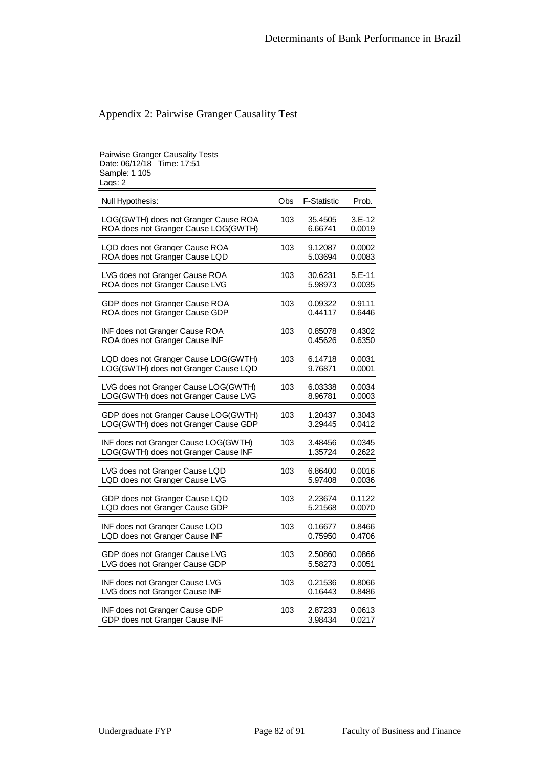#### Appendix 2: Pairwise Granger Causality Test

# Pairwise Granger Causality Tests Date: 06/12/18 Time: 17:51 Sample: 1 105 Lags: 2 Null Hypothesis: Obs F-Statistic Prob. LOG(GWTH) does not Granger Cause ROA 103 35.4505 3.E-12 ROA does not Granger Cause LOG(GWTH) 6.66741 0.0019 LQD does not Granger Cause ROA 103 9.12087 0.0002<br>ROA does not Granger Cause LQD 5.03694 0.0083 ROA does not Granger Cause LQD 5.03694 LVG does not Granger Cause ROA 103 30.6231 5.E-11 ROA does not Granger Cause LVG 5.98973 0.0035 GDP does not Granger Cause ROA 103 0.09322 0.9111<br>ROA does not Granger Cause GDP 0.44117 0.6446 ROA does not Granger Cause GDP INF does not Granger Cause ROA 103 0.85078 0.4302<br>ROA does not Granger Cause INF 6.45626 0.6350 ROA does not Granger Cause INF  $0.45626$  0.6350 LQD does not Granger Cause LOG(GWTH) 103 6.14718 0.0031 LOG(GWTH) does not Granger Cause LQD 9.76871 0.0001 LVG does not Granger Cause LOG(GWTH) 103 6.03338 0.0034 LOG(GWTH) does not Granger Cause LVG 8.96781 0.0003 GDP does not Granger Cause LOG(GWTH) 103 1.20437 0.3043 LOG(GWTH) does not Granger Cause GDP 3.29445 0.0412 INF does not Granger Cause LOG(GWTH) 103 3.48456 0.0345

| LOG(GWTH) does not Granger Cause INF  |     | 1.35724 | 0.2622 |
|---------------------------------------|-----|---------|--------|
| LVG does not Granger Cause LQD        | 103 | 6.86400 | 0.0016 |
| LQD does not Granger Cause LVG        |     | 5.97408 | 0.0036 |
| GDP does not Granger Cause LQD        | 103 | 2.23674 | 0.1122 |
| LQD does not Granger Cause GDP        |     | 5.21568 | 0.0070 |
| INF does not Granger Cause LQD        | 103 | 0.16677 | 0.8466 |
| LQD does not Granger Cause INF        |     | 0.75950 | 0.4706 |
| GDP does not Granger Cause LVG        | 103 | 2.50860 | 0.0866 |
| LVG does not Granger Cause GDP        |     | 5.58273 | 0.0051 |
| <b>INF does not Granger Cause LVG</b> | 103 | 0.21536 | 0.8066 |
| LVG does not Granger Cause INF        |     | 0.16443 | 0.8486 |
| INF does not Granger Cause GDP        | 103 | 2.87233 | 0.0613 |
| GDP does not Granger Cause INF        |     | 3.98434 | 0.0217 |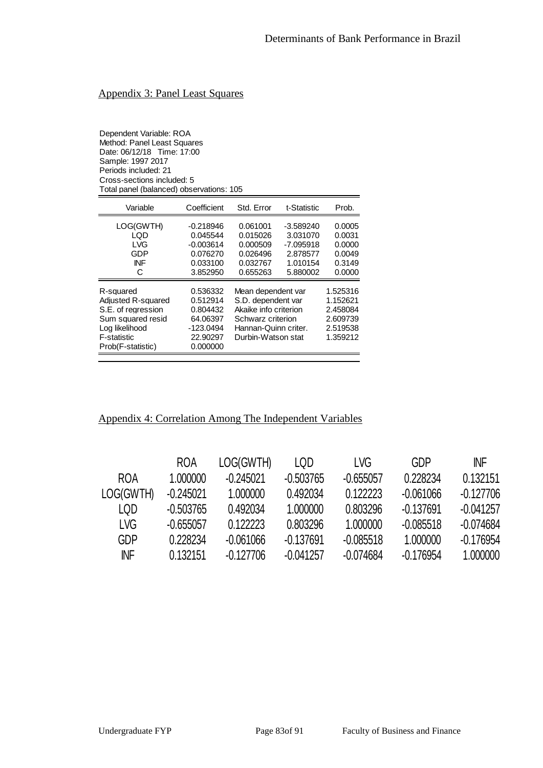### Appendix 3: Panel Least Squares

Dependent Variable: ROA Method: Panel Least Squares Date: 06/12/18 Time: 17:00 Sample: 1997 2017 Periods included: 21 Cross-sections included: 5 Total panel (balanced) observations: 105

| Variable                                                                                                                                       | Coefficient                                                                         | Std. Error                                                                                                                           | t-Statistic                                                    | Prob.                                                                |
|------------------------------------------------------------------------------------------------------------------------------------------------|-------------------------------------------------------------------------------------|--------------------------------------------------------------------------------------------------------------------------------------|----------------------------------------------------------------|----------------------------------------------------------------------|
| LOG(GWTH)<br>LQD<br>LVG<br>GDP<br><b>INF</b>                                                                                                   | -0.218946<br>0.045544<br>$-0.003614$<br>0.076270<br>0.033100                        | 0.061001<br>0.015026<br>0.000509<br>0.026496<br>0.032767                                                                             | $-3.589240$<br>3.031070<br>$-7.095918$<br>2.878577<br>1.010154 | 0.0005<br>0.0031<br>0.0000<br>0.0049<br>0.3149                       |
| C                                                                                                                                              | 3.852950                                                                            | 0.655263                                                                                                                             | 5.880002                                                       | 0.0000                                                               |
| R-squared<br><b>Adiusted R-squared</b><br>S.E. of rearession<br>Sum squared resid<br>Loa likelihood<br><b>F-statistic</b><br>Prob(F-statistic) | 0.536332<br>0.512914<br>0.804432<br>64.06397<br>$-123.0494$<br>22.90297<br>0.000000 | Mean dependent var<br>S.D. dependent var<br>Akaike info criterion<br>Schwarz criterion<br>Hannan-Quinn criter.<br>Durbin-Watson stat |                                                                | 1.525316<br>1.152621<br>2.458084<br>2.609739<br>2.519538<br>1.359212 |

#### Appendix 4: Correlation Among The Independent Variables

|            | <b>ROA</b>  | LOG(GWTH)   | LQD         | LVG         | GDP         | <b>INF</b>  |
|------------|-------------|-------------|-------------|-------------|-------------|-------------|
| <b>ROA</b> | 1.000000    | $-0.245021$ | $-0.503765$ | $-0.655057$ | 0.228234    | 0.132151    |
| LOG(GWTH)  | -0.245021   | 1.000000    | 0.492034    | 0.122223    | $-0.061066$ | $-0.127706$ |
| LOD        | $-0.503765$ | 0.492034    | 1.000000    | 0.803296    | $-0.137691$ | $-0.041257$ |
| LVG        | $-0.655057$ | 0.122223    | 0.803296    | 1.000000    | $-0.085518$ | $-0.074684$ |
| <b>GDP</b> | 0.228234    | $-0.061066$ | $-0.137691$ | $-0.085518$ | 1.000000    | $-0.176954$ |
| <b>INF</b> | 0.132151    | $-0.127706$ | $-0.041257$ | $-0.074684$ | $-0.176954$ | 1.000000    |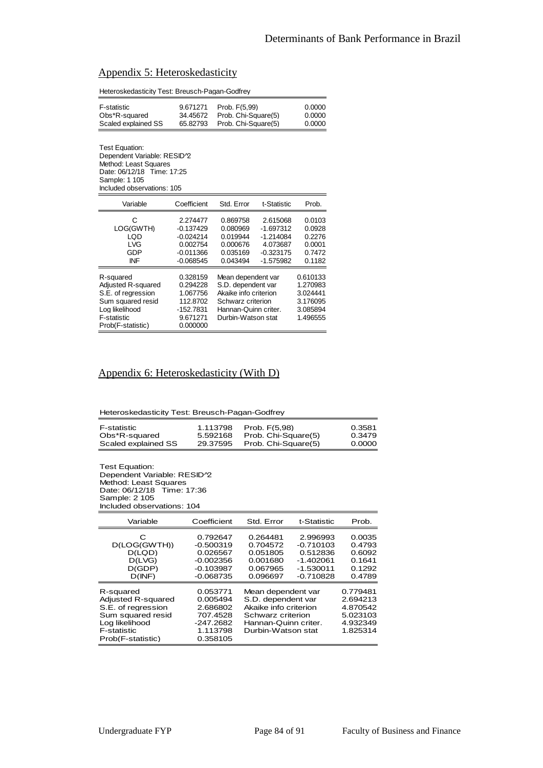| Appendix 5: Heteroskedasticity |
|--------------------------------|
|--------------------------------|

| Heteroskedasticity Test: Breusch-Pagan-Godfrey                                                                                                                   |                                                                                   |                                                                                                                                      |                                                                                |                                                                      |  |  |  |
|------------------------------------------------------------------------------------------------------------------------------------------------------------------|-----------------------------------------------------------------------------------|--------------------------------------------------------------------------------------------------------------------------------------|--------------------------------------------------------------------------------|----------------------------------------------------------------------|--|--|--|
| F-statistic<br>Obs*R-squared<br>Scaled explained SS                                                                                                              | 9.671271<br>34.45672<br>65.82793                                                  | 0.0000<br>Prob. F(5,99)<br>Prob. Chi-Square(5)<br>0.0000<br>Prob. Chi-Square(5)<br>0.0000                                            |                                                                                |                                                                      |  |  |  |
| Test Equation:<br>Dependent Variable: RESID <sup>1</sup> 2<br>Method: Least Squares<br>Date: 06/12/18 Time: 17:25<br>Sample: 1 105<br>Included observations: 105 |                                                                                   |                                                                                                                                      |                                                                                |                                                                      |  |  |  |
| Variable                                                                                                                                                         | Coefficient                                                                       | Std. Error                                                                                                                           | t-Statistic                                                                    | Prob.                                                                |  |  |  |
| C<br>LOG(GWTH)<br>LQD<br><b>LVG</b><br>GDP<br>INF                                                                                                                | 2.274477<br>$-0.137429$<br>$-0.024214$<br>0.002754<br>$-0.011366$<br>$-0.068545$  | 0.869758<br>0.080969<br>0.019944<br>0.000676<br>0.035169<br>0.043494                                                                 | 2.615068<br>$-1.697312$<br>$-1.214084$<br>4.073687<br>$-0.323175$<br>-1.575982 | 0.0103<br>0.0928<br>0.2276<br>0.0001<br>0.7472<br>0.1182             |  |  |  |
| R-squared<br>Adjusted R-squared<br>S.E. of regression<br>Sum squared resid<br>Log likelihood<br>F-statistic<br>Prob(F-statistic)                                 | 0.328159<br>0.294228<br>1.067756<br>112.8702<br>-152.7831<br>9.671271<br>0.000000 | Mean dependent var<br>S.D. dependent var<br>Akaike info criterion<br>Schwarz criterion<br>Hannan-Quinn criter.<br>Durbin-Watson stat |                                                                                | 0.610133<br>1.270983<br>3.024441<br>3.176095<br>3.085894<br>1.496555 |  |  |  |

#### Appendix 6: Heteroskedasticity (With D)

| F-statistic         | 1.113798 | Prob. F(5.98)       | 0.3581 |
|---------------------|----------|---------------------|--------|
| Obs*R-squared       | 5.592168 | Prob. Chi-Square(5) | 0.3479 |
| Scaled explained SS | 29.37595 | Prob. Chi-Square(5) | 0.0000 |

Test Equation: Dependent Variable: RESID<sup>1</sup>2 Method: Least Squares Date: 06/12/18 Time: 17:36 Sample: 2 105 Included observations: 104

| Variable                                                                                                                                | Coefficient                                                                         | Std. Error                                                                                                                           | t-Statistic                                                                      | Prob.                                                                |
|-----------------------------------------------------------------------------------------------------------------------------------------|-------------------------------------------------------------------------------------|--------------------------------------------------------------------------------------------------------------------------------------|----------------------------------------------------------------------------------|----------------------------------------------------------------------|
| С<br>D(LOG(GWTH))<br>D(LQD)<br>D(LVG)<br>D(GDP)<br>D(INF)                                                                               | 0.792647<br>$-0.500319$<br>0.026567<br>$-0.002356$<br>$-0.103987$<br>$-0.068735$    | 0.264481<br>0.704572<br>0.051805<br>0.001680<br>0.067965<br>0.096697                                                                 | 2.996993<br>$-0.710103$<br>0.512836<br>$-1.402061$<br>$-1.530011$<br>$-0.710828$ | 0.0035<br>0.4793<br>0.6092<br>0.1641<br>0.1292<br>0.4789             |
| R-squared<br><b>Adiusted R-squared</b><br>S.E. of rearession<br>Sum squared resid<br>Loa likelihood<br>F-statistic<br>Prob(F-statistic) | 0.053771<br>0.005494<br>2.686802<br>707.4528<br>$-247.2682$<br>1.113798<br>0.358105 | Mean dependent var<br>S.D. dependent var<br>Akaike info criterion<br>Schwarz criterion<br>Hannan-Quinn criter.<br>Durbin-Watson stat |                                                                                  | 0.779481<br>2.694213<br>4.870542<br>5.023103<br>4.932349<br>1.825314 |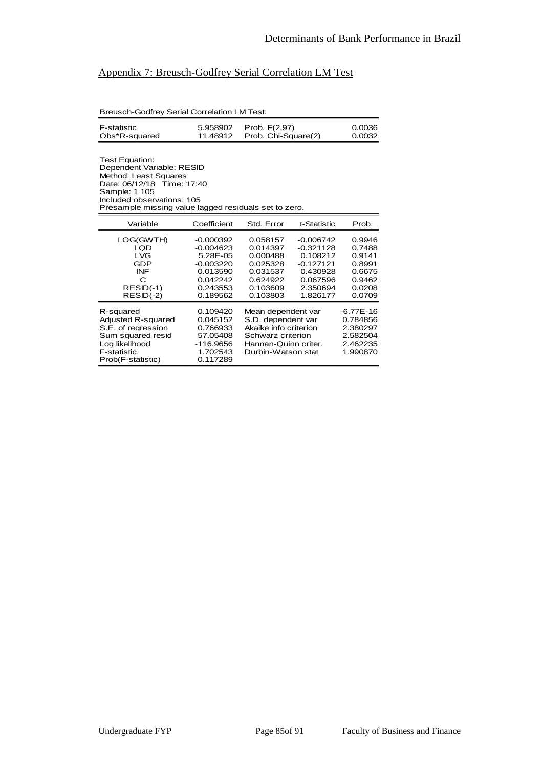### Appendix 7: Breusch-Godfrey Serial Correlation LM Test

Breusch-Godfrey Serial Correlation LM Test:

| F-statistic   | 5.958902 Prob. F(2.97)       | 0.0036 |
|---------------|------------------------------|--------|
| Obs*R-squared | 11.48912 Prob. Chi-Square(2) | 0.0032 |

Test Equation: Dependent Variable: RESID Method: Least Squares Date: 06/12/18 Time: 17:40 Sample: 1 105 Included observations: 105 Presample missing value lagged residuals set to zero.

| Variable                                                                                                                                | Coefficient                                                                                           | Std. Error                                                                                                                           | t-Statistic                                                                                           | Prob.                                                                        |
|-----------------------------------------------------------------------------------------------------------------------------------------|-------------------------------------------------------------------------------------------------------|--------------------------------------------------------------------------------------------------------------------------------------|-------------------------------------------------------------------------------------------------------|------------------------------------------------------------------------------|
| LOG(GWTH)<br>LQD<br>LVG<br>GDP<br>INF<br>C<br>$RESID(-1)$<br>$RESID(-2)$                                                                | $-0.000392$<br>$-0.004623$<br>5.28E-05<br>$-0.003220$<br>0.013590<br>0.042242<br>0.243553<br>0.189562 | 0.058157<br>0.014397<br>0.000488<br>0.025328<br>0.031537<br>0.624922<br>0.103609<br>0.103803                                         | $-0.006742$<br>$-0.321128$<br>0.108212<br>$-0.127121$<br>0.430928<br>0.067596<br>2.350694<br>1.826177 | 0.9946<br>0.7488<br>0.9141<br>0.8991<br>0.6675<br>0.9462<br>0.0208<br>0.0709 |
| R-squared<br><b>Adiusted R-squared</b><br>S.E. of regression<br>Sum squared resid<br>Loa likelihood<br>F-statistic<br>Prob(F-statistic) | 0.109420<br>0.045152<br>0.766933<br>57.05408<br>$-116.9656$<br>1.702543<br>0.117289                   | Mean dependent var<br>S.D. dependent var<br>Akaike info criterion<br>Schwarz criterion<br>Hannan-Quinn criter.<br>Durbin-Watson stat |                                                                                                       | $-6.77E-16$<br>0.784856<br>2.380297<br>2.582504<br>2.462235<br>1.990870      |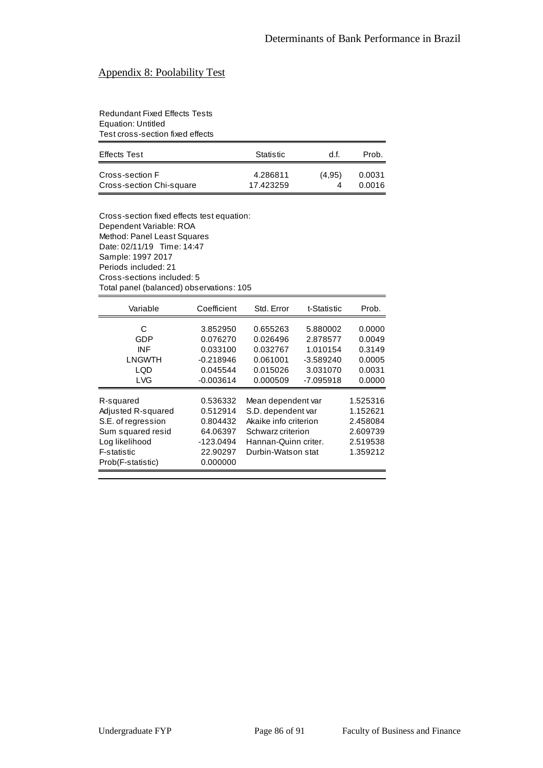### Appendix 8: Poolability Test

Redundant Fixed Effects Tests Equation: Untitled Test cross-section fixed effects

| <b>Effects Test</b>      | Statistic | d.f.   | Prob.  |
|--------------------------|-----------|--------|--------|
| Cross-section F          | 4.286811  | (4.95) | 0.0031 |
| Cross-section Chi-square | 17.423259 |        | 0.0016 |

Cross-section fixed effects test equation: Dependent Variable: ROA Method: Panel Least Squares Date: 02/11/19 Time: 14:47 Sample: 1997 2017 Periods included: 21 Cross-sections included: 5 Total panel (balanced) observations: 105

| Variable                                                                                                                         | Coefficient                                                                       | Std. Error                                                                                                                           | t-Statistic                                                 | Prob.                                                                |
|----------------------------------------------------------------------------------------------------------------------------------|-----------------------------------------------------------------------------------|--------------------------------------------------------------------------------------------------------------------------------------|-------------------------------------------------------------|----------------------------------------------------------------------|
| C<br>GDP<br>INF<br>LNGWTH<br>LQD                                                                                                 | 3.852950<br>0.076270<br>0.033100<br>$-0.218946$<br>0.045544                       | 0.655263<br>0.026496<br>0.032767<br>0.061001<br>0.015026                                                                             | 5.880002<br>2.878577<br>1.010154<br>$-3.589240$<br>3.031070 | 0.0000<br>0.0049<br>0.3149<br>0.0005<br>0.0031                       |
| <b>LVG</b>                                                                                                                       | $-0.003614$                                                                       | 0.000509                                                                                                                             | -7.095918                                                   | 0.0000                                                               |
| R-squared<br>Adjusted R-squared<br>S.E. of regression<br>Sum squared resid<br>Log likelihood<br>F-statistic<br>Prob(F-statistic) | 0.536332<br>0.512914<br>0.804432<br>64.06397<br>-123.0494<br>22.90297<br>0.000000 | Mean dependent var<br>S.D. dependent var<br>Akaike info criterion<br>Schwarz criterion<br>Hannan-Quinn criter.<br>Durbin-Watson stat |                                                             | 1.525316<br>1.152621<br>2.458084<br>2.609739<br>2.519538<br>1.359212 |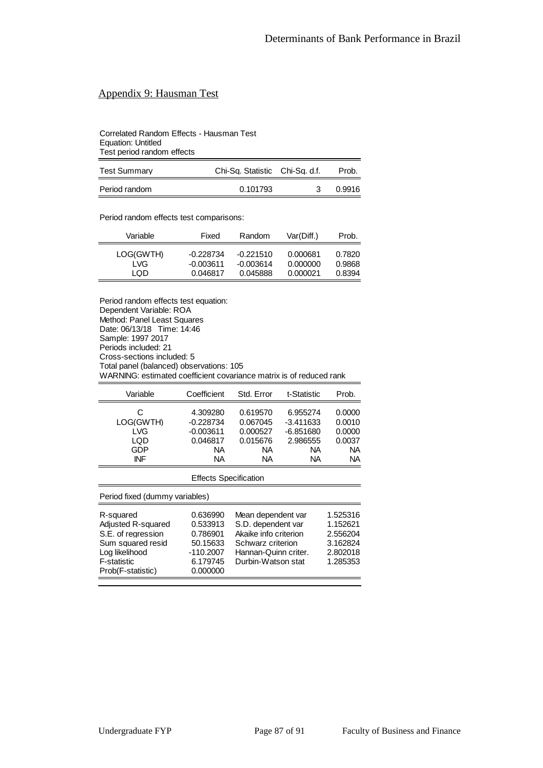# Appendix 9: Hausman Test

Correlated Random Effects - Hausman Test Equation: Untitled Test period random effects

| <b>Test Summary</b> | Chi-Sq. Statistic Chi-Sq. d.f. | Prob.  |
|---------------------|--------------------------------|--------|
| Period random       | 0.101793                       | 0.9916 |

Period random effects test comparisons:

| Variable  | Fixed       | Random      | Var(Diff.) | Prob.  |
|-----------|-------------|-------------|------------|--------|
| LOG(GWTH) | -0.228734   | $-0.221510$ | 0.000681   | 0.7820 |
| LVG.      | $-0.003611$ | $-0.003614$ | 0.000000   | 0.9868 |
| LOD       | 0.046817    | 0.045888    | 0.000021   | 0.8394 |

Period random effects test equation: Dependent Variable: ROA Method: Panel Least Squares Date: 06/13/18 Time: 14:46 Sample: 1997 2017 Periods included: 21 Cross-sections included: 5 Total panel (balanced) observations: 105 WARNING: estimated coefficient covariance matrix is of reduced rank

| Variable                            | Coefficient                                              | Std. Error                                          | t-Statistic                                              | Prob.                                       |
|-------------------------------------|----------------------------------------------------------|-----------------------------------------------------|----------------------------------------------------------|---------------------------------------------|
| C<br>LOG(GWTH)<br>LVG<br>LQD<br>GDP | 4.309280<br>$-0.228734$<br>$-0.003611$<br>0.046817<br>NА | 0.619570<br>0.067045<br>0.000527<br>0.015676<br>NA. | 6.955274<br>$-3.411633$<br>$-6.851680$<br>2.986555<br>ΝA | 0.0000<br>0.0010<br>0.0000<br>0.0037<br>NA. |
| INF                                 | ΝA                                                       | NА                                                  | ΝA                                                       | <b>NA</b>                                   |

| <b>Effects Specification</b>                                                                                                            |                                                                                   |                                                                                                                                      |                                                                      |  |  |  |
|-----------------------------------------------------------------------------------------------------------------------------------------|-----------------------------------------------------------------------------------|--------------------------------------------------------------------------------------------------------------------------------------|----------------------------------------------------------------------|--|--|--|
|                                                                                                                                         | Period fixed (dummy variables)                                                    |                                                                                                                                      |                                                                      |  |  |  |
| R-squared<br>Adjusted R-squared<br>S.E. of regression<br>Sum squared resid<br>Log likelihood<br><b>F-statistic</b><br>Prob(F-statistic) | 0.636990<br>0.533913<br>0.786901<br>50.15633<br>-110.2007<br>6.179745<br>0.000000 | Mean dependent var<br>S.D. dependent var<br>Akaike info criterion<br>Schwarz criterion<br>Hannan-Quinn criter.<br>Durbin-Watson stat | 1.525316<br>1.152621<br>2.556204<br>3.162824<br>2.802018<br>1.285353 |  |  |  |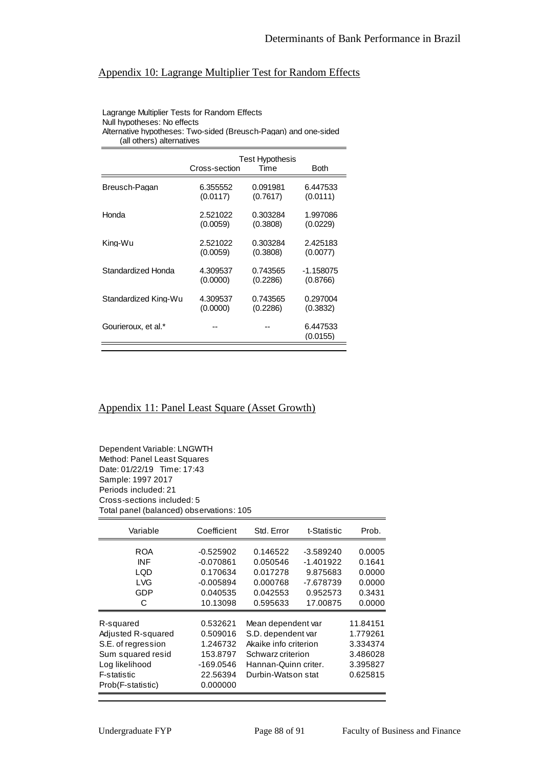# Appendix 10: Lagrange Multiplier Test for Random Effects

#### Lagrange Multiplier Tests for Random Effects Null hypotheses: No effects Alternative hypotheses: Two-sided (Breusch-Pagan) and one-sided

(all others) alternatives

|                      | Cross-section | Test Hypothesis<br>Time | Both                 |
|----------------------|---------------|-------------------------|----------------------|
| Breusch-Pagan        | 6.355552      | 0.091981                | 6.447533             |
|                      | (0.0117)      | (0.7617)                | (0.0111)             |
| Honda                | 2.521022      | 0.303284                | 1.997086             |
|                      | (0.0059)      | (0.3808)                | (0.0229)             |
| Kina-Wu              | 2.521022      | 0.303284                | 2.425183             |
|                      | (0.0059)      | (0.3808)                | (0.0077)             |
| Standardized Honda   | 4.309537      | 0.743565                | $-1.158075$          |
|                      | (0.0000)      | (0.2286)                | (0.8766)             |
| Standardized King-Wu | 4.309537      | 0.743565                | 0.297004             |
|                      | (0.0000)      | (0.2286)                | (0.3832)             |
| Gourieroux, et al.*  |               |                         | 6.447533<br>(0.0155) |

# Appendix 11: Panel Least Square (Asset Growth)

Dependent Variable: LNGWTH Method: Panel Least Squares Date: 01/22/19 Time: 17:43 Sample: 1997 2017 Periods included: 21 Cross-sections included: 5 Total panel (balanced) observations: 105

| Variable                 | Coefficient             | Std. Error            | t-Statistic           | Prob.            |
|--------------------------|-------------------------|-----------------------|-----------------------|------------------|
| <b>ROA</b>               | $-0.525902$             | 0.146522              | $-3.589240$           | 0.0005           |
| <b>INF</b><br><b>LQD</b> | $-0.070861$<br>0.170634 | 0.050546<br>0.017278  | -1.401922<br>9.875683 | 0.1641<br>0.0000 |
| <b>LVG</b><br>GDP        | $-0.005894$<br>0.040535 | 0.000768<br>0.042553  | -7.678739<br>0.952573 | 0.0000<br>0.3431 |
| C                        | 10.13098                | 0.595633              | 17.00875              | 0.0000           |
| R-squared                | 0.532621                | Mean dependent var    |                       | 11.84151         |
| Adjusted R-squared       | 0.509016                | S.D. dependent var    |                       | 1.779261         |
| S.E. of regression       | 1.246732                | Akaike info criterion |                       | 3.334374         |
| Sum squared resid        | 153.8797                | Schwarz criterion     |                       | 3.486028         |
| Log likelihood           | -169.0546               | Hannan-Quinn criter.  |                       | 3.395827         |
| F-statistic              | 22.56394                | Durbin-Watson stat    |                       | 0.625815         |
| Prob(F-statistic)        | 0.000000                |                       |                       |                  |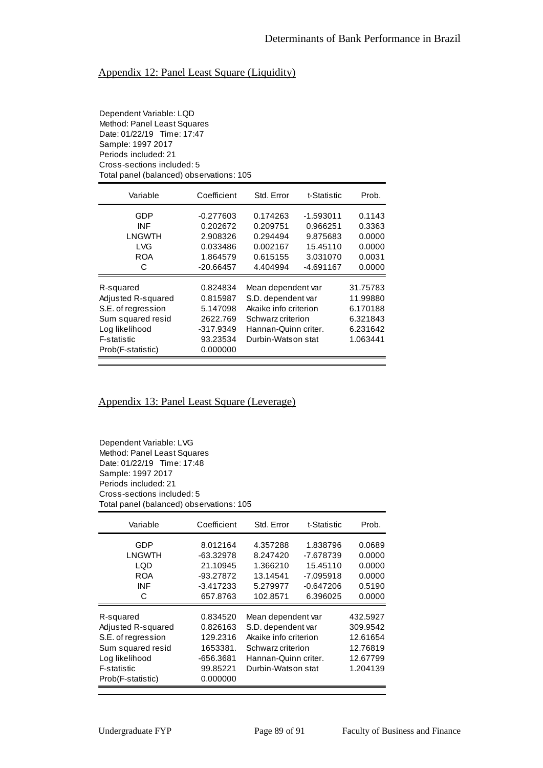# Appendix 12: Panel Least Square (Liquidity)

Dependent Variable: LQD Method: Panel Least Squares Date: 01/22/19 Time: 17:47 Sample: 1997 2017 Periods included: 21 Cross-sections included: 5 Total panel (balanced) observations: 105

| Variable                                                                                                                         | Coefficient                                                                         | Std. Error                                                                                                                           | t-Statistic                                                 | Prob.                                                                |
|----------------------------------------------------------------------------------------------------------------------------------|-------------------------------------------------------------------------------------|--------------------------------------------------------------------------------------------------------------------------------------|-------------------------------------------------------------|----------------------------------------------------------------------|
| GDP<br>INF<br><b>LNGWTH</b><br><b>LVG</b><br>ROA                                                                                 | $-0.277603$<br>0.202672<br>2.908326<br>0.033486<br>1.864579                         | 0.174263<br>0.209751<br>0.294494<br>0.002167<br>0.615155                                                                             | $-1.593011$<br>0.966251<br>9.875683<br>15.45110<br>3.031070 | 0.1143<br>0.3363<br>0.0000<br>0.0000<br>0.0031                       |
| C                                                                                                                                | $-20.66457$                                                                         | 4.404994                                                                                                                             | -4.691167                                                   | 0.0000                                                               |
| R-squared<br>Adjusted R-squared<br>S.E. of regression<br>Sum squared resid<br>Log likelihood<br>F-statistic<br>Prob(F-statistic) | 0.824834<br>0.815987<br>5.147098<br>2622.769<br>$-317.9349$<br>93.23534<br>0.000000 | Mean dependent var<br>S.D. dependent var<br>Akaike info criterion<br>Schwarz criterion<br>Hannan-Quinn criter.<br>Durbin-Watson stat |                                                             | 31.75783<br>11.99880<br>6.170188<br>6.321843<br>6.231642<br>1.063441 |

### Appendix 13: Panel Least Square (Leverage)

Dependent Variable: LVG Method: Panel Least Squares Date: 01/22/19 Time: 17:48 Sample: 1997 2017 Periods included: 21 Cross-sections included: 5 Total panel (balanced) observations: 105

| Variable                                                                                                                         | Coefficient                                                                       | Std. Error                                                                                                                           | t-Statistic                                                               | Prob.                                                                |
|----------------------------------------------------------------------------------------------------------------------------------|-----------------------------------------------------------------------------------|--------------------------------------------------------------------------------------------------------------------------------------|---------------------------------------------------------------------------|----------------------------------------------------------------------|
| GDP<br>LNGWTH<br>LQD<br><b>ROA</b><br>INF<br>C                                                                                   | 8.012164<br>-63.32978<br>21.10945<br>-93.27872<br>$-3.417233$<br>657.8763         | 4.357288<br>8.247420<br>1.366210<br>13.14541<br>5.279977<br>102.8571                                                                 | 1.838796<br>-7.678739<br>15.45110<br>$-7.095918$<br>-0.647206<br>6.396025 | 0.0689<br>0.0000<br>0.0000<br>0.0000<br>0.5190<br>0.0000             |
| R-squared<br>Adjusted R-squared<br>S.E. of regression<br>Sum squared resid<br>Log likelihood<br>F-statistic<br>Prob(F-statistic) | 0.834520<br>0.826163<br>129.2316<br>1653381.<br>-656.3681<br>99.85221<br>0.000000 | Mean dependent var<br>S.D. dependent var<br>Akaike info criterion<br>Schwarz criterion<br>Hannan-Quinn criter.<br>Durbin-Watson stat |                                                                           | 432.5927<br>309.9542<br>12.61654<br>12.76819<br>12.67799<br>1.204139 |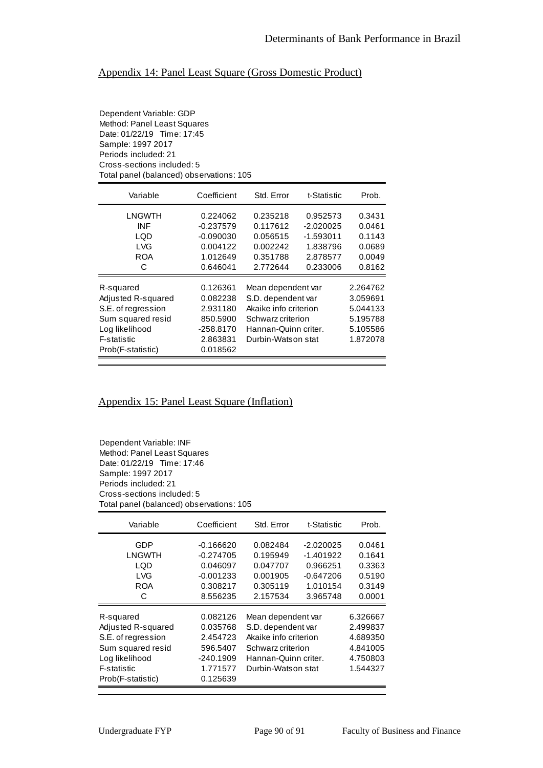# Appendix 14: Panel Least Square (Gross Domestic Product)

Dependent Variable: GDP Method: Panel Least Squares Date: 01/22/19 Time: 17:45 Sample: 1997 2017 Periods included: 21 Cross-sections included: 5 Total panel (balanced) observations: 105

| Variable                                                                                                                         | Coefficient                                                                       | Std. Error                                                                                                                           | t-Statistic                                                    | Prob.                                                                |
|----------------------------------------------------------------------------------------------------------------------------------|-----------------------------------------------------------------------------------|--------------------------------------------------------------------------------------------------------------------------------------|----------------------------------------------------------------|----------------------------------------------------------------------|
| LNGWTH<br>INF<br><b>LOD</b><br><b>LVG</b><br><b>ROA</b>                                                                          | 0.224062<br>$-0.237579$<br>$-0.090030$<br>0.004122<br>1.012649                    | 0.235218<br>0.117612<br>0.056515<br>0.002242<br>0.351788                                                                             | 0.952573<br>$-2.020025$<br>$-1.593011$<br>1.838796<br>2.878577 | 0.3431<br>0.0461<br>0.1143<br>0.0689<br>0.0049                       |
| C                                                                                                                                | 0.646041                                                                          | 2.772644                                                                                                                             | 0.233006                                                       | 0.8162                                                               |
| R-squared<br>Adjusted R-squared<br>S.E. of regression<br>Sum squared resid<br>Log likelihood<br>F-statistic<br>Prob(F-statistic) | 0.126361<br>0.082238<br>2.931180<br>850.5900<br>-258.8170<br>2.863831<br>0.018562 | Mean dependent var<br>S.D. dependent var<br>Akaike info criterion<br>Schwarz criterion<br>Hannan-Quinn criter.<br>Durbin-Watson stat |                                                                | 2.264762<br>3.059691<br>5.044133<br>5.195788<br>5.105586<br>1.872078 |

### Appendix 15: Panel Least Square (Inflation)

Dependent Variable: INF Method: Panel Least Squares Date: 01/22/19 Time: 17:46 Sample: 1997 2017 Periods included: 21 Cross-sections included: 5 Total panel (balanced) observations: 105

| Variable                                                                                                                         | Coefficient                                                                         | Std. Error                                                                                                                           | t-Statistic                                                                 | Prob.                                                                |
|----------------------------------------------------------------------------------------------------------------------------------|-------------------------------------------------------------------------------------|--------------------------------------------------------------------------------------------------------------------------------------|-----------------------------------------------------------------------------|----------------------------------------------------------------------|
| GDP<br>LNGWTH<br>LQD<br><b>LVG</b><br><b>ROA</b><br>C                                                                            | -0.166620<br>$-0.274705$<br>0.046097<br>$-0.001233$<br>0.308217<br>8.556235         | 0.082484<br>0.195949<br>0.047707<br>0.001905<br>0.305119<br>2.157534                                                                 | $-2.020025$<br>-1.401922<br>0.966251<br>$-0.647206$<br>1.010154<br>3.965748 | 0.0461<br>0.1641<br>0.3363<br>0.5190<br>0.3149<br>0.0001             |
| R-squared<br>Adjusted R-squared<br>S.E. of regression<br>Sum squared resid<br>Log likelihood<br>F-statistic<br>Prob(F-statistic) | 0.082126<br>0.035768<br>2.454723<br>596.5407<br>$-240.1909$<br>1.771577<br>0.125639 | Mean dependent var<br>S.D. dependent var<br>Akaike info criterion<br>Schwarz criterion<br>Hannan-Quinn criter.<br>Durbin-Watson stat |                                                                             | 6.326667<br>2.499837<br>4.689350<br>4.841005<br>4.750803<br>1.544327 |